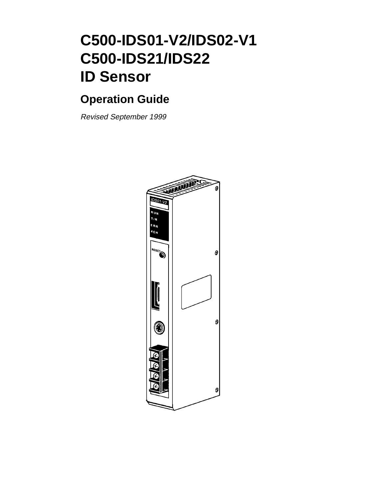# **C500-IDS01-V2/IDS02-V1 C500-IDS21/IDS22 ID Sensor**

# **Operation Guide**

Revised September 1999

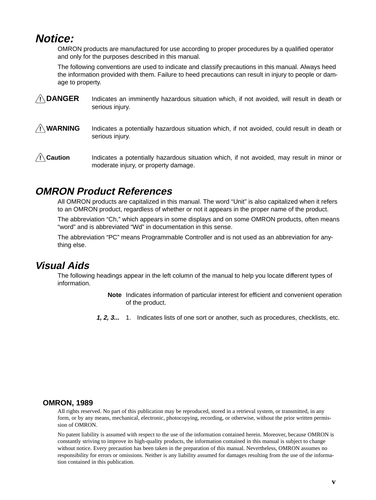# **Notice:**

OMRON products are manufactured for use according to proper procedures by a qualified operator and only for the purposes described in this manual.

The following conventions are used to indicate and classify precautions in this manual. Always heed the information provided with them. Failure to heed precautions can result in injury to people or damage to property.

- **/!\DANGER DANGER** Indicates an imminently hazardous situation which, if not avoided, will result in death or serious injury.
- **! WARNING** Indicates a potentially hazardous situation which, if not avoided, could result in death or serious injury.
- **/!∖** Caution **Caution** Indicates a potentially hazardous situation which, if not avoided, may result in minor or moderate injury, or property damage.

# **OMRON Product References**

All OMRON products are capitalized in this manual. The word "Unit" is also capitalized when it refers to an OMRON product, regardless of whether or not it appears in the proper name of the product.

The abbreviation "Ch," which appears in some displays and on some OMRON products, often means "word" and is abbreviated "Wd" in documentation in this sense.

The abbreviation "PC" means Programmable Controller and is not used as an abbreviation for anything else.

# **Visual Aids**

The following headings appear in the left column of the manual to help you locate different types of information.

- **Note** Indicates information of particular interest for efficient and convenient operation of the product.
- **1, 2, 3...** 1. Indicates lists of one sort or another, such as procedures, checklists, etc.

## **OMRON, 1989**

All rights reserved. No part of this publication may be reproduced, stored in a retrieval system, or transmitted, in any form, or by any means, mechanical, electronic, photocopying, recording, or otherwise, without the prior written permission of OMRON.

No patent liability is assumed with respect to the use of the information contained herein. Moreover, because OMRON is constantly striving to improve its high-quality products, the information contained in this manual is subject to change without notice. Every precaution has been taken in the preparation of this manual. Nevertheless, OMRON assumes no responsibility for errors or omissions. Neither is any liability assumed for damages resulting from the use of the information contained in this publication.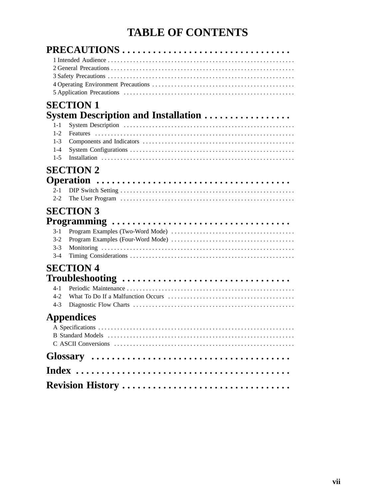# **TABLE OF CONTENTS**

|                                                 | PRECAUTIONS                         |
|-------------------------------------------------|-------------------------------------|
|                                                 | <b>SECTION 1</b>                    |
|                                                 | System Description and Installation |
| $1 - 1$<br>$1-2$<br>$1 - 3$<br>$1 - 4$<br>$1-5$ |                                     |
|                                                 | <b>SECTION 2</b>                    |
|                                                 |                                     |
| $2 - 1$<br>$2 - 2$                              |                                     |
|                                                 | <b>SECTION 3</b>                    |
| $3-1$<br>$3-2$<br>$3 - 3$<br>$3-4$              |                                     |
|                                                 | <b>SECTION 4</b>                    |
|                                                 | Troubleshooting                     |
| $4 - 1$<br>$4 - 2$<br>$4-3$                     |                                     |
|                                                 | <b>Appendices</b>                   |
|                                                 |                                     |
|                                                 |                                     |
|                                                 |                                     |
|                                                 | Revision History                    |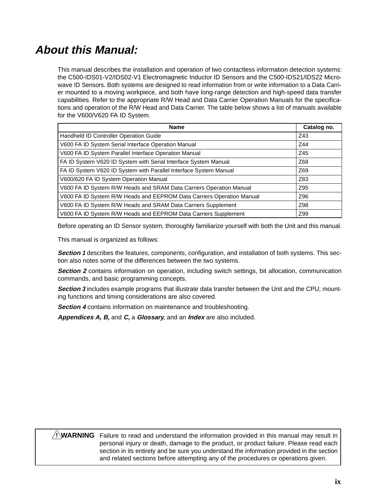# **About this Manual:**

This manual describes the installation and operation of two contactless information detection systems: the C500-IDS01-V2/IDS02-V1 Electromagnetic Inductor ID Sensors and the C500-IDS21/IDS22 Microwave ID Sensors. Both systems are designed to read information from or write information to a Data Carrier mounted to a moving workpiece, and both have long-range detection and high-speed data transfer capabilities. Refer to the appropriate R/W Head and Data Carrier Operation Manuals for the specifications and operation of the R/W Head and Data Carrier. The table below shows a list of manuals available for the V600/V620 FA ID System.

| <b>Name</b>                                                           | Catalog no. |
|-----------------------------------------------------------------------|-------------|
| Handheld ID Controller Operation Guide                                | Z43         |
| V600 FA ID System Serial Interface Operation Manual                   | Z44         |
| V600 FA ID System Parallel Interface Operation Manual                 | Z45         |
| FA ID System V620 ID System with Serial Interface System Manual       | Z68         |
| FA ID System V620 ID System with Parallel Interface System Manual     | Z69         |
| V600/620 FA ID System Operation Manual                                | Z83         |
| V600 FA ID System R/W Heads and SRAM Data Carriers Operation Manual   | Z95         |
| V600 FA ID System R/W Heads and EEPROM Data Carriers Operation Manual | Z96         |
| V600 FA ID System R/W Heads and SRAM Data Carriers Supplement         | Z98         |
| V600 FA ID System R/W Heads and EEPROM Data Carriers Supplement       | Z99         |

Before operating an ID Sensor system, thoroughly familiarize yourself with both the Unit and this manual.

This manual is organized as follows:

**Section 1** describes the features, components, configuration, and installation of both systems. This section also notes some of the differences between the two systems.

**Section 2** contains information on operation, including switch settings, bit allocation, communication commands, and basic programming concepts.

**Section 3** includes example programs that illustrate data transfer between the Unit and the CPU; mounting functions and timing considerations are also covered.

**Section 4** contains information on maintenance and troubleshooting.

**Appendices A, B,** and **C,** a **Glossary**, and an **Index** are also included.

## **WARNING** Failure to read and understand the information provided in this manual may result in **!**personal injury or death, damage to the product, or product failure. Please read each section in its entirety and be sure you understand the information provided in the section and related sections before attempting any of the procedures or operations given.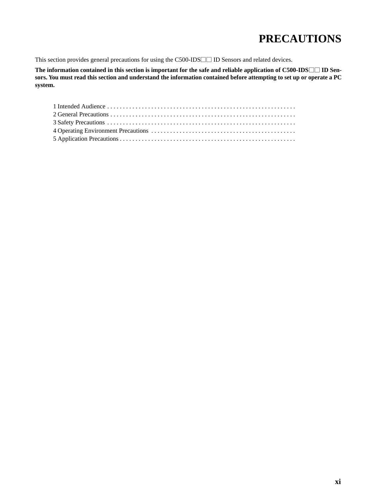# **PRECAUTIONS**

This section provides general precautions for using the C500-IDS ID Sensors and related devices.

**The information contained in this section is important for the safe and reliable application of C500-IDS ID Sensors. You must read this section and understand the information contained before attempting to set up or operate a PC system.**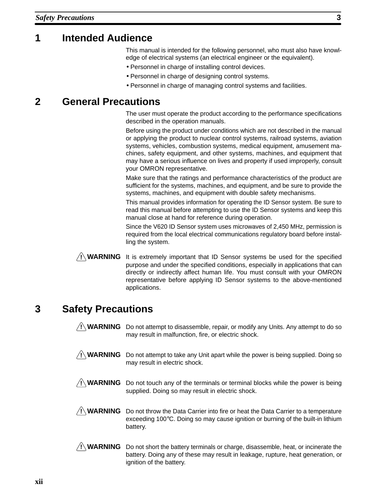# **1 Intended Audience**

This manual is intended for the following personnel, who must also have knowledge of electrical systems (an electrical engineer or the equivalent).

- Personnel in charge of installing control devices.
- Personnel in charge of designing control systems.
- Personnel in charge of managing control systems and facilities.

# **2 General Precautions**

The user must operate the product according to the performance specifications described in the operation manuals.

Before using the product under conditions which are not described in the manual or applying the product to nuclear control systems, railroad systems, aviation systems, vehicles, combustion systems, medical equipment, amusement machines, safety equipment, and other systems, machines, and equipment that may have a serious influence on lives and property if used improperly, consult your OMRON representative.

Make sure that the ratings and performance characteristics of the product are sufficient for the systems, machines, and equipment, and be sure to provide the systems, machines, and equipment with double safety mechanisms.

This manual provides information for operating the ID Sensor system. Be sure to read this manual before attempting to use the ID Sensor systems and keep this manual close at hand for reference during operation.

Since the V620 ID Sensor system uses microwaves of 2,450 MHz, permission is required from the local electrical communications regulatory board before installing the system.

**! WARNING** It is extremely important that ID Sensor systems be used for the specified purpose and under the specified conditions, especially in applications that can directly or indirectly affect human life. You must consult with your OMRON representative before applying ID Sensor systems to the above-mentioned applications.

# **3 Safety Precautions**

**! WARNING** Do not attempt to disassemble, repair, or modify any Units. Any attempt to do so may result in malfunction, fire, or electric shock.

- **! WARNING** Do not attempt to take any Unit apart while the power is being supplied. Doing so may result in electric shock.
- **! WARNING** Do not touch any of the terminals or terminal blocks while the power is being supplied. Doing so may result in electric shock.
- **! WARNING** Do not throw the Data Carrier into fire or heat the Data Carrier to a temperature exceeding 100°C. Doing so may cause ignition or burning of the built-in lithium battery.
- **! WARNING** Do not short the battery terminals or charge, disassemble, heat, or incinerate the battery. Doing any of these may result in leakage, rupture, heat generation, or ignition of the battery.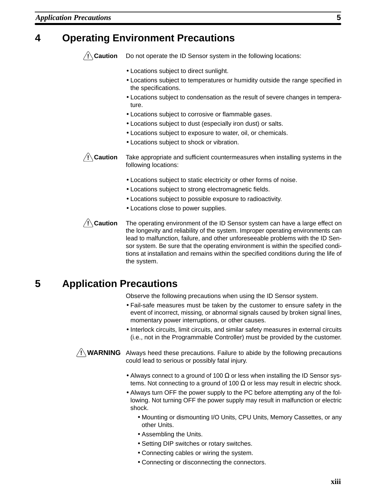# **4 Operating Environment Precautions**

/**!**∖Caution

Do not operate the ID Sensor system in the following locations:

- Locations subject to direct sunlight.
- Locations subject to temperatures or humidity outside the range specified in the specifications.
- Locations subject to condensation as the result of severe changes in temperature.
- Locations subject to corrosive or flammable gases.
- Locations subject to dust (especially iron dust) or salts.
- Locations subject to exposure to water, oil, or chemicals.
- Locations subject to shock or vibration.
- **/!**∖Caution

Take appropriate and sufficient countermeasures when installing systems in the following locations:

- Locations subject to static electricity or other forms of noise.
- Locations subject to strong electromagnetic fields.
- Locations subject to possible exposure to radioactivity.
- Locations close to power supplies.



The operating environment of the ID Sensor system can have a large effect on the longevity and reliability of the system. Improper operating environments can lead to malfunction, failure, and other unforeseeable problems with the ID Sensor system. Be sure that the operating environment is within the specified conditions at installation and remains within the specified conditions during the life of the system.

# **5 Application Precautions**

Observe the following precautions when using the ID Sensor system.

- Fail-safe measures must be taken by the customer to ensure safety in the event of incorrect, missing, or abnormal signals caused by broken signal lines, momentary power interruptions, or other causes.
- Interlock circuits, limit circuits, and similar safety measures in external circuits (i.e., not in the Programmable Controller) must be provided by the customer.

**! WARNING** Always heed these precautions. Failure to abide by the following precautions could lead to serious or possibly fatal injury.

- Always connect to a ground of 100  $\Omega$  or less when installing the ID Sensor systems. Not connecting to a ground of 100  $Ω$  or less may result in electric shock.
- Always turn OFF the power supply to the PC before attempting any of the following. Not turning OFF the power supply may result in malfunction or electric shock.
	- Mounting or dismounting I/O Units, CPU Units, Memory Cassettes, or any other Units.
	- Assembling the Units.
	- Setting DIP switches or rotary switches.
	- Connecting cables or wiring the system.
	- Connecting or disconnecting the connectors.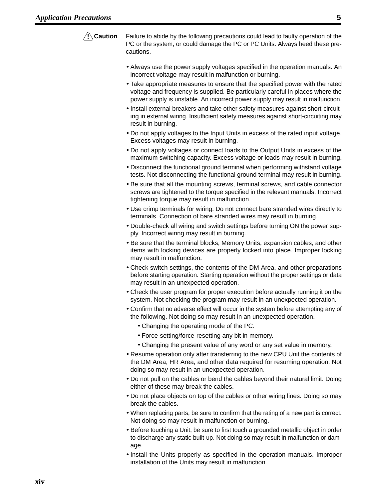

Failure to abide by the following precautions could lead to faulty operation of the PC or the system, or could damage the PC or PC Units. Always heed these precautions.

- Always use the power supply voltages specified in the operation manuals. An incorrect voltage may result in malfunction or burning.
- Take appropriate measures to ensure that the specified power with the rated voltage and frequency is supplied. Be particularly careful in places where the power supply is unstable. An incorrect power supply may result in malfunction.
- Install external breakers and take other safety measures against short-circuiting in external wiring. Insufficient safety measures against short-circuiting may result in burning.
- Do not apply voltages to the Input Units in excess of the rated input voltage. Excess voltages may result in burning.
- Do not apply voltages or connect loads to the Output Units in excess of the maximum switching capacity. Excess voltage or loads may result in burning.
- Disconnect the functional ground terminal when performing withstand voltage tests. Not disconnecting the functional ground terminal may result in burning.
- Be sure that all the mounting screws, terminal screws, and cable connector screws are tightened to the torque specified in the relevant manuals. Incorrect tightening torque may result in malfunction.
- Use crimp terminals for wiring. Do not connect bare stranded wires directly to terminals. Connection of bare stranded wires may result in burning.
- Double-check all wiring and switch settings before turning ON the power supply. Incorrect wiring may result in burning.
- Be sure that the terminal blocks, Memory Units, expansion cables, and other items with locking devices are properly locked into place. Improper locking may result in malfunction.
- Check switch settings, the contents of the DM Area, and other preparations before starting operation. Starting operation without the proper settings or data may result in an unexpected operation.
- Check the user program for proper execution before actually running it on the system. Not checking the program may result in an unexpected operation.
- Confirm that no adverse effect will occur in the system before attempting any of the following. Not doing so may result in an unexpected operation.
	- Changing the operating mode of the PC.
	- Force-setting/force-resetting any bit in memory.
	- Changing the present value of any word or any set value in memory.
- Resume operation only after transferring to the new CPU Unit the contents of the DM Area, HR Area, and other data required for resuming operation. Not doing so may result in an unexpected operation.
- Do not pull on the cables or bend the cables beyond their natural limit. Doing either of these may break the cables.
- Do not place objects on top of the cables or other wiring lines. Doing so may break the cables.
- When replacing parts, be sure to confirm that the rating of a new part is correct. Not doing so may result in malfunction or burning.
- Before touching a Unit, be sure to first touch a grounded metallic object in order to discharge any static built-up. Not doing so may result in malfunction or damage.
- Install the Units properly as specified in the operation manuals. Improper installation of the Units may result in malfunction.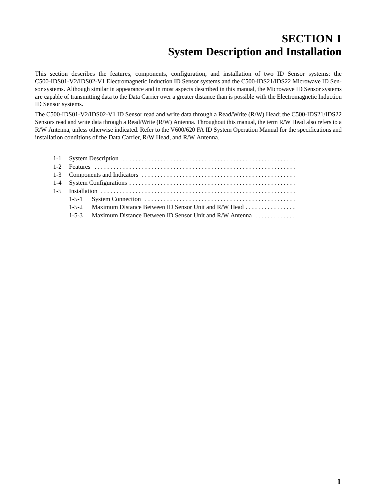# **SECTION 1 System Description and Installation**

This section describes the features, components, configuration, and installation of two ID Sensor systems: the C500-IDS01-V2/IDS02-V1 Electromagnetic Induction ID Sensor systems and the C500-IDS21/IDS22 Microwave ID Sensor systems. Although similar in appearance and in most aspects described in this manual, the Microwave ID Sensor systems are capable of transmitting data to the Data Carrier over a greater distance than is possible with the Electromagnetic Induction ID Sensor systems.

The C500-IDS01-V2/IDS02-V1 ID Sensor read and write data through a Read/Write (R/W) Head; the C500-IDS21/IDS22 Sensors read and write data through a Read/Write (R/W) Antenna. Throughout this manual, the term R/W Head also refers to a R/W Antenna, unless otherwise indicated. Refer to the V600/620 FA ID System Operation Manual for the specifications and installation conditions of the Data Carrier, R/W Head, and R/W Antenna.

| $1 - 5 - 2$ | Maximum Distance Between ID Sensor Unit and R/W Head $\ldots$ ,,,,,,,,,,,,,, |
|-------------|------------------------------------------------------------------------------|
| $1 - 5 - 3$ | Maximum Distance Between ID Sensor Unit and R/W Antenna                      |
|             |                                                                              |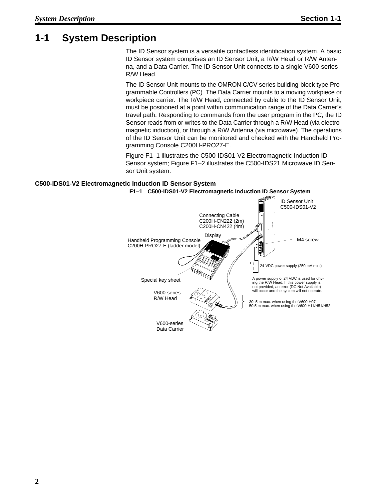# **1-1 System Description**

The ID Sensor system is a versatile contactless identification system. A basic ID Sensor system comprises an ID Sensor Unit, a R/W Head or R/W Antenna, and a Data Carrier. The ID Sensor Unit connects to a single V600-series R/W Head.

The ID Sensor Unit mounts to the OMRON C/CV-series building-block type Programmable Controllers (PC). The Data Carrier mounts to a moving workpiece or workpiece carrier. The R/W Head, connected by cable to the ID Sensor Unit, must be positioned at a point within communication range of the Data Carrier's travel path. Responding to commands from the user program in the PC, the ID Sensor reads from or writes to the Data Carrier through a R/W Head (via electromagnetic induction), or through a R/W Antenna (via microwave). The operations of the ID Sensor Unit can be monitored and checked with the Handheld Programming Console C200H-PRO27-E.

Figure F1–1 illustrates the C500-IDS01-V2 Electromagnetic Induction ID Sensor system; Figure F1–2 illustrates the C500-IDS21 Microwave ID Sensor Unit system.

## **C500-IDS01-V2 Electromagnetic Induction ID Sensor System**

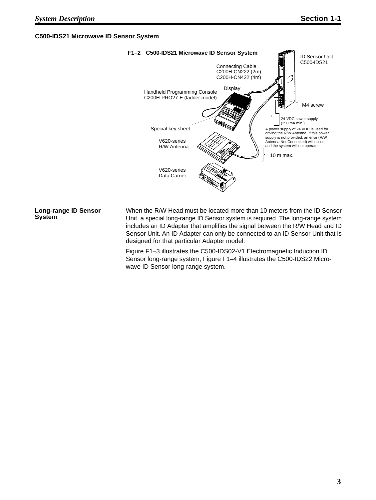## **C500-IDS21 Microwave ID Sensor System**



When the R/W Head must be located more than 10 meters from the ID Sensor Unit, a special long-range ID Sensor system is required. The long-range system includes an ID Adapter that amplifies the signal between the R/W Head and ID Sensor Unit. An ID Adapter can only be connected to an ID Sensor Unit that is designed for that particular Adapter model. **Long-range ID Sensor System**

> Figure F1–3 illustrates the C500-IDS02-V1 Electromagnetic Induction ID Sensor long-range system; Figure F1–4 illustrates the C500-IDS22 Microwave ID Sensor long-range system.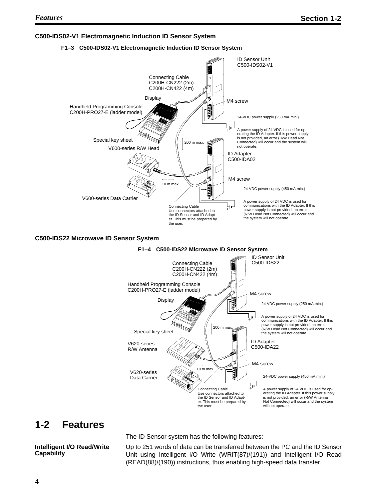# **C500-IDS02-V1 Electromagnetic Induction ID Sensor System**

### **F1–3 C500-IDS02-V1 Electromagnetic Induction ID Sensor System**



**C500-IDS22 Microwave ID Sensor System**





# **1-2 Features**

**Intelligent I/O Read/Write Capability**

The ID Sensor system has the following features:

Up to 251 words of data can be transferred between the PC and the ID Sensor Unit using Intelligent I/O Write (WRIT(87)/(191)) and Intelligent I/O Read (READ(88)/(190)) instructions, thus enabling high-speed data transfer.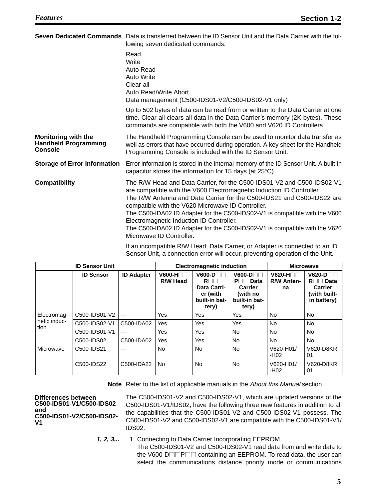|                                                                             | Seven Dedicated Commands Data is transferred between the ID Sensor Unit and the Data Carrier with the fol-<br>lowing seven dedicated commands:                                                                                                                                                                                                                                                                                                                                                                       |
|-----------------------------------------------------------------------------|----------------------------------------------------------------------------------------------------------------------------------------------------------------------------------------------------------------------------------------------------------------------------------------------------------------------------------------------------------------------------------------------------------------------------------------------------------------------------------------------------------------------|
|                                                                             | Read<br>Write<br>Auto Read<br>Auto Write<br>Clear-all<br>Auto Read/Write Abort<br>Data management (C500-IDS01-V2/C500-IDS02-V1 only)                                                                                                                                                                                                                                                                                                                                                                                 |
|                                                                             | Up to 502 bytes of data can be read from or written to the Data Carrier at one<br>time. Clear-all clears all data in the Data Carrier's memory (2K bytes). These<br>commands are compatible with both the V600 and V620 ID Controllers.                                                                                                                                                                                                                                                                              |
| <b>Monitoring with the</b><br><b>Handheld Programming</b><br><b>Console</b> | The Handheld Programming Console can be used to monitor data transfer as<br>well as errors that have occurred during operation. A key sheet for the Handheld<br>Programming Console is included with the ID Sensor Unit.                                                                                                                                                                                                                                                                                             |
| <b>Storage of Error Information</b>                                         | Error information is stored in the internal memory of the ID Sensor Unit. A built-in<br>capacitor stores the information for 15 days (at $25^{\circ}$ C).                                                                                                                                                                                                                                                                                                                                                            |
| <b>Compatibility</b>                                                        | The R/W Head and Data Carrier, for the C500-IDS01-V2 and C500-IDS02-V1<br>are compatible with the V600 Electromagnetic Induction ID Controller.<br>The R/W Antenna and Data Carrier for the C500-IDS21 and C500-IDS22 are<br>compatible with the V620 Microwave ID Controller.<br>The C500-IDA02 ID Adapter for the C500-IDS02-V1 is compatible with the V600<br>Electromagnetic Induction ID Controller.<br>The C500-IDA02 ID Adapter for the C500-IDS02-V1 is compatible with the V620<br>Microwave ID Controller. |
|                                                                             | If an incompatible R/W Head. Data Carrier, or Adapter is connected to an ID                                                                                                                                                                                                                                                                                                                                                                                                                                          |

If an incompatible R/W Head, Data Carrier, or Adapter is connected to an ID Sensor Unit, a connection error will occur, preventing operation of the Unit.

| <b>ID Sensor Unit</b> |                  |                   | <b>Electromagnetic induction</b> |                                                                                |                                                                                        | <b>Microwave</b>                    |                                                                                 |
|-----------------------|------------------|-------------------|----------------------------------|--------------------------------------------------------------------------------|----------------------------------------------------------------------------------------|-------------------------------------|---------------------------------------------------------------------------------|
|                       | <b>ID Sensor</b> | <b>ID Adapter</b> | $V600-H$<br><b>R/W Head</b>      | $V600-D$<br>$R \Box \Box$<br>Data Carri-<br>er (with<br>built-in bat-<br>tery) | $V600-D$<br>$P \Box \Box$ Data<br><b>Carrier</b><br>(with no<br>built-in bat-<br>tery) | $V620-H$<br><b>R/W Anten-</b><br>na | $V620-D$<br>$R \Box \Box$ Data<br><b>Carrier</b><br>(with built-<br>in battery) |
| Electromag-           | C500-IDS01-V2    | $---$             | Yes                              | <b>Yes</b>                                                                     | Yes                                                                                    | <b>No</b>                           | <b>No</b>                                                                       |
| netic induc-<br>tion  | C500-IDS02-V1    | C500-IDA02        | Yes                              | <b>Yes</b>                                                                     | Yes                                                                                    | <b>No</b>                           | <b>No</b>                                                                       |
|                       | C500-IDS01-V1    | $---$             | Yes                              | Yes                                                                            | <b>No</b>                                                                              | <b>No</b>                           | <b>No</b>                                                                       |
|                       | C500-IDS02       | C500-IDA02        | Yes                              | <b>Yes</b>                                                                     | <b>No</b>                                                                              | <b>No</b>                           | <b>No</b>                                                                       |
| Microwave             | C500-IDS21       | ---               | N <sub>o</sub>                   | <b>No</b>                                                                      | <b>No</b>                                                                              | V620-H01/<br>$-H02$                 | V620-D8KR<br>01                                                                 |
|                       | C500-IDS22       | C500-IDA22        | No                               | <b>No</b>                                                                      | <b>No</b>                                                                              | V620-H01/<br>$-H02$                 | V620-D8KR<br>01                                                                 |

**Note** Refer to the list of applicable manuals in the About this Manual section.

**Differences between C500-IDS01-V1/C500-IDS02 and C500-IDS01-V2/C500-IDS02- V1**

The C500-IDS01-V2 and C500-IDS02-V1, which are updated versions of the C500-IDS01-V1/IDS02, have the following three new features in addition to all the capabilities that the C500-IDS01-V2 and C500-IDS02-V1 possess. The C500-IDS01-V2 and C500-IDS02-V1 are compatible with the C500-IDS01-V1/ IDS02.

**1, 2, 3...** 1. Connecting to Data Carrier Incorporating EEPROM The C500-IDS01-V2 and C500-IDS02-V1 read data from and write data to the V600-D $\Box$ P $\Box$  containing an EEPROM. To read data, the user can select the communications distance priority mode or communications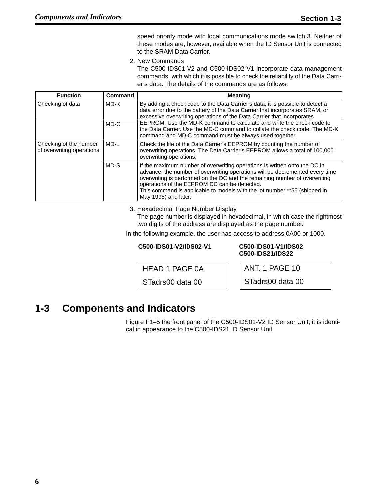speed priority mode with local communications mode switch 3. Neither of these modes are, however, available when the ID Sensor Unit is connected to the SRAM Data Carrier.

2. New Commands

The C500-IDS01-V2 and C500-IDS02-V1 incorporate data management commands, with which it is possible to check the reliability of the Data Carrier's data. The details of the commands are as follows:

| <b>Function</b>                                     | Command | <b>Meaning</b>                                                                                                                                                                                                                                                                                                                                                                               |
|-----------------------------------------------------|---------|----------------------------------------------------------------------------------------------------------------------------------------------------------------------------------------------------------------------------------------------------------------------------------------------------------------------------------------------------------------------------------------------|
| Checking of data                                    | MD-K    | By adding a check code to the Data Carrier's data, it is possible to detect a<br>data error due to the battery of the Data Carrier that incorporates SRAM, or<br>excessive overwriting operations of the Data Carrier that incorporates                                                                                                                                                      |
|                                                     | $MD-C$  | EEPROM. Use the MD-K command to calculate and write the check code to<br>the Data Carrier. Use the MD-C command to collate the check code. The MD-K<br>command and MD-C command must be always used together.                                                                                                                                                                                |
| Checking of the number<br>of overwriting operations | MD-L    | Check the life of the Data Carrier's EEPROM by counting the number of<br>overwriting operations. The Data Carrier's EEPROM allows a total of 100,000<br>overwriting operations.                                                                                                                                                                                                              |
|                                                     | MD-S    | If the maximum number of overwriting operations is written onto the DC in<br>advance, the number of overwriting operations will be decremented every time<br>overwriting is performed on the DC and the remaining number of overwriting<br>operations of the EEPROM DC can be detected.<br>This command is applicable to models with the lot number **55 (shipped in<br>May 1995) and later. |

3. Hexadecimal Page Number Display

The page number is displayed in hexadecimal, in which case the rightmost two digits of the address are displayed as the page number.

In the following example, the user has access to address 0A00 or 1000.

## **C500-IDS01-V2/IDS02-V1 C500-IDS01-V1/IDS02**

# **C500-IDS21/IDS22**

# HEAD 1 PAGE 0A

STadrs00 data 00

ANT. 1 PAGE 10

STadrs00 data 00

# **1-3 Components and Indicators**

Figure F1–5 the front panel of the C500-IDS01-V2 ID Sensor Unit; it is identical in appearance to the C500-IDS21 ID Sensor Unit.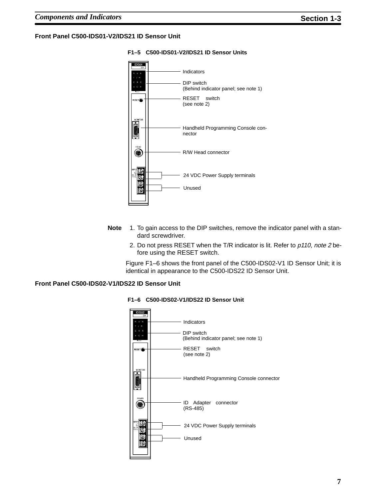#### **Front Panel C500-IDS01-V2/IDS21 ID Sensor Unit**



**F1–5 C500-IDS01-V2/IDS21 ID Sensor Units**

- **Note** 1. To gain access to the DIP switches, remove the indicator panel with a standard screwdriver.
	- 2. Do not press RESET when the T/R indicator is lit. Refer to p110, note 2 before using the RESET switch.

Figure F1–6 shows the front panel of the C500-IDS02-V1 ID Sensor Unit; it is identical in appearance to the C500-IDS22 ID Sensor Unit.

#### **Front Panel C500-IDS02-V1/IDS22 ID Sensor Unit**



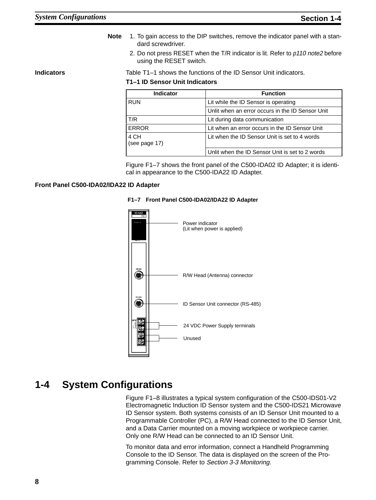- **Note** 1. To gain access to the DIP switches, remove the indicator panel with a standard screwdriver.
	- 2. Do not press RESET when the T/R indicator is lit. Refer to p110 note2 before using the RESET switch.

**Indicators** Table T1–1 shows the functions of the ID Sensor Unit indicators.

**T1–1 ID Sensor Unit Indicators**

| Indicator             | <b>Function</b>                                  |
|-----------------------|--------------------------------------------------|
| <b>RUN</b>            | Lit while the ID Sensor is operating             |
|                       | Unlit when an error occurs in the ID Sensor Unit |
| T/R                   | Lit during data communication                    |
| <b>ERROR</b>          | Lit when an error occurs in the ID Sensor Unit   |
| 4 CH<br>(see page 17) | Lit when the ID Sensor Unit is set to 4 words    |
|                       | Unlit when the ID Sensor Unit is set to 2 words  |

Figure F1–7 shows the front panel of the C500-IDA02 ID Adapter; it is identical in appearance to the C500-IDA22 ID Adapter.

#### **Front Panel C500-IDA02/IDA22 ID Adapter**





# **1-4 System Configurations**

Figure F1–8 illustrates a typical system configuration of the C500-IDS01-V2 Electromagnetic Induction ID Sensor system and the C500-IDS21 Microwave ID Sensor system. Both systems consists of an ID Sensor Unit mounted to a Programmable Controller (PC), a R/W Head connected to the ID Sensor Unit, and a Data Carrier mounted on a moving workpiece or workpiece carrier. Only one R/W Head can be connected to an ID Sensor Unit.

To monitor data and error information, connect a Handheld Programming Console to the ID Sensor. The data is displayed on the screen of the Programming Console. Refer to Section 3-3 Monitoring.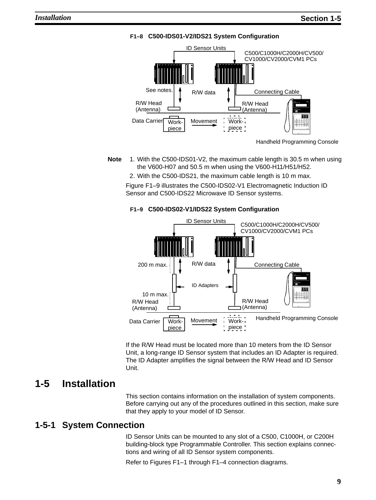



Handheld Programming Console

**Note** 1. With the C500-IDS01-V2, the maximum cable length is 30.5 m when using the V600-H07 and 50.5 m when using the V600-H11/H51/H52.

2. With the C500-IDS21, the maximum cable length is 10 m max.

Figure F1–9 illustrates the C500-IDS02-V1 Electromagnetic Induction ID Sensor and C500-IDS22 Microwave ID Sensor systems.





If the R/W Head must be located more than 10 meters from the ID Sensor Unit, a long-range ID Sensor system that includes an ID Adapter is required. The ID Adapter amplifies the signal between the R/W Head and ID Sensor Unit.

# **1-5 Installation**

This section contains information on the installation of system components. Before carrying out any of the procedures outlined in this section, make sure that they apply to your model of ID Sensor.

# **1-5-1 System Connection**

ID Sensor Units can be mounted to any slot of a C500, C1000H, or C200H building-block type Programmable Controller. This section explains connections and wiring of all ID Sensor system components.

Refer to Figures F1–1 through F1–4 connection diagrams.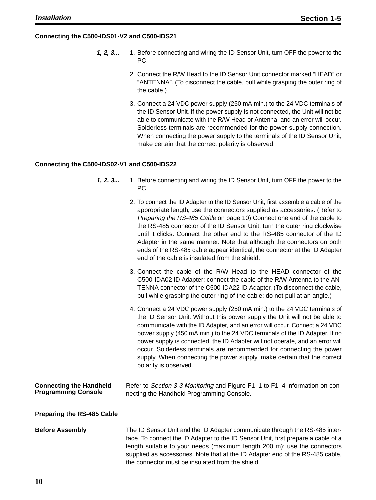## **Connecting the C500-IDS01-V2 and C500-IDS21**

- **1, 2, 3...** 1. Before connecting and wiring the ID Sensor Unit, turn OFF the power to the PC.
	- 2. Connect the R/W Head to the ID Sensor Unit connector marked "HEAD" or "ANTENNA". (To disconnect the cable, pull while grasping the outer ring of the cable.)
	- 3. Connect a 24 VDC power supply (250 mA min.) to the 24 VDC terminals of the ID Sensor Unit. If the power supply is not connected, the Unit will not be able to communicate with the R/W Head or Antenna, and an error will occur. Solderless terminals are recommended for the power supply connection. When connecting the power supply to the terminals of the ID Sensor Unit, make certain that the correct polarity is observed.

# **Connecting the C500-IDS02-V1 and C500-IDS22**

**1, 2, 3...** 1. Before connecting and wiring the ID Sensor Unit, turn OFF the power to the PC.

supplied as accessories. Note that at the ID Adapter end of the RS-485 cable,

|                                                              | 2. To connect the ID Adapter to the ID Sensor Unit, first assemble a cable of the<br>appropriate length; use the connectors supplied as accessories. (Refer to<br>Preparing the RS-485 Cable on page 10) Connect one end of the cable to<br>the RS-485 connector of the ID Sensor Unit; turn the outer ring clockwise<br>until it clicks. Connect the other end to the RS-485 connector of the ID<br>Adapter in the same manner. Note that although the connectors on both<br>ends of the RS-485 cable appear identical, the connector at the ID Adapter<br>end of the cable is insulated from the shield. |
|--------------------------------------------------------------|------------------------------------------------------------------------------------------------------------------------------------------------------------------------------------------------------------------------------------------------------------------------------------------------------------------------------------------------------------------------------------------------------------------------------------------------------------------------------------------------------------------------------------------------------------------------------------------------------------|
|                                                              | 3. Connect the cable of the R/W Head to the HEAD connector of the<br>C500-IDA02 ID Adapter; connect the cable of the R/W Antenna to the AN-<br>TENNA connector of the C500-IDA22 ID Adapter. (To disconnect the cable,<br>pull while grasping the outer ring of the cable; do not pull at an angle.)                                                                                                                                                                                                                                                                                                       |
|                                                              | 4. Connect a 24 VDC power supply (250 mA min.) to the 24 VDC terminals of<br>the ID Sensor Unit. Without this power supply the Unit will not be able to<br>communicate with the ID Adapter, and an error will occur. Connect a 24 VDC<br>power supply (450 mA min.) to the 24 VDC terminals of the ID Adapter. If no<br>power supply is connected, the ID Adapter will not operate, and an error will<br>occur. Solderless terminals are recommended for connecting the power<br>supply. When connecting the power supply, make certain that the correct<br>polarity is observed.                          |
| <b>Connecting the Handheld</b><br><b>Programming Console</b> | Refer to Section 3-3 Monitoring and Figure F1-1 to F1-4 information on con-<br>necting the Handheld Programming Console.                                                                                                                                                                                                                                                                                                                                                                                                                                                                                   |
| <b>Preparing the RS-485 Cable</b>                            |                                                                                                                                                                                                                                                                                                                                                                                                                                                                                                                                                                                                            |
| <b>Before Assembly</b>                                       | The ID Sensor Unit and the ID Adapter communicate through the RS-485 inter-<br>face. To connect the ID Adapter to the ID Sensor Unit, first prepare a cable of a<br>length suitable to your needs (maximum length 200 m); use the connectors                                                                                                                                                                                                                                                                                                                                                               |

the connector must be insulated from the shield.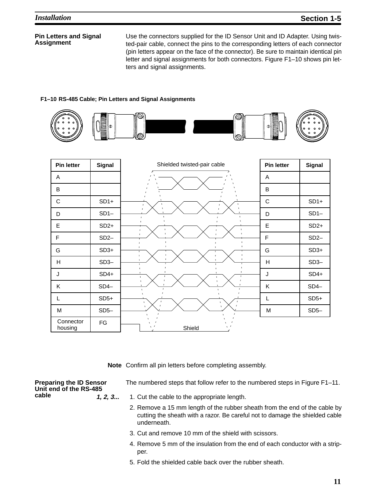# *Installation* **Section 1-5**

#### **Pin Letters and Signal Assignment**

Use the connectors supplied for the ID Sensor Unit and ID Adapter. Using twisted-pair cable, connect the pins to the corresponding letters of each connector (pin letters appear on the face of the connector). Be sure to maintain identical pin letter and signal assignments for both connectors. Figure F1–10 shows pin letters and signal assignments.

## **F1–10 RS-485 Cable; Pin Letters and Signal Assignments**



| <b>Pin letter</b>    | Signal | Shielded twisted-pair cable                                  | <b>Pin letter</b> | Signal |
|----------------------|--------|--------------------------------------------------------------|-------------------|--------|
| Α                    |        | $\mathcal{F}^{\mathcal{A}}$                                  | Α                 |        |
| B                    |        |                                                              | B                 |        |
| $\mathsf C$          | $SD1+$ | $\mathbf{r}$                                                 | $\mathsf{C}$      | $SD1+$ |
| D                    | $SD1-$ | $\mathbf{I}$                                                 | D                 | $SD1-$ |
| E                    | $SD2+$ | $\mathbf{I}$<br>$\mathbf{I}$                                 | E                 | $SD2+$ |
| F                    | $SD2-$ | $\mathbf{I}$                                                 | $\mathsf{F}$      | $SD2-$ |
| G                    | $SD3+$ | $\mathbf{L}$                                                 | G                 | $SD3+$ |
| H                    | $SD3-$ |                                                              | Н                 | $SD3-$ |
| J                    | $SD4+$ | $\mathbf{I}$<br>$\sqrt{2}$                                   | J                 | $SD4+$ |
| Κ                    | $SD4-$ | $\mathbf{I}$<br>$\mathbf{r}$<br>$\mathbf{r}$<br>$\mathbf{r}$ | Κ                 | $SD4-$ |
| L                    | $SD5+$ |                                                              | L                 | $SD5+$ |
| M                    | $SD5-$ |                                                              | M                 | $SD5-$ |
| Connector<br>housing | FG     | Shield                                                       |                   |        |

**Note** Confirm all pin letters before completing assembly.

#### **Preparing the ID Sensor Unit end of the RS-485 cable**

The numbered steps that follow refer to the numbered steps in Figure F1–11.

- **1, 2, 3...** 1. Cut the cable to the appropriate length.
	- 2. Remove a 15 mm length of the rubber sheath from the end of the cable by cutting the sheath with a razor. Be careful not to damage the shielded cable underneath.
	- 3. Cut and remove 10 mm of the shield with scissors.
	- 4. Remove 5 mm of the insulation from the end of each conductor with a stripper.
	- 5. Fold the shielded cable back over the rubber sheath.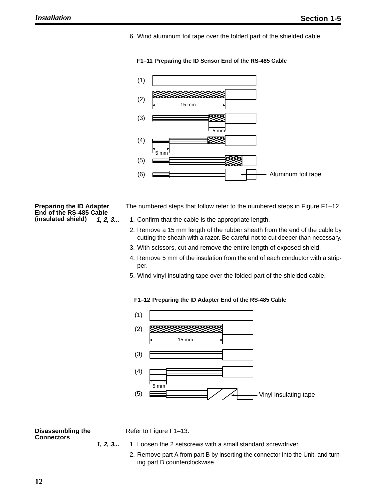6. Wind aluminum foil tape over the folded part of the shielded cable.



#### **F1–11 Preparing the ID Sensor End of the RS-485 Cable**

**Preparing the ID Adapter End of the RS-485 Cable (insulated shield)**

- The numbered steps that follow refer to the numbered steps in Figure F1–12.
- **1, 2, 3...** 1. Confirm that the cable is the appropriate length.
	- 2. Remove a 15 mm length of the rubber sheath from the end of the cable by cutting the sheath with a razor. Be careful not to cut deeper than necessary.
	- 3. With scissors, cut and remove the entire length of exposed shield.
	- 4. Remove 5 mm of the insulation from the end of each conductor with a stripper.
	- 5. Wind vinyl insulating tape over the folded part of the shielded cable.

#### **F1–12 Preparing the ID Adapter End of the RS-485 Cable**



#### **Disassembling the Connectors**

Refer to Figure F1–13.

- **1, 2, 3...** 1. Loosen the 2 setscrews with a small standard screwdriver.
	- 2. Remove part A from part B by inserting the connector into the Unit, and turning part B counterclockwise.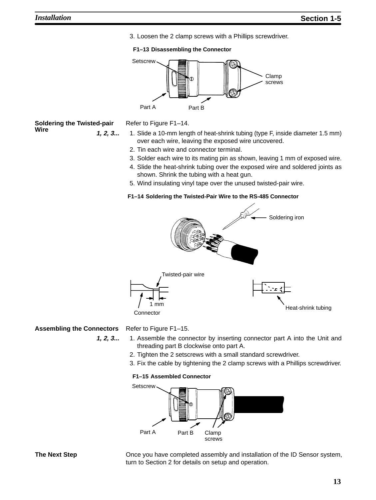3. Loosen the 2 clamp screws with a Phillips screwdriver.

**F1–13 Disassembling the Connector**



#### **Soldering the Twisted-pair Wire**

Refer to Figure F1–14.

- **1, 2, 3...** 1. Slide a 10-mm length of heat-shrink tubing (type F, inside diameter 1.5 mm) over each wire, leaving the exposed wire uncovered.
	- 2. Tin each wire and connector terminal.
	- 3. Solder each wire to its mating pin as shown, leaving 1 mm of exposed wire.
	- 4. Slide the heat-shrink tubing over the exposed wire and soldered joints as shown. Shrink the tubing with a heat gun.
	- 5. Wind insulating vinyl tape over the unused twisted-pair wire.

#### **F1–14 Soldering the Twisted-Pair Wire to the RS-485 Connector**



**Assembling the Connectors**

Refer to Figure F1–15.

- **1, 2, 3...** 1. Assemble the connector by inserting connector part A into the Unit and threading part B clockwise onto part A.
	- 2. Tighten the 2 setscrews with a small standard screwdriver.
	- 3. Fix the cable by tightening the 2 clamp screws with a Phillips screwdriver.

#### **F1–15 Assembled Connector**



**The Next Step Change on Change Step Steps** Once you have completed assembly and installation of the ID Sensor system, turn to Section 2 for details on setup and operation.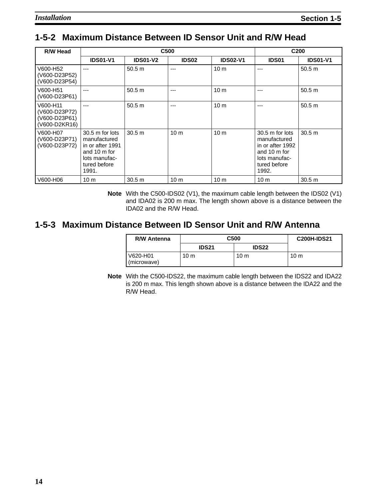# **1-5-2 Maximum Distance Between ID Sensor Unit and R/W Head**

| <b>R/W Head</b>                                             |                                                                                                               | C <sub>500</sub>  | C <sub>200</sub> |                 |                                                                                                               |                   |
|-------------------------------------------------------------|---------------------------------------------------------------------------------------------------------------|-------------------|------------------|-----------------|---------------------------------------------------------------------------------------------------------------|-------------------|
|                                                             | <b>IDS01-V1</b>                                                                                               | <b>IDS01-V2</b>   | <b>IDS02</b>     | <b>IDS02-V1</b> | <b>IDS01</b>                                                                                                  | <b>IDS01-V1</b>   |
| V600-H52<br>(V600-D23P52)<br>(V600-D23P54)                  | ---                                                                                                           | 50.5 m            | ---              | 10 <sub>m</sub> | ---                                                                                                           | 50.5 <sub>m</sub> |
| V600-H51<br>(V600-D23P61)                                   | ---                                                                                                           | 50.5 m            | ---              | 10 <sub>m</sub> | ---                                                                                                           | 50.5 m            |
| V600-H11<br>(V600-D23P72)<br>(V600-D23P61)<br>(V600-D2KR16) | ---                                                                                                           | 50.5 m            |                  | 10 <sub>m</sub> | ---                                                                                                           | 50.5 m            |
| V600-H07<br>(V600-D23P71)<br>(V600-D23P72)                  | 30.5 m for lots<br>manufactured<br>in or after 1991<br>and 10 m for<br>lots manufac-<br>tured before<br>1991. | 30.5 <sub>m</sub> | 10 <sub>m</sub>  | 10 <sub>m</sub> | 30.5 m for lots<br>manufactured<br>in or after 1992<br>and 10 m for<br>lots manufac-<br>tured before<br>1992. | 30.5 <sub>m</sub> |
| V600-H06                                                    | 10 <sub>m</sub>                                                                                               | 30.5 <sub>m</sub> | 10 <sub>m</sub>  | 10 <sub>m</sub> | 10 <sub>m</sub>                                                                                               | 30.5 <sub>m</sub> |

**Note** With the C500-IDS02 (V1), the maximum cable length between the IDS02 (V1) and IDA02 is 200 m max. The length shown above is a distance between the IDA02 and the R/W Head.

# **1-5-3 Maximum Distance Between ID Sensor Unit and R/W Antenna**

| <b>R/W Antenna</b>      | C <sub>500</sub> | C200H-IDS21     |                 |
|-------------------------|------------------|-----------------|-----------------|
|                         | <b>IDS21</b>     | <b>IDS22</b>    |                 |
| V620-H01<br>(microwave) | 10 <sub>m</sub>  | 10 <sub>m</sub> | 10 <sub>m</sub> |

**Note** With the C500-IDS22, the maximum cable length between the IDS22 and IDA22 is 200 m max. This length shown above is a distance between the IDA22 and the R/W Head.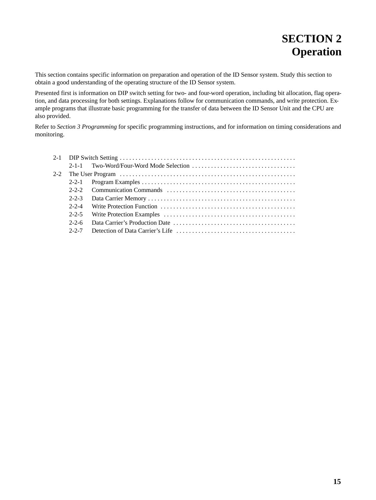# **SECTION 2 Operation**

This section contains specific information on preparation and operation of the ID Sensor system. Study this section to obtain a good understanding of the operating structure of the ID Sensor system.

Presented first is information on DIP switch setting for two- and four-word operation, including bit allocation, flag operation, and data processing for both settings. Explanations follow for communication commands, and write protection. Example programs that illustrate basic programming for the transfer of data between the ID Sensor Unit and the CPU are also provided.

Refer to *Section 3 Programming* for specific programming instructions, and for information on timing considerations and monitoring.

|       | $2 - 1 - 1$ |  |  |  |  |  |  |  |
|-------|-------------|--|--|--|--|--|--|--|
| $2-2$ |             |  |  |  |  |  |  |  |
|       | $2 - 2 - 1$ |  |  |  |  |  |  |  |
|       | $2 - 2 - 2$ |  |  |  |  |  |  |  |
|       | $2 - 2 - 3$ |  |  |  |  |  |  |  |
|       | $2 - 2 - 4$ |  |  |  |  |  |  |  |
|       | $2 - 2 - 5$ |  |  |  |  |  |  |  |
|       | $2 - 2 - 6$ |  |  |  |  |  |  |  |
|       | $2 - 2 - 7$ |  |  |  |  |  |  |  |
|       |             |  |  |  |  |  |  |  |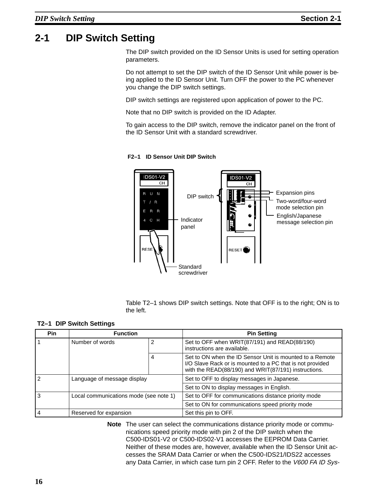# **2-1 DIP Switch Setting**

The DIP switch provided on the ID Sensor Units is used for setting operation parameters.

Do not attempt to set the DIP switch of the ID Sensor Unit while power is being applied to the ID Sensor Unit. Turn OFF the power to the PC whenever you change the DIP switch settings.

DIP switch settings are registered upon application of power to the PC.

Note that no DIP switch is provided on the ID Adapter.

To gain access to the DIP switch, remove the indicator panel on the front of the ID Sensor Unit with a standard screwdriver.



#### **F2–1 ID Sensor Unit DIP Switch**

Table T2–1 shows DIP switch settings. Note that OFF is to the right; ON is to the left.

#### **T2–1 DIP Switch Settings**

| Pin | <b>Function</b>                        |   | <b>Pin Setting</b>                                                                                                                                                            |
|-----|----------------------------------------|---|-------------------------------------------------------------------------------------------------------------------------------------------------------------------------------|
|     | Number of words<br>2                   |   | Set to OFF when WRIT(87/191) and READ(88/190)<br>instructions are available.                                                                                                  |
|     |                                        | 4 | Set to ON when the ID Sensor Unit is mounted to a Remote<br>I/O Slave Rack or is mounted to a PC that is not provided<br>with the READ(88/190) and WRIT(87/191) instructions. |
| 2   | Language of message display            |   | Set to OFF to display messages in Japanese.                                                                                                                                   |
|     |                                        |   | Set to ON to display messages in English.                                                                                                                                     |
| 3   | Local communications mode (see note 1) |   | Set to OFF for communications distance priority mode                                                                                                                          |
|     |                                        |   | Set to ON for communications speed priority mode                                                                                                                              |
| 4   | Reserved for expansion                 |   | Set this pin to OFF.                                                                                                                                                          |

**Note** The user can select the communications distance priority mode or communications speed priority mode with pin 2 of the DIP switch when the C500-IDS01-V2 or C500-IDS02-V1 accesses the EEPROM Data Carrier. Neither of these modes are, however, available when the ID Sensor Unit accesses the SRAM Data Carrier or when the C500-IDS21/IDS22 accesses any Data Carrier, in which case turn pin 2 OFF. Refer to the V600 FA ID Sys-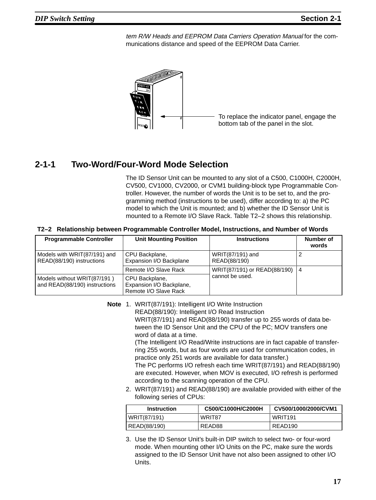tem R/W Heads and EEPROM Data Carriers Operation Manual for the communications distance and speed of the EEPROM Data Carrier.



To replace the indicator panel, engage the bottom tab of the panel in the slot.

# **2-1-1 Two-Word/Four-Word Mode Selection**

The ID Sensor Unit can be mounted to any slot of a C500, C1000H, C2000H, CV500, CV1000, CV2000, or CVM1 building-block type Programmable Controller. However, the number of words the Unit is to be set to, and the programming method (instructions to be used), differ according to: a) the PC model to which the Unit is mounted; and b) whether the ID Sensor Unit is mounted to a Remote I/O Slave Rack. Table T2–2 shows this relationship.

| <b>Programmable Controller</b>                               | <b>Unit Mounting Position</b>                                       | <b>Instructions</b>              | Number of<br>words |
|--------------------------------------------------------------|---------------------------------------------------------------------|----------------------------------|--------------------|
| Models with WRIT(87/191) and<br>READ(88/190) instructions    | CPU Backplane,<br>Expansion I/O Backplane                           | WRIT(87/191) and<br>READ(88/190) |                    |
|                                                              | Remote I/O Slave Rack                                               | WRIT(87/191) or READ(88/190)   4 |                    |
| Models without WRIT(87/191)<br>and READ(88/190) instructions | CPU Backplane,<br>Expansion I/O Backplane,<br>Remote I/O Slave Rack | cannot be used.                  |                    |

#### **T2–2 Relationship between Programmable Controller Model, Instructions, and Number of Words**

**Note** 1. WRIT(87/191): Intelligent I/O Write Instruction

READ(88/190): Intelligent I/O Read Instruction WRIT(87/191) and READ(88/190) transfer up to 255 words of data between the ID Sensor Unit and the CPU of the PC; MOV transfers one word of data at a time. (The Intelligent I/O Read/Write instructions are in fact capable of transferring 255 words, but as four words are used for communication codes, in practice only 251 words are available for data transfer.) The PC performs I/O refresh each time WRIT(87/191) and READ(88/190) are executed. However, when MOV is executed, I/O refresh is performed according to the scanning operation of the CPU.

2. WRIT(87/191) and READ(88/190) are available provided with either of the following series of CPUs:

| Instruction  | C500/C1000H/C2000H | CV500/1000/2000/CVM1 |
|--------------|--------------------|----------------------|
| WRIT(87/191) | WRIT87             | WRIT <sub>191</sub>  |
| READ(88/190) | READ88             | READ <sub>190</sub>  |

3. Use the ID Sensor Unit's built-in DIP switch to select two- or four-word mode. When mounting other I/O Units on the PC, make sure the words assigned to the ID Sensor Unit have not also been assigned to other I/O Units.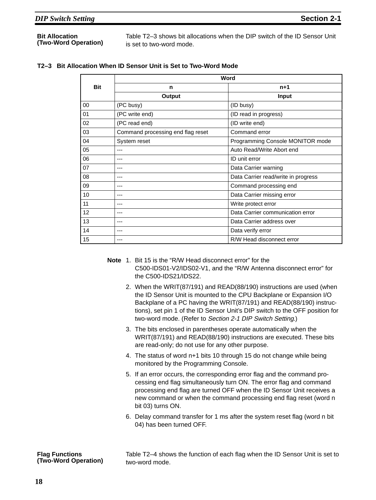#### **Bit Allocation (Two-Word Operation)**

Table T2–3 shows bit allocations when the DIP switch of the ID Sensor Unit is set to two-word mode.

|  |  |  |  |  |  | T2-3 Bit Allocation When ID Sensor Unit is Set to Two-Word Mode |
|--|--|--|--|--|--|-----------------------------------------------------------------|
|--|--|--|--|--|--|-----------------------------------------------------------------|

|            | Word                              |                                     |  |  |  |  |  |
|------------|-----------------------------------|-------------------------------------|--|--|--|--|--|
| <b>Bit</b> | n                                 | $n+1$                               |  |  |  |  |  |
|            | <b>Output</b>                     | Input                               |  |  |  |  |  |
| 00         | (PC busy)                         | (ID busy)                           |  |  |  |  |  |
| 01         | (PC write end)                    | (ID read in progress)               |  |  |  |  |  |
| 02         | (PC read end)                     | (ID write end)                      |  |  |  |  |  |
| 03         | Command processing end flag reset | Command error                       |  |  |  |  |  |
| 04         | System reset                      | Programming Console MONITOR mode    |  |  |  |  |  |
| 05         | ---                               | Auto Read/Write Abort end           |  |  |  |  |  |
| 06         | ---                               | ID unit error                       |  |  |  |  |  |
| 07         | ---                               | Data Carrier warning                |  |  |  |  |  |
| 08         |                                   | Data Carrier read/write in progress |  |  |  |  |  |
| 09         |                                   | Command processing end              |  |  |  |  |  |
| 10         |                                   | Data Carrier missing error          |  |  |  |  |  |
| 11         |                                   | Write protect error                 |  |  |  |  |  |
| 12         |                                   | Data Carrier communication error    |  |  |  |  |  |
| 13         | ---                               | Data Carrier address over           |  |  |  |  |  |
| 14         |                                   | Data verify error                   |  |  |  |  |  |
| 15         |                                   | R/W Head disconnect error           |  |  |  |  |  |

**Note** 1. Bit 15 is the "R/W Head disconnect error" for the C500-IDS01-V2/IDS02-V1, and the "R/W Antenna disconnect error" for the C500-IDS21/IDS22.

- 2. When the WRIT(87/191) and READ(88/190) instructions are used (when the ID Sensor Unit is mounted to the CPU Backplane or Expansion I/O Backplane of a PC having the WRIT(87/191) and READ(88/190) instructions), set pin 1 of the ID Sensor Unit's DIP switch to the OFF position for two-word mode. (Refer to Section 2-1 DIP Switch Setting.)
- 3. The bits enclosed in parentheses operate automatically when the WRIT(87/191) and READ(88/190) instructions are executed. These bits are read-only; do not use for any other purpose.
- 4. The status of word n+1 bits 10 through 15 do not change while being monitored by the Programming Console.
- 5. If an error occurs, the corresponding error flag and the command processing end flag simultaneously turn ON. The error flag and command processing end flag are turned OFF when the ID Sensor Unit receives a new command or when the command processing end flag reset (word n bit 03) turns ON.
- 6. Delay command transfer for 1 ms after the system reset flag (word n bit 04) has been turned OFF.

**Flag Functions (Two-Word Operation)**

Table T2–4 shows the function of each flag when the ID Sensor Unit is set to two-word mode.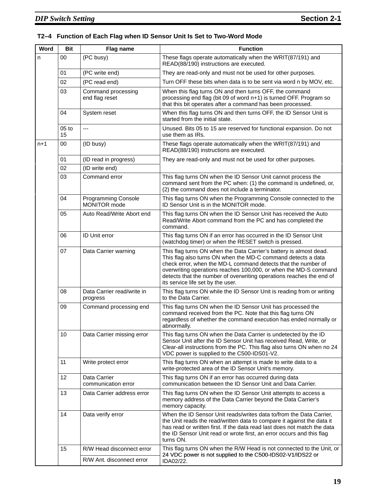| Word  | <b>Bit</b>    | Flag name                              | <b>Function</b>                                                                                                                                                                                                                                                                                                                                                                      |  |
|-------|---------------|----------------------------------------|--------------------------------------------------------------------------------------------------------------------------------------------------------------------------------------------------------------------------------------------------------------------------------------------------------------------------------------------------------------------------------------|--|
| n     | 00            | (PC busy)                              | These flags operate automatically when the WRIT(87/191) and<br>READ(88/190) instructions are executed.                                                                                                                                                                                                                                                                               |  |
|       | 01            | (PC write end)                         | They are read-only and must not be used for other purposes.                                                                                                                                                                                                                                                                                                                          |  |
|       | 02            | (PC read end)                          | Turn OFF these bits when data is to be sent via word n by MOV, etc.                                                                                                                                                                                                                                                                                                                  |  |
|       | 03            | Command processing<br>end flag reset   | When this flag turns ON and then turns OFF, the command<br>processing end flag (bit 09 of word n+1) is turned OFF. Program so<br>that this bit operates after a command has been processed.                                                                                                                                                                                          |  |
|       | 04            | System reset                           | When this flag turns ON and then turns OFF, the ID Sensor Unit is<br>started from the initial state.                                                                                                                                                                                                                                                                                 |  |
|       | $05$ to<br>15 | ---                                    | Unused. Bits 05 to 15 are reserved for functional expansion. Do not<br>use them as IRs.                                                                                                                                                                                                                                                                                              |  |
| $n+1$ | 00            | (ID busy)                              | These flags operate automatically when the WRIT(87/191) and<br>READ(88/190) instructions are executed.                                                                                                                                                                                                                                                                               |  |
|       | 01            | (ID read in progress)                  | They are read-only and must not be used for other purposes.                                                                                                                                                                                                                                                                                                                          |  |
|       | 02            | (ID write end)                         |                                                                                                                                                                                                                                                                                                                                                                                      |  |
|       | 03            | Command error                          | This flag turns ON when the ID Sensor Unit cannot process the<br>command sent from the PC when: (1) the command is undefined, or,<br>(2) the command does not include a terminator.                                                                                                                                                                                                  |  |
|       | 04            | Programming Console<br>MONITOR mode    | This flag turns ON when the Programming Console connected to the<br>ID Sensor Unit is in the MONITOR mode.                                                                                                                                                                                                                                                                           |  |
|       | 05            | Auto Read/Write Abort end              | This flag turns ON when the ID Sensor Unit has received the Auto<br>Read/Write Abort command from the PC and has completed the<br>command.                                                                                                                                                                                                                                           |  |
|       | 06            | <b>ID Unit error</b>                   | This flag turns ON if an error has occurred in the ID Sensor Unit<br>(watchdog timer) or when the RESET switch is pressed.                                                                                                                                                                                                                                                           |  |
|       | 07            | Data Carrier warning                   | This flag turns ON when the Data Carrier's battery is almost dead.<br>This flag also turns ON when the MD-C command detects a data<br>check error, when the MD-L command detects that the number of<br>overwriting operations reaches 100,000, or when the MD-S command<br>detects that the number of overwriting operations reaches the end of<br>its service life set by the user. |  |
|       | 08            | Data Carrier read/write in<br>progress | This flag turns ON while the ID Sensor Unit is reading from or writing<br>to the Data Carrier.                                                                                                                                                                                                                                                                                       |  |
|       | 09            | Command processing end                 | This flag turns ON when the ID Sensor Unit has processed the<br>command received from the PC. Note that this flag turns ON<br>regardless of whether the command execution has ended normally or<br>abnormally.                                                                                                                                                                       |  |
|       | 10            | Data Carrier missing error             | This flag turns ON when the Data Carrier is undetected by the ID<br>Sensor Unit after the ID Sensor Unit has received Read, Write, or<br>Clear-all instructions from the PC. This flag also turns ON when no 24<br>VDC power is supplied to the C500-IDS01-V2.                                                                                                                       |  |
|       | 11            | Write protect error                    | This flag turns ON when an attempt is made to write data to a<br>write-protected area of the ID Sensor Unit's memory.                                                                                                                                                                                                                                                                |  |
|       | 12            | Data Carrier<br>communication error    | This flag turns ON if an error has occurred during data<br>communication between the ID Sensor Unit and Data Carrier.                                                                                                                                                                                                                                                                |  |
|       | 13            | Data Carrier address error             | This flag turns ON when the ID Sensor Unit attempts to access a<br>memory address of the Data Carrier beyond the Data Carrier's<br>memory capacity.                                                                                                                                                                                                                                  |  |
|       | 14            | Data verify error                      | When the ID Sensor Unit reads/writes data to/from the Data Carrier,<br>the Unit reads the read/written data to compare it against the data it<br>has read or written first. If the data read last does not match the data<br>the ID Sensor Unit read or wrote first, an error occurs and this flag<br>turns ON.                                                                      |  |
|       | 15            | R/W Head disconnect error              | This flag turns ON when the R/W Head is not connected to the Unit, or                                                                                                                                                                                                                                                                                                                |  |
|       |               | R/W Ant. disconnect error              | 24 VDC power is not supplied to the C500-IDS02-V1/IDS22 or<br>IDA02/22.                                                                                                                                                                                                                                                                                                              |  |

# **T2–4 Function of Each Flag when ID Sensor Unit Is Set to Two-Word Mode**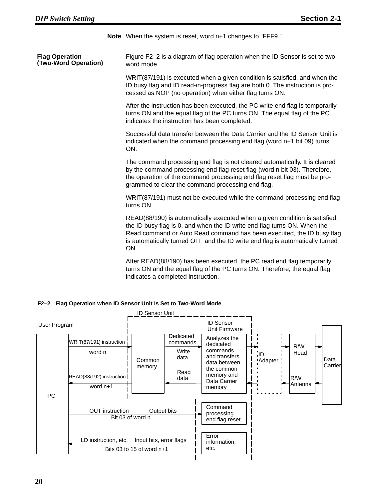**Flag Operation (Two-Word Operation)** **Note** When the system is reset, word n+1 changes to "FFF9."

Figure F2–2 is a diagram of flag operation when the ID Sensor is set to twoword mode.

WRIT(87/191) is executed when a given condition is satisfied, and when the ID busy flag and ID read-in-progress flag are both 0. The instruction is processed as NOP (no operation) when either flag turns ON.

After the instruction has been executed, the PC write end flag is temporarily turns ON and the equal flag of the PC turns ON. The equal flag of the PC indicates the instruction has been completed.

Successful data transfer between the Data Carrier and the ID Sensor Unit is indicated when the command processing end flag (word n+1 bit 09) turns ON.

The command processing end flag is not cleared automatically. It is cleared by the command processing end flag reset flag (word n bit 03). Therefore, the operation of the command processing end flag reset flag must be programmed to clear the command processing end flag.

WRIT(87/191) must not be executed while the command processing end flag turns ON.

READ(88/190) is automatically executed when a given condition is satisfied, the ID busy flag is 0, and when the ID write end flag turns ON. When the Read command or Auto Read command has been executed, the ID busy flag is automatically turned OFF and the ID write end flag is automatically turned ON.

After READ(88/190) has been executed, the PC read end flag temporarily turns ON and the equal flag of the PC turns ON. Therefore, the equal flag indicates a completed instruction.



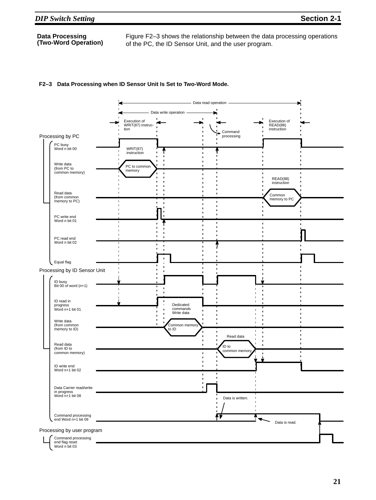Figure F2–3 shows the relationship between the data processing operations of the PC, the ID Sensor Unit, and the user program.

#### **F2–3 Data Processing when ID Sensor Unit Is Set to Two-Word Mode.**

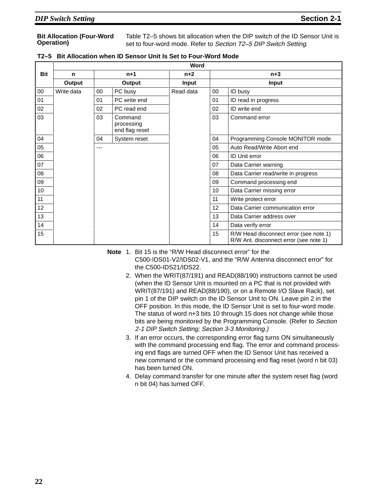#### **Bit Allocation (Four-Word Operation)**

Table T2–5 shows bit allocation when the DIP switch of the ID Sensor Unit is set to four-word mode. Refer to Section T2-5 DIP Switch Setting.

| T2-5 Bit Allocation when ID Sensor Unit Is Set to Four-Word Mode |  |  |
|------------------------------------------------------------------|--|--|
|                                                                  |  |  |

|            | Word       |                         |                                         |           |    |                                                                                  |
|------------|------------|-------------------------|-----------------------------------------|-----------|----|----------------------------------------------------------------------------------|
| <b>Bit</b> | n          | $n+2$<br>$n+3$<br>$n+1$ |                                         |           |    |                                                                                  |
|            | Output     |                         | Output                                  | Input     |    | Input                                                                            |
| 00         | Write data | 00                      | PC busy                                 | Read data | 00 | ID busy                                                                          |
| 01         |            | 01                      | PC write end                            |           | 01 | ID read in progress                                                              |
| 02         |            | 02                      | PC read end                             |           | 02 | ID write end                                                                     |
| 03         |            | 03                      | Command<br>processing<br>end flag reset |           | 03 | Command error                                                                    |
| 04         |            | 04                      | System reset                            |           | 04 | Programming Console MONITOR mode                                                 |
| 05         |            | ---                     |                                         |           | 05 | Auto Read/Write Abort end                                                        |
| 06         |            |                         |                                         |           | 06 | <b>ID Unit error</b>                                                             |
| 07         |            |                         |                                         |           | 07 | Data Carrier warning                                                             |
| 08         |            |                         |                                         |           | 08 | Data Carrier read/write in progress                                              |
| 09         |            |                         |                                         |           | 09 | Command processing end                                                           |
| 10         |            |                         |                                         |           | 10 | Data Carrier missing error                                                       |
| 11         |            |                         |                                         |           | 11 | Write protect error                                                              |
| 12         |            |                         |                                         |           | 12 | Data Carrier communication error                                                 |
| 13         |            |                         |                                         |           | 13 | Data Carrier address over                                                        |
| 14         |            |                         |                                         |           | 14 | Data verify error                                                                |
| 15         |            |                         |                                         |           | 15 | R/W Head disconnect error (see note 1)<br>R/W Ant. disconnect error (see note 1) |

**Note** 1. Bit 15 is the "R/W Head disconnect error" for the C500-IDS01-V2/IDS02-V1, and the "R/W Antenna disconnect error" for the C500-IDS21/IDS22.

- 2. When the WRIT(87/191) and READ(88/190) instructions cannot be used (when the ID Sensor Unit is mounted on a PC that is not provided with WRIT(87/191) and READ(88/190), or on a Remote I/O Slave Rack), set pin 1 of the DIP switch on the ID Sensor Unit to ON. Leave pin 2 in the OFF position. In this mode, the ID Sensor Unit is set to four-word mode. The status of word n+3 bits 10 through 15 does not change while those bits are being monitored by the Programming Console. (Refer to Section 2-1 DIP Switch Setting; Section 3-3 Monitoring.)
- 3. If an error occurs, the corresponding error flag turns ON simultaneously with the command processing end flag. The error and command processing end flags are turned OFF when the ID Sensor Unit has received a new command or the command processing end flag reset (word n bit 03) has been turned ON.
- 4. Delay command transfer for one minute after the system reset flag (word n bit 04) has turned OFF.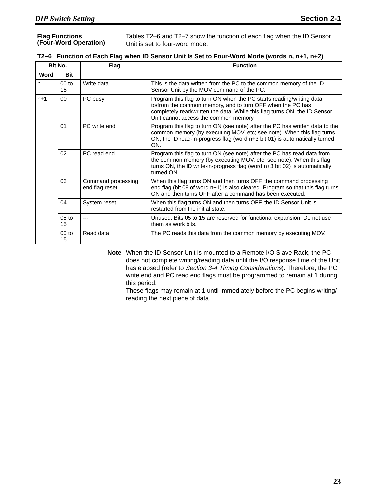**Flag Functions (Four-Word Operation)**

Tables T2–6 and T2–7 show the function of each flag when the ID Sensor Unit is set to four-word mode.

|                        | Bit No.       | <b>Flag</b>                          | <b>Function</b>                                                                                                                                                                                                                                          |  |  |
|------------------------|---------------|--------------------------------------|----------------------------------------------------------------------------------------------------------------------------------------------------------------------------------------------------------------------------------------------------------|--|--|
| Word                   | <b>Bit</b>    |                                      |                                                                                                                                                                                                                                                          |  |  |
| n                      | $00$ to<br>15 | Write data                           | This is the data written from the PC to the common memory of the ID<br>Sensor Unit by the MOV command of the PC.                                                                                                                                         |  |  |
| 00<br>PC busy<br>$n+1$ |               |                                      | Program this flag to turn ON when the PC starts reading/writing data<br>to/from the common memory, and to turn OFF when the PC has<br>completely read/written the data. While this flag turns ON, the ID Sensor<br>Unit cannot access the common memory. |  |  |
|                        | 01            | PC write end                         | Program this flag to turn ON (see note) after the PC has written data to the<br>common memory (by executing MOV, etc; see note). When this flag turns<br>ON, the ID read-in-progress flag (word n+3 bit 01) is automatically turned<br>ON.               |  |  |
|                        | 02            | PC read end                          | Program this flag to turn ON (see note) after the PC has read data from<br>the common memory (by executing MOV, etc; see note). When this flag<br>turns ON, the ID write-in-progress flag (word n+3 bit 02) is automatically<br>turned ON.               |  |  |
|                        | 03            | Command processing<br>end flag reset | When this flag turns ON and then turns OFF, the command processing<br>end flag (bit 09 of word n+1) is also cleared. Program so that this flag turns<br>ON and then turns OFF after a command has been executed.                                         |  |  |
|                        | 04            | System reset                         | When this flag turns ON and then turns OFF, the ID Sensor Unit is<br>restarted from the initial state.                                                                                                                                                   |  |  |
|                        | $05$ to<br>15 | ---                                  | Unused. Bits 05 to 15 are reserved for functional expansion. Do not use<br>them as work bits.                                                                                                                                                            |  |  |
|                        | $00$ to<br>15 | Read data                            | The PC reads this data from the common memory by executing MOV.                                                                                                                                                                                          |  |  |

**Note** When the ID Sensor Unit is mounted to a Remote I/O Slave Rack, the PC does not complete writing/reading data until the I/O response time of the Unit has elapsed (refer to Section 3-4 Timing Considerations). Therefore, the PC write end and PC read end flags must be programmed to remain at 1 during this period.

These flags may remain at 1 until immediately before the PC begins writing/ reading the next piece of data.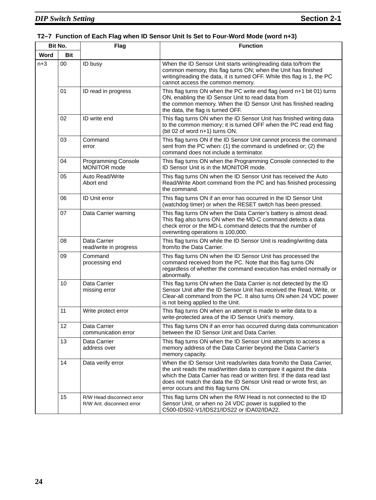# **T2–7 Function of Each Flag when ID Sensor Unit Is Set to Four-Word Mode (word n+3)**

| Bit No. |     | <b>Flag</b>                                            | <b>Function</b>                                                                                                                                                                                                                                                                                                                     |  |  |
|---------|-----|--------------------------------------------------------|-------------------------------------------------------------------------------------------------------------------------------------------------------------------------------------------------------------------------------------------------------------------------------------------------------------------------------------|--|--|
| Word    | Bit |                                                        |                                                                                                                                                                                                                                                                                                                                     |  |  |
| $n+3$   | 00  | ID busy                                                | When the ID Sensor Unit starts writing/reading data to/from the<br>common memory, this flag turns ON; when the Unit has finished<br>writing/reading the data, it is turned OFF. While this flag is 1, the PC<br>cannot access the common memory.                                                                                    |  |  |
|         | 01  | ID read in progress                                    | This flag turns ON when the PC write end flag (word n+1 bit 01) turns<br>ON, enabling the ID Sensor Unit to read data from<br>the common memory. When the ID Sensor Unit has finished reading<br>the data, the flag is turned OFF.                                                                                                  |  |  |
|         | 02  | ID write end                                           | This flag turns ON when the ID Sensor Unit has finished writing data<br>to the common memory; it is turned OFF when the PC read end flag<br>(bit 02 of word n+1) turns ON.                                                                                                                                                          |  |  |
|         | 03  | Command<br>error                                       | This flag turns ON if the ID Sensor Unit cannot process the command<br>sent from the PC when: (1) the command is undefined or; (2) the<br>command does not include a terminator.                                                                                                                                                    |  |  |
|         | 04  | <b>Programming Console</b><br><b>MONITOR</b> mode      | This flag turns ON when the Programming Console connected to the<br>ID Sensor Unit is in the MONITOR mode.                                                                                                                                                                                                                          |  |  |
|         | 05  | <b>Auto Read/Write</b><br>Abort end                    | This flag turns ON when the ID Sensor Unit has received the Auto<br>Read/Write Abort command from the PC and has finished processing<br>the command.                                                                                                                                                                                |  |  |
|         | 06  | <b>ID Unit error</b>                                   | This flag turns ON if an error has occurred in the ID Sensor Unit<br>(watchdog timer) or when the RESET switch has been pressed.                                                                                                                                                                                                    |  |  |
|         | 07  | Data Carrier warning                                   | This flag turns ON when the Data Carrier's battery is almost dead.<br>This flag also turns ON when the MD-C command detects a data<br>check error or the MD-L command detects that the number of<br>overwriting operations is 100,000.                                                                                              |  |  |
|         | 08  | Data Carrier<br>read/write in progress                 | This flag turns ON while the ID Sensor Unit is reading/writing data<br>from/to the Data Carrier.                                                                                                                                                                                                                                    |  |  |
|         | 09  | Command<br>processing end                              | This flag turns ON when the ID Sensor Unit has processed the<br>command received from the PC. Note that this flag turns ON<br>regardless of whether the command execution has ended normally or<br>abnormally.                                                                                                                      |  |  |
|         | 10  | Data Carrier<br>missing error                          | This flag turns ON when the Data Carrier is not detected by the ID<br>Sensor Unit after the ID Sensor Unit has received the Read, Write, or<br>Clear-all command from the PC. It also turns ON when 24 VDC power<br>is not being applied to the Unit.                                                                               |  |  |
|         | 11  | Write protect error                                    | This flag turns ON when an attempt is made to write data to a<br>write-protected area of the ID Sensor Unit's memory.                                                                                                                                                                                                               |  |  |
|         | 12  | Data Carrier<br>communication error                    | This flag turns ON if an error has occurred during data communication<br>between the ID Sensor Unit and Data Carrier.                                                                                                                                                                                                               |  |  |
|         | 13  | Data Carrier<br>address over                           | This flag turns ON when the ID Sensor Unit attempts to access a<br>memory address of the Data Carrier beyond the Data Carrier's<br>memory capacity.                                                                                                                                                                                 |  |  |
|         | 14  | Data verify error                                      | When the ID Sensor Unit reads/writes data from/to the Data Carrier,<br>the unit reads the read/written data to compare it against the data<br>which the Data Carrier has read or written first. If the data read last<br>does not match the data the ID Sensor Unit read or wrote first, an<br>error occurs and this flag turns ON. |  |  |
|         | 15  | R/W Head disconnect error<br>R/W Ant. disconnect error | This flag turns ON when the R/W Head is not connected to the ID<br>Sensor Unit, or when no 24 VDC power is supplied to the<br>C500-IDS02-V1/IDS21/IDS22 or IDA02/IDA22.                                                                                                                                                             |  |  |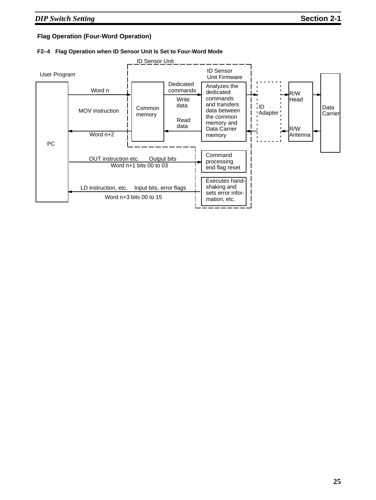# **Flag Operation (Four-Word Operation)**

## **F2–4 Flag Operation when ID Sensor Unit Is Set to Four-Word Mode**

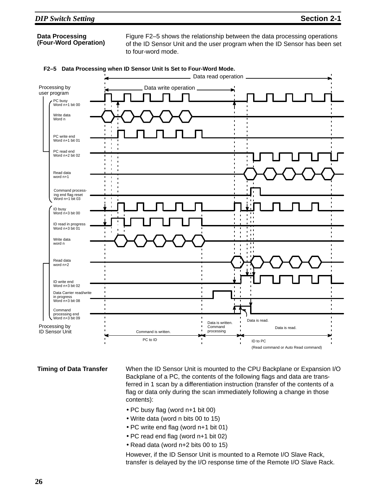Figure F2–5 shows the relationship between the data processing operations of the ID Sensor Unit and the user program when the ID Sensor has been set to four-word mode.



#### **F2–5 Data Processing when ID Sensor Unit Is Set to Four-Word Mode.**

**Timing of Data Transfer** When the ID Sensor Unit is mounted to the CPU Backplane or Expansion I/O Backplane of a PC, the contents of the following flags and data are transferred in 1 scan by a differentiation instruction (transfer of the contents of a flag or data only during the scan immediately following a change in those contents):

- PC busy flag (word n+1 bit 00)
- Write data (word n bits 00 to 15)
- PC write end flag (word n+1 bit 01)
- PC read end flag (word n+1 bit 02)
- Read data (word n+2 bits 00 to 15)

However, if the ID Sensor Unit is mounted to a Remote I/O Slave Rack, transfer is delayed by the I/O response time of the Remote I/O Slave Rack.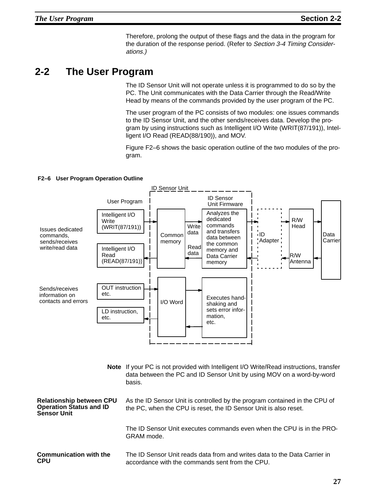Therefore, prolong the output of these flags and the data in the program for the duration of the response period. (Refer to Section 3-4 Timing Considerations.)

# **2-2 The User Program**

The ID Sensor Unit will not operate unless it is programmed to do so by the PC. The Unit communicates with the Data Carrier through the Read/Write Head by means of the commands provided by the user program of the PC.

The user program of the PC consists of two modules: one issues commands to the ID Sensor Unit, and the other sends/receives data. Develop the program by using instructions such as Intelligent I/O Write (WRIT(87/191)), Intelligent I/O Read (READ(88/190)), and MOV.

Figure F2–6 shows the basic operation outline of the two modules of the program.

## **F2–6 User Program Operation Outline**

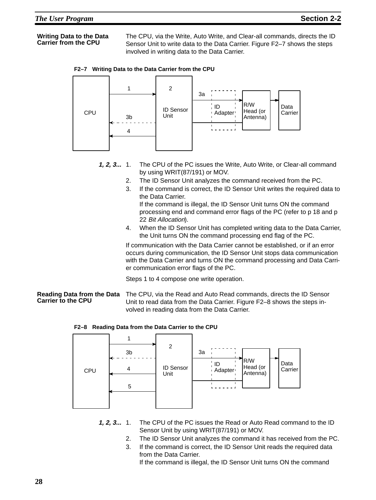The CPU, via the Write, Auto Write, and Clear-all commands, directs the ID Sensor Unit to write data to the Data Carrier. Figure F2–7 shows the steps involved in writing data to the Data Carrier.





- **1, 2, 3...** 1. The CPU of the PC issues the Write, Auto Write, or Clear-all command by using WRIT(87/191) or MOV.
	- 2. The ID Sensor Unit analyzes the command received from the PC.
	- 3. If the command is correct, the ID Sensor Unit writes the required data to the Data Carrier. If the command is illegal, the ID Sensor Unit turns ON the command processing end and command error flags of the PC (refer to p 18 and p
	- 22 Bit Allocation). 4. When the ID Sensor Unit has completed writing data to the Data Carrier, the Unit turns ON the command processing end flag of the PC.

If communication with the Data Carrier cannot be established, or if an error occurs during communication, the ID Sensor Unit stops data communication with the Data Carrier and turns ON the command processing and Data Carrier communication error flags of the PC.

Steps 1 to 4 compose one write operation.

The CPU, via the Read and Auto Read commands, directs the ID Sensor Unit to read data from the Data Carrier. Figure F2–8 shows the steps involved in reading data from the Data Carrier. **Reading Data from the Data Carrier to the CPU**



# **F2–8 Reading Data from the Data Carrier to the CPU**

- **1, 2, 3...** 1. The CPU of the PC issues the Read or Auto Read command to the ID Sensor Unit by using WRIT(87/191) or MOV.
	- 2. The ID Sensor Unit analyzes the command it has received from the PC.
	- 3. If the command is correct, the ID Sensor Unit reads the required data from the Data Carrier.

If the command is illegal, the ID Sensor Unit turns ON the command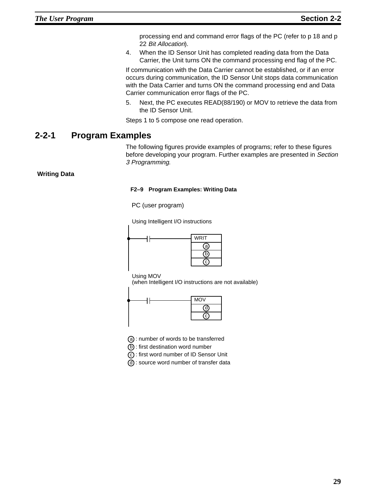processing end and command error flags of the PC (refer to p 18 and p 22 Bit Allocation).

4. When the ID Sensor Unit has completed reading data from the Data Carrier, the Unit turns ON the command processing end flag of the PC.

If communication with the Data Carrier cannot be established, or if an error occurs during communication, the ID Sensor Unit stops data communication with the Data Carrier and turns ON the command processing end and Data Carrier communication error flags of the PC.

5. Next, the PC executes READ(88/190) or MOV to retrieve the data from the ID Sensor Unit.

Steps 1 to 5 compose one read operation.

## **2-2-1 Program Examples**

The following figures provide examples of programs; refer to these figures before developing your program. Further examples are presented in Section 3 Programming.

### **Writing Data**

#### **F2–9 Program Examples: Writing Data**

PC (user program)

Using Intelligent I/O instructions



Using MOV

(when Intelligent I/O instructions are not available)



a : number of words to be transferred

b : first destination word number

c : first word number of ID Sensor Unit

d : source word number of transfer data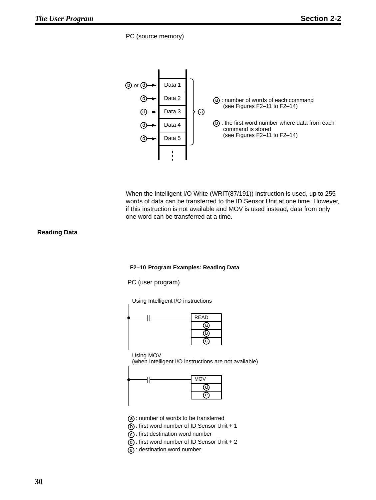PC (source memory)



When the Intelligent I/O Write (WRIT(87/191)) instruction is used, up to 255 words of data can be transferred to the ID Sensor Unit at one time. However, if this instruction is not available and MOV is used instead, data from only one word can be transferred at a time.

**Reading Data**

#### **F2–10 Program Examples: Reading Data**

PC (user program)

Using Intelligent I/O instructions



Using MOV

(when Intelligent I/O instructions are not available)



- a : number of words to be transferred
- b : first word number of ID Sensor Unit + 1
- c : first destination word number
- d : first word number of ID Sensor Unit + 2
- e : destination word number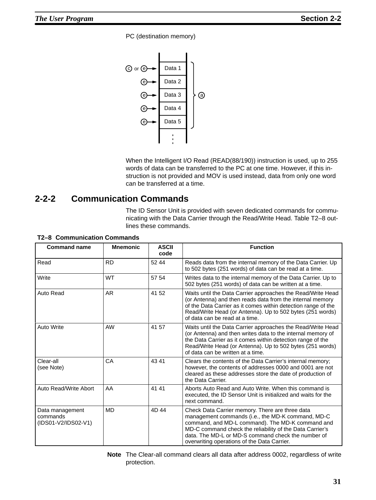PC (destination memory)



When the Intelligent I/O Read (READ(88/190)) instruction is used, up to 255 words of data can be transferred to the PC at one time. However, if this instruction is not provided and MOV is used instead, data from only one word can be transferred at a time.

# **2-2-2 Communication Commands**

The ID Sensor Unit is provided with seven dedicated commands for communicating with the Data Carrier through the Read/Write Head. Table T2–8 outlines these commands.

| <b>Command name</b>                                | <b>Mnemonic</b> | <b>ASCII</b><br>code | <b>Function</b>                                                                                                                                                                                                                                                                                                           |
|----------------------------------------------------|-----------------|----------------------|---------------------------------------------------------------------------------------------------------------------------------------------------------------------------------------------------------------------------------------------------------------------------------------------------------------------------|
| Read                                               | <b>RD</b>       | 52 44                | Reads data from the internal memory of the Data Carrier. Up<br>to 502 bytes (251 words) of data can be read at a time.                                                                                                                                                                                                    |
| Write                                              | <b>WT</b>       | 57 54                | Writes data to the internal memory of the Data Carrier. Up to<br>502 bytes (251 words) of data can be written at a time.                                                                                                                                                                                                  |
| Auto Read                                          | <b>AR</b>       | 41 52                | Waits until the Data Carrier approaches the Read/Write Head<br>(or Antenna) and then reads data from the internal memory<br>of the Data Carrier as it comes within detection range of the<br>Read/Write Head (or Antenna). Up to 502 bytes (251 words)<br>of data can be read at a time.                                  |
| Auto Write                                         | <b>AW</b>       | 41 57                | Waits until the Data Carrier approaches the Read/Write Head<br>(or Antenna) and then writes data to the internal memory of<br>the Data Carrier as it comes within detection range of the<br>Read/Write Head (or Antenna). Up to 502 bytes (251 words)<br>of data can be written at a time.                                |
| Clear-all<br>(see Note)                            | CA              | 4341                 | Clears the contents of the Data Carrier's internal memory;<br>however, the contents of addresses 0000 and 0001 are not<br>cleared as these addresses store the date of production of<br>the Data Carrier.                                                                                                                 |
| Auto Read/Write Abort                              | AA              | 41 41                | Aborts Auto Read and Auto Write. When this command is<br>executed, the ID Sensor Unit is initialized and waits for the<br>next command.                                                                                                                                                                                   |
| Data management<br>commands<br>(IDS01-V2/IDS02-V1) | <b>MD</b>       | 4D 44                | Check Data Carrier memory. There are three data<br>management commands (i.e., the MD-K command, MD-C<br>command, and MD-L command). The MD-K command and<br>MD-C command check the reliability of the Data Carrier's<br>data. The MD-L or MD-S command check the number of<br>overwriting operations of the Data Carrier. |

### **T2–8 Communication Commands**

**Note** The Clear-all command clears all data after address 0002, regardless of write protection.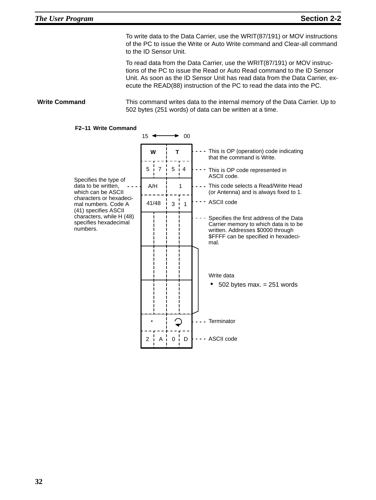To write data to the Data Carrier, use the WRIT(87/191) or MOV instructions of the PC to issue the Write or Auto Write command and Clear-all command to the ID Sensor Unit.

To read data from the Data Carrier, use the WRIT(87/191) or MOV instructions of the PC to issue the Read or Auto Read command to the ID Sensor Unit. As soon as the ID Sensor Unit has read data from the Data Carrier, execute the READ(88) instruction of the PC to read the data into the PC.

Write Command This command writes data to the internal memory of the Data Carrier. Up to 502 bytes (251 words) of data can be written at a time.

### **F2–11 Write Command**

|                                                                                                                                         | 15    |                |   | 00            |                                                                                                                                                                       |
|-----------------------------------------------------------------------------------------------------------------------------------------|-------|----------------|---|---------------|-----------------------------------------------------------------------------------------------------------------------------------------------------------------------|
|                                                                                                                                         | W     |                | т |               | This is OP (operation) code indicating<br>that the command is Write.                                                                                                  |
| Specifies the type of                                                                                                                   | 5     | $\overline{7}$ | 5 | $\frac{1}{4}$ | This is OP code represented in<br>ASCII code.                                                                                                                         |
| data to be written.<br>which can be ASCII                                                                                               | A/H   |                |   |               | This code selects a Read/Write Head<br>(or Antenna) and is always fixed to 1.                                                                                         |
| characters or hexadeci-<br>mal numbers. Code A<br>(41) specifies ASCII<br>characters, while H (48)<br>specifies hexadecimal<br>numbers. | 41/48 |                | 3 | 1             | ASCII code                                                                                                                                                            |
|                                                                                                                                         |       |                |   |               | Specifies the first address of the Data<br>Carrier memory to which data is to be<br>written. Addresses \$0000 through<br>\$FFFF can be specified in hexadeci-<br>mal. |
|                                                                                                                                         |       |                |   |               | Write data<br>502 bytes max. $= 251$ words                                                                                                                            |
|                                                                                                                                         |       |                |   |               | Terminator                                                                                                                                                            |
|                                                                                                                                         | 2     |                |   | D             | ASCII code                                                                                                                                                            |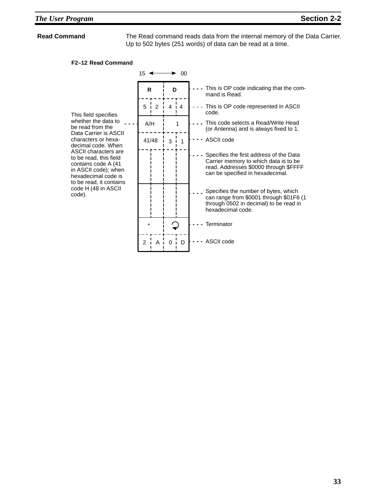**Read Command** The Read command reads data from the internal memory of the Data Carrier. Up to 502 bytes (251 words) of data can be read at a time.

#### **F2–12 Read Command**

|                                                                                                                                                                                                                                                                  | 15 <sup>1</sup> | ΩO              |                                                                                                                                                               |
|------------------------------------------------------------------------------------------------------------------------------------------------------------------------------------------------------------------------------------------------------------------|-----------------|-----------------|---------------------------------------------------------------------------------------------------------------------------------------------------------------|
|                                                                                                                                                                                                                                                                  | R               | D               | This is OP code indicating that the com-<br>mand is Read.                                                                                                     |
| This field specifies                                                                                                                                                                                                                                             | 5<br>2          | 4<br>$\sqrt{4}$ | This is OP code represented in ASCII<br>code.                                                                                                                 |
| whether the data to<br>be read from the<br>Data Carrier is ASCII<br>characters or hexa-<br>decimal code. When<br>ASCII characters are<br>to be read, this field<br>contains code A (41<br>in ASCII code); when<br>hexadecimal code is<br>to be read, it contains | A/H             | 1               | This code selects a Read/Write Head<br>(or Antenna) and is always fixed to 1.                                                                                 |
|                                                                                                                                                                                                                                                                  | 41/48           | 3               | ASCII code                                                                                                                                                    |
|                                                                                                                                                                                                                                                                  |                 |                 | Specifies the first address of the Data<br>Carrier memory to which data is to be<br>read. Addresses \$0000 through \$FFFF<br>can be specified in hexadecimal. |
| code H (48 in ASCII<br>code).                                                                                                                                                                                                                                    |                 |                 | Specifies the number of bytes, which<br>can range from \$0001 through \$01F6 (1<br>through 0502 in decimal) to be read in<br>hexadecimal code.                |
|                                                                                                                                                                                                                                                                  |                 |                 | Terminator                                                                                                                                                    |
|                                                                                                                                                                                                                                                                  | $\overline{2}$  | D               | ASCII code                                                                                                                                                    |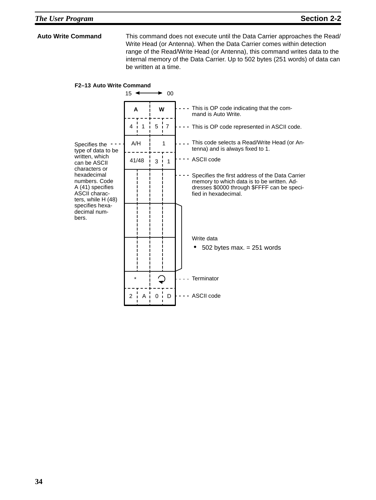**Auto Write Command** This command does not execute until the Data Carrier approaches the Read/ Write Head (or Antenna). When the Data Carrier comes within detection range of the Read/Write Head (or Antenna), this command writes data to the internal memory of the Data Carrier. Up to 502 bytes (251 words) of data can be written at a time.

#### **F2–13 Auto Write Command**

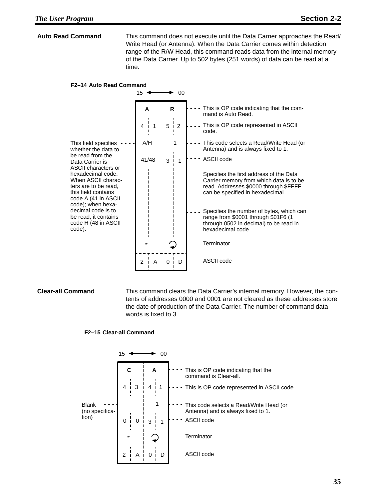**Auto Read Command** This command does not execute until the Data Carrier approaches the Read/ Write Head (or Antenna). When the Data Carrier comes within detection range of the R/W Head, this command reads data from the internal memory of the Data Carrier. Up to 502 bytes (251 words) of data can be read at a time.

#### **F2–14 Auto Read Command**

|                                                                                                                                                                                                                                                                                                                                       | 15             | 0 <sup>0</sup>     |                                                                                                                                                                 |
|---------------------------------------------------------------------------------------------------------------------------------------------------------------------------------------------------------------------------------------------------------------------------------------------------------------------------------------|----------------|--------------------|-----------------------------------------------------------------------------------------------------------------------------------------------------------------|
|                                                                                                                                                                                                                                                                                                                                       | A              | R                  | This is OP code indicating that the com-<br>mand is Auto Read.                                                                                                  |
|                                                                                                                                                                                                                                                                                                                                       | 4              | 5<br>$\mathcal{P}$ | This is OP code represented in ASCII<br>code.                                                                                                                   |
| This field specifies<br>whether the data to<br>be read from the<br>Data Carrier is<br><b>ASCII</b> characters or<br>hexadecimal code.<br>When ASCII charac-<br>ters are to be read,<br>this field contains<br>code A (41 in ASCII<br>code); when hexa-<br>decimal code is to<br>be read, it contains<br>code H (48 in ASCII<br>code). | A/H            |                    | This code selects a Read/Write Head (or<br>Antenna) and is always fixed to 1.                                                                                   |
|                                                                                                                                                                                                                                                                                                                                       | 41/48          | 3                  | ASCII code                                                                                                                                                      |
|                                                                                                                                                                                                                                                                                                                                       |                |                    | Specifies the first address of the Data<br>Carrier memory from which data is to be<br>read. Addresses \$0000 through \$FFFF<br>can be specified in hexadecimal. |
|                                                                                                                                                                                                                                                                                                                                       |                |                    | Specifies the number of bytes, which can<br>range from \$0001 through \$01F6 (1<br>through 0502 in decimal) to be read in<br>hexadecimal code.                  |
|                                                                                                                                                                                                                                                                                                                                       |                |                    | Terminator                                                                                                                                                      |
|                                                                                                                                                                                                                                                                                                                                       | $\overline{2}$ | D                  | ASCII code                                                                                                                                                      |

**Clear-all Command** This command clears the Data Carrier's internal memory. However, the contents of addresses 0000 and 0001 are not cleared as these addresses store the date of production of the Data Carrier. The number of command data words is fixed to 3.

**F2–15 Clear-all Command**

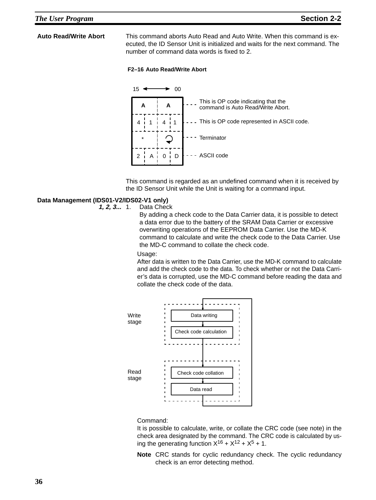**Auto Read/Write Abort** This command aborts Auto Read and Auto Write. When this command is executed, the ID Sensor Unit is initialized and waits for the next command. The number of command data words is fixed to 2.

#### **F2–16 Auto Read/Write Abort**



This command is regarded as an undefined command when it is received by the ID Sensor Unit while the Unit is waiting for a command input.

#### **Data Management (IDS01-V2/IDS02-V1 only)**

**1, 2, 3...** 1. Data Check

By adding a check code to the Data Carrier data, it is possible to detect a data error due to the battery of the SRAM Data Carrier or excessive overwriting operations of the EEPROM Data Carrier. Use the MD-K command to calculate and write the check code to the Data Carrier. Use the MD-C command to collate the check code.

#### Usage:

After data is written to the Data Carrier, use the MD-K command to calculate and add the check code to the data. To check whether or not the Data Carrier's data is corrupted, use the MD-C command before reading the data and collate the check code of the data.



### Command:

It is possible to calculate, write, or collate the CRC code (see note) in the check area designated by the command. The CRC code is calculated by using the generating function  $X^{16} + X^{12} + X^5 + 1$ .

**Note** CRC stands for cyclic redundancy check. The cyclic redundancy check is an error detecting method.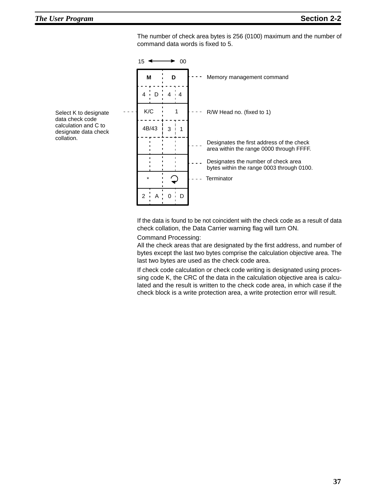The number of check area bytes is 256 (0100) maximum and the number of command data words is fixed to 5.



If the data is found to be not coincident with the check code as a result of data check collation, the Data Carrier warning flag will turn ON.

Command Processing:

All the check areas that are designated by the first address, and number of bytes except the last two bytes comprise the calculation objective area. The last two bytes are used as the check code area.

If check code calculation or check code writing is designated using processing code K, the CRC of the data in the calculation objective area is calculated and the result is written to the check code area, in which case if the check block is a write protection area, a write protection error will result.

Select K to designate data check code calculation and C to designate data check collation.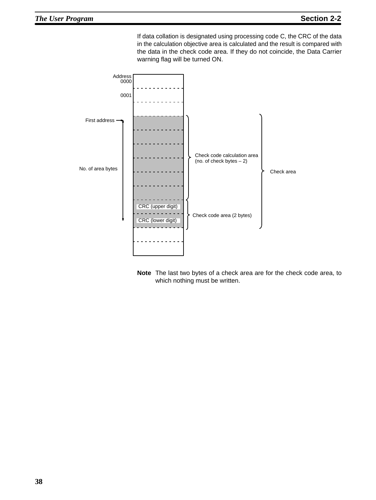If data collation is designated using processing code C, the CRC of the data in the calculation objective area is calculated and the result is compared with the data in the check code area. If they do not coincide, the Data Carrier warning flag will be turned ON.



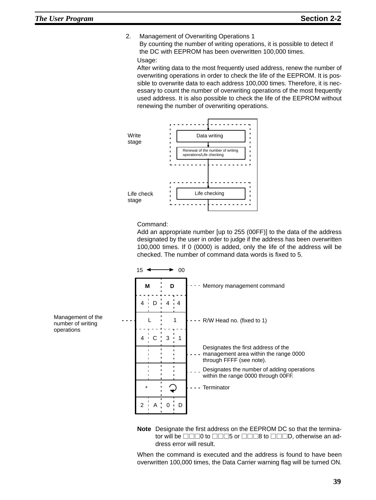2. Management of Overwriting Operations 1

By counting the number of writing operations, it is possible to detect if the DC with EEPROM has been overwritten 100,000 times.

Usage:

After writing data to the most frequently used address, renew the number of overwriting operations in order to check the life of the EEPROM. It is possible to overwrite data to each address 100,000 times. Therefore, it is necessary to count the number of overwriting operations of the most frequently used address. It is also possible to check the life of the EEPROM without renewing the number of overwriting operations.



#### Command:

Add an appropriate number [up to 255 (00FF)] to the data of the address designated by the user in order to judge if the address has been overwritten 100,000 times. If 0 (0000) is added, only the life of the address will be checked. The number of command data words is fixed to 5.



**Note** Designate the first address on the EEPROM DC so that the terminator will be  $\Box \Box \Box 0$  to  $\Box \Box \Box 5$  or  $\Box \Box \Box 8$  to  $\Box \Box \Box D$ , otherwise an address error will result.

When the command is executed and the address is found to have been overwritten 100,000 times, the Data Carrier warning flag will be turned ON.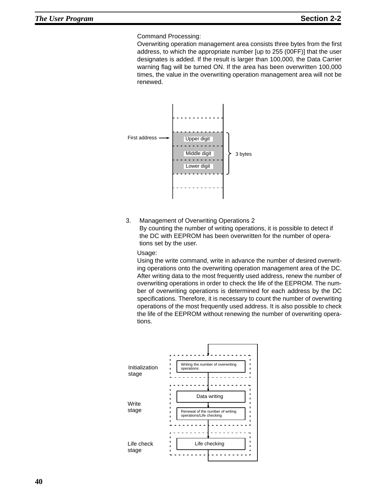Command Processing:

Overwriting operation management area consists three bytes from the first address, to which the appropriate number [up to 255 (00FF)] that the user designates is added. If the result is larger than 100,000, the Data Carrier warning flag will be turned ON. If the area has been overwritten 100,000 times, the value in the overwriting operation management area will not be renewed.



3. Management of Overwriting Operations 2 By counting the number of writing operations, it is possible to detect if the DC with EEPROM has been overwritten for the number of operations set by the user.

#### Usage:

Using the write command, write in advance the number of desired overwriting operations onto the overwriting operation management area of the DC. After writing data to the most frequently used address, renew the number of overwriting operations in order to check the life of the EEPROM. The number of overwriting operations is determined for each address by the DC specifications. Therefore, it is necessary to count the number of overwriting operations of the most frequently used address. It is also possible to check the life of the EEPROM without renewing the number of overwriting operations.

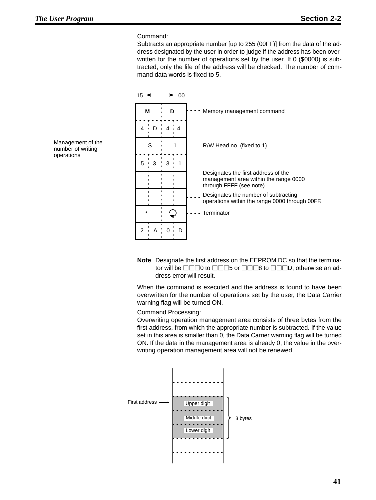Command:

Subtracts an appropriate number [up to 255 (00FF)] from the data of the address designated by the user in order to judge if the address has been overwritten for the number of operations set by the user. If 0 (\$0000) is subtracted, only the life of the address will be checked. The number of command data words is fixed to 5.



**Note** Designate the first address on the EEPROM DC so that the terminator will be  $\Box$  $\Box$ 0 to  $\Box$  $\Box$ 5 or  $\Box$  $\Box$ 8 to  $\Box$  $\Box$ D, otherwise an address error will result.

When the command is executed and the address is found to have been overwritten for the number of operations set by the user, the Data Carrier warning flag will be turned ON.

Command Processing:

Overwriting operation management area consists of three bytes from the first address, from which the appropriate number is subtracted. If the value set in this area is smaller than 0, the Data Carrier warning flag will be turned ON. If the data in the management area is already 0, the value in the overwriting operation management area will not be renewed.

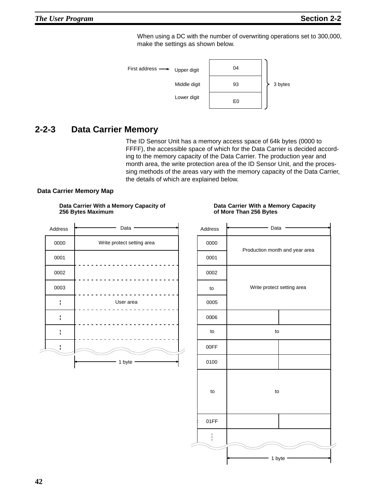When using a DC with the number of overwriting operations set to 300,000, make the settings as shown below.



# **2-2-3 Data Carrier Memory**

The ID Sensor Unit has a memory access space of 64k bytes (0000 to FFFF), the accessible space of which for the Data Carrier is decided according to the memory capacity of the Data Carrier. The production year and month area, the write protection area of the ID Sensor Unit, and the processing methods of the areas vary with the memory capacity of the Data Carrier, the details of which are explained below.

### **Data Carrier Memory Map**

**Data Carrier With a Memory Capacity of 256 Bytes Maximum**



#### **Data Carrier With a Memory Capacity of More Than 256 Bytes**

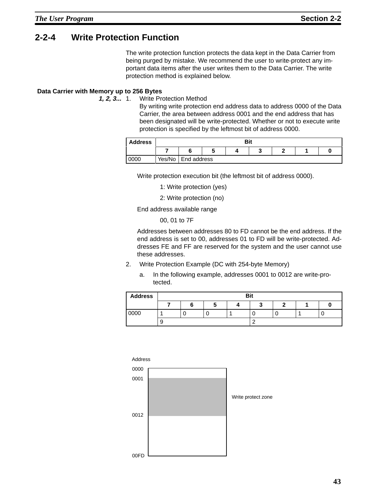# **2-2-4 Write Protection Function**

The write protection function protects the data kept in the Data Carrier from being purged by mistake. We recommend the user to write-protect any important data items after the user writes them to the Data Carrier. The write protection method is explained below.

### **Data Carrier with Memory up to 256 Bytes**

**1, 2, 3...** 1. Write Protection Method

By writing write protection end address data to address 0000 of the Data Carrier, the area between address 0001 and the end address that has been designated will be write-protected. Whether or not to execute write protection is specified by the leftmost bit of address 0000.

| <b>Address</b> |        | <b>Bit</b>  |       |   |           |   |  |  |  |  |  |
|----------------|--------|-------------|-------|---|-----------|---|--|--|--|--|--|
|                |        | ▫           | <br>w | ◢ | $\bullet$ | c |  |  |  |  |  |
| 2000           | Yes/No | End address |       |   |           |   |  |  |  |  |  |

Write protection execution bit (the leftmost bit of address 0000).

1: Write protection (yes)

2: Write protection (no)

End address available range

00, 01 to 7F

Addresses between addresses 80 to FD cannot be the end address. If the end address is set to 00, addresses 01 to FD will be write-protected. Addresses FE and FF are reserved for the system and the user cannot use these addresses.

- 2. Write Protection Example (DC with 254-byte Memory)
	- a. In the following example, addresses 0001 to 0012 are write-protected.

| <b>Address</b> | <b>Bit</b> |  |  |  |  |  |  |  |  |  |  |
|----------------|------------|--|--|--|--|--|--|--|--|--|--|
|                |            |  |  |  |  |  |  |  |  |  |  |
| 0000           |            |  |  |  |  |  |  |  |  |  |  |
|                | 9          |  |  |  |  |  |  |  |  |  |  |

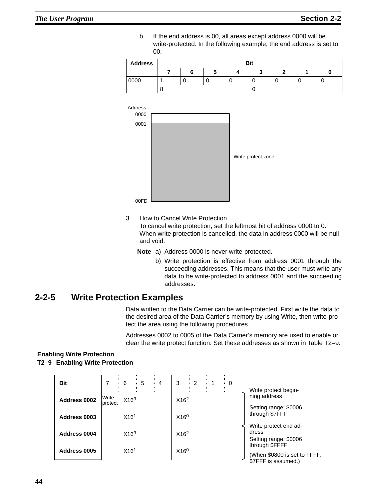b. If the end address is 00, all areas except address 0000 will be write-protected. In the following example, the end address is set to 00.

| <b>Address</b> | <b>Bit</b> |  |  |  |   |  |  |  |  |  |  |
|----------------|------------|--|--|--|---|--|--|--|--|--|--|
|                |            |  |  |  |   |  |  |  |  |  |  |
| 0000           |            |  |  |  |   |  |  |  |  |  |  |
|                | o          |  |  |  | v |  |  |  |  |  |  |



3. How to Cancel Write Protection

To cancel write protection, set the leftmost bit of address 0000 to 0. When write protection is cancelled, the data in address 0000 will be null and void.

- **Note** a) Address 0000 is never write-protected.
	- b) Write protection is effective from address 0001 through the succeeding addresses. This means that the user must write any data to be write-protected to address 0001 and the succeeding addresses.

# **2-2-5 Write Protection Examples**

Data written to the Data Carrier can be write-protected. First write the data to the desired area of the Data Carrier's memory by using Write, then write-protect the area using the following procedures.

Addresses 0002 to 0005 of the Data Carrier's memory are used to enable or clear the write protect function. Set these addresses as shown in Table T2–9.

### **Enabling Write Protection T2–9 Enabling Write Protection**

| <b>Bit</b>   |                  | .6               | .5               | $\overline{4}$ | 3                | $\sqrt{2}$     |  | $\Omega$ | Write protect beg                                      |  |  |  |  |
|--------------|------------------|------------------|------------------|----------------|------------------|----------------|--|----------|--------------------------------------------------------|--|--|--|--|
| Address 0002 | Write<br>protect | X16 <sup>3</sup> |                  |                | X16 <sup>2</sup> |                |  |          | ning address<br>Setting range: \$0                     |  |  |  |  |
| Address 0003 |                  |                  | X16 <sup>0</sup> |                |                  | through \$7FFF |  |          |                                                        |  |  |  |  |
| Address 0004 |                  | X16 <sup>3</sup> |                  |                | X16 <sup>2</sup> |                |  |          | Write protect end<br>dress<br>Setting range: \$0       |  |  |  |  |
| Address 0005 |                  | X16 <sup>1</sup> |                  |                | $X16^0$          |                |  |          | through \$FFFF<br>(When \$0800 is:<br>\$7FFF is assume |  |  |  |  |

in-

0006

d ad-0006

set to FFFF, \$7FFF is assumed.)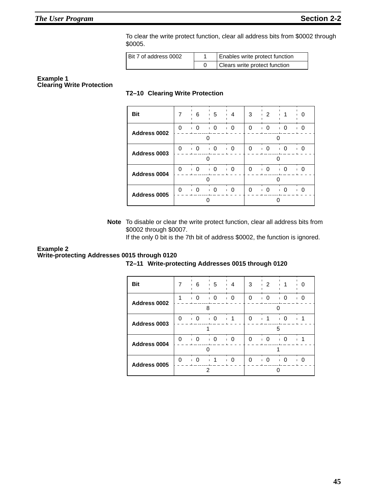To clear the write protect function, clear all address bits from \$0002 through \$0005.

| Bit 7 of address 0002 | Enables write protect function |
|-----------------------|--------------------------------|
|                       | Clears write protect function  |

#### **Example 1 Clearing Write Protection**

### **T2–10 Clearing Write Protection**

| <b>Bit</b>   | 7 | 6                   | $+5$           | $\overline{4}$<br>$\mathbf{I}$ | 3        | 2                   | · 1       | O        |
|--------------|---|---------------------|----------------|--------------------------------|----------|---------------------|-----------|----------|
| Address 0002 | 0 | - 0<br>$\mathbf{L}$ | 0 <sup>1</sup> | - 0<br>$\mathbf{L}$            | $\Omega$ | - 0<br>$\mathbf{I}$ | , 0       | $\Omega$ |
|              |   |                     |                |                                |          |                     |           |          |
| Address 0003 | 0 | $\cdot$ 0           | $\overline{0}$ | $\cdot$ 0                      | 0        | $\overline{0}$      | $\cdot$ 0 | 0<br>٠   |
|              |   |                     |                |                                |          |                     |           |          |
| Address 0004 | 0 | $\cdot$ 0           | $\cdot$ 0      | - 0<br>$\mathbf{I}$            | 0        | - 0<br>$\mathbf{I}$ | , 0       | O<br>п   |
|              |   |                     |                |                                |          |                     |           |          |
| Address 0005 | 0 | $\cdot$ 0           | $\overline{0}$ | $\cdot$ 0                      | 0        | $\cdot$ 0           | $\cdot$ 0 | ∩<br>٠   |
|              |   |                     |                |                                |          |                     |           |          |

**Note** To disable or clear the write protect function, clear all address bits from \$0002 through \$0007.

If the only 0 bit is the 7th bit of address \$0002, the function is ignored.

### **Example 2 Write-protecting Addresses 0015 through 0120**

#### **T2–11 Write-protecting Addresses 0015 through 0120**

| <b>Bit</b>   | 7        | 6<br>$\blacksquare$              | .5        | $\cdot$ 4  | 3        | $\overline{2}$                 | -1<br>$\mathbf{L}$       | 0                  |
|--------------|----------|----------------------------------|-----------|------------|----------|--------------------------------|--------------------------|--------------------|
| Address 0002 |          | $\overline{0}$<br>$\blacksquare$ | $\cdot$ 0 | $\cdot$ 0  | $\Omega$ | $\overline{0}$<br>$\mathbf{I}$ | $\Omega$<br>$\mathbf{L}$ | 0<br>f,            |
|              |          | 8                                |           |            |          |                                |                          |                    |
| Address 0003 | 0        | $\cdot$ 0                        | $\cdot$ 0 | $\sqrt{1}$ | $\Omega$ | $\blacksquare$ 1               | . 0                      | -1<br>$\mathbf{I}$ |
|              |          |                                  |           |            | 5        |                                |                          |                    |
| Address 0004 | 0        | $\cdot$ 0                        | $\cdot$ 0 | $\cdot$ 0  | $\Omega$ | $\cdot$ 0                      | . O                      |                    |
|              |          |                                  |           |            |          |                                |                          |                    |
| Address 0005 | $\Omega$ | $\cdot$ 0                        | $\cdot$ 1 | $\cdot$ 0  | $\Omega$ | $\overline{0}$                 | $\cdot$ 0                | O                  |
|              |          | 2                                |           |            |          |                                |                          |                    |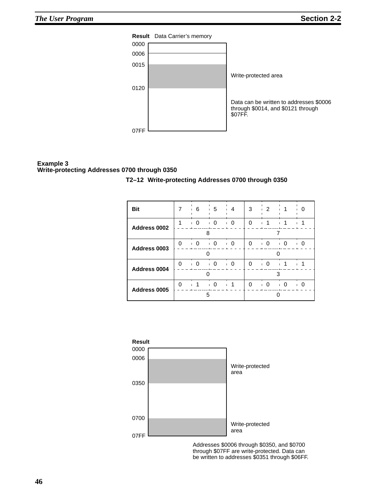

### **Example 3 Write-protecting Addresses 0700 through 0350**

### **T2–12 Write-protecting Addresses 0700 through 0350**

| <b>Bit</b>   | 7 | 6         | .5                  | , 4       | 3            | $\cdot$ 2 | $\cdot$ 1      |                     |
|--------------|---|-----------|---------------------|-----------|--------------|-----------|----------------|---------------------|
| Address 0002 | 1 | $\cdot$ 0 | $\cdot$ 0           | $\cdot$ 0 | $\Omega$     | $\cdot$ 1 | $\sqrt{1}$     | - 1                 |
|              |   | 8         |                     |           |              |           |                |                     |
| Address 0003 | 0 | $\cdot$ 0 | , 0                 | $\cdot$ 0 | 0            | $\cdot$ 0 | , 0            | 0<br>$\blacksquare$ |
|              |   |           |                     |           |              |           |                |                     |
| Address 0004 | 0 | $\cdot$ 0 | $\cdot$ 0           | $\cdot$ 0 | $\mathbf{0}$ | $\cdot$ 0 | i 1            | $\mathbf{I}$        |
|              |   |           |                     |           |              |           |                |                     |
| Address 0005 | O | $\cdot$ 1 | - 0<br>$\mathbf{I}$ | $\cdot$ 1 | 0            | $\cdot$ 0 | 0 <sup>1</sup> | 0<br>$\blacksquare$ |
|              |   | 5         |                     |           |              |           |                |                     |



Addresses \$0006 through \$0350, and \$0700 through \$07FF are write-protected. Data can be written to addresses \$0351 through \$06FF.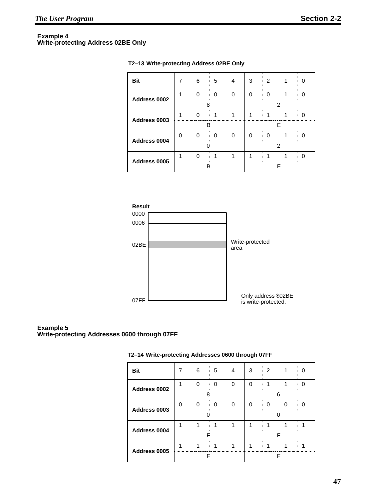#### **Example 4 Write-protecting Address 02BE Only**

| <b>Bit</b>          | 7 | 6                              | .5             | $\cdot$ 4  | 3        | $\overline{2}$<br>$\mathbf{I}$ | $\cdot$ 1  | 0 |
|---------------------|---|--------------------------------|----------------|------------|----------|--------------------------------|------------|---|
| <b>Address 0002</b> | 1 | $\cdot$ 0                      | 0 <sup>1</sup> | $\cdot$ 0  | $\Omega$ | 0 <sup>1</sup>                 | $\cdot$ 1  | 0 |
|                     | 8 |                                |                |            | 2        |                                |            |   |
| Address 0003        |   | $\overline{0}$<br>$\mathbf{I}$ | $1 \quad 1$    | $\sqrt{1}$ | 1        | $1 \quad 1$                    | <u> 1</u>  | O |
|                     | в |                                |                |            | F        |                                |            |   |
| Address 0004        | 0 | $\cdot$ 0                      | 0 <sup>1</sup> | $\cdot$ 0  | 0        | , 0                            | $\sqrt{1}$ | O |
|                     |   |                                |                |            | 2        |                                |            |   |
| Address 0005        | 1 | 0<br>$\mathbf{I}$              | $1 \quad 1$    | $\sqrt{1}$ | 1        | $1 \quad 1$                    | $\cdot$ 1  | O |
|                     | в |                                |                |            | F        |                                |            |   |

### **T2–13 Write-protecting Address 02BE Only**



#### **Example 5 Write-protecting Addresses 0600 through 07FF**

| <b>Bit</b>   | 7 | 6                | .5             | $\cdot$ 4  | 3        | $\cdot$ 2        | $\cdot$ 1                 | 0          |
|--------------|---|------------------|----------------|------------|----------|------------------|---------------------------|------------|
| Address 0002 | 1 | $\cdot$ 0        | 0 <sup>1</sup> | $\cdot$ 0  | 0        | $+1$             | $\cdot$ 1<br>$\mathbf{I}$ | $\Omega$   |
|              | 8 |                  |                |            | 6        |                  |                           |            |
| Address 0003 | 0 | $\blacksquare$   | $\cdot$ 0      | $\cdot$ 0  | $\Omega$ | $\cdot$ 0        | $\cdot$ 0<br>$\mathbf{I}$ | 0          |
|              | O |                  |                |            |          |                  |                           |            |
| Address 0004 | 1 | $\blacksquare$ 1 | $1 \quad 1$    | $\sqrt{1}$ | 1        | $\blacksquare$ 1 | $1 \quad 1$               | $\sqrt{1}$ |
|              |   | F                |                |            |          |                  |                           |            |
| Address 0005 |   | $\blacksquare$ 1 | $1 \quad 1$    | $\sqrt{1}$ | 1        | $1 \quad 1$      | $\sqrt{1}$                | $\sqrt{1}$ |
|              |   | F                |                |            |          |                  |                           |            |

| T2–14 Write-protecting Addresses 0600 through 07FF |  |  |
|----------------------------------------------------|--|--|
|                                                    |  |  |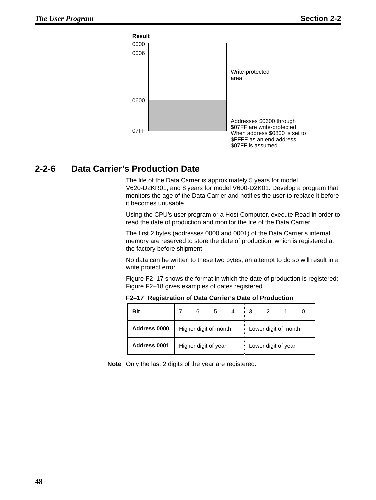

# **2-2-6 Data Carrier's Production Date**

The life of the Data Carrier is approximately 5 years for model V620-D2KR01, and 8 years for model V600-D2K01. Develop a program that monitors the age of the Data Carrier and notifies the user to replace it before it becomes unusable.

Using the CPU's user program or a Host Computer, execute Read in order to read the date of production and monitor the life of the Data Carrier.

The first 2 bytes (addresses 0000 and 0001) of the Data Carrier's internal memory are reserved to store the date of production, which is registered at the factory before shipment.

No data can be written to these two bytes; an attempt to do so will result in a write protect error.

Figure F2–17 shows the format in which the date of production is registered; Figure F2–18 gives examples of dates registered.

| Bit          |                      | 6 <sub>1</sub> |                       |  | $15 \t 4 \t 3 \t 2$  |                     |  |  |  |
|--------------|----------------------|----------------|-----------------------|--|----------------------|---------------------|--|--|--|
| Address 0000 |                      |                | Higher digit of month |  | Lower digit of month |                     |  |  |  |
| Address 0001 | Higher digit of year |                |                       |  |                      | Lower digit of year |  |  |  |

**F2–17 Registration of Data Carrier's Date of Production**

**Note** Only the last 2 digits of the year are registered.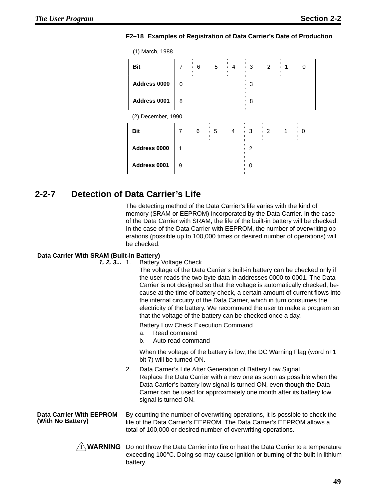### **F2–18 Examples of Registration of Data Carrier's Date of Production**

(1) March, 1988

| <b>Rit</b>   |   | .6 | $15 + 4 + 3 + 2 + 1$ |    |  |  |
|--------------|---|----|----------------------|----|--|--|
| Address 0000 |   |    |                      | ×. |  |  |
| Address 0001 | 8 |    |                      | я  |  |  |

(2) December, 1990

| <b>Bit</b>   |   | - 6 | $\sqrt{5}$ $\sqrt{4}$ $\sqrt{3}$ $\sqrt{2}$ |   | $\cdot$ 1 | - 0 |
|--------------|---|-----|---------------------------------------------|---|-----------|-----|
| Address 0000 |   |     |                                             | າ |           |     |
| Address 0001 | 9 |     |                                             |   |           |     |

# **2-2-7 Detection of Data Carrier's Life**

The detecting method of the Data Carrier's life varies with the kind of memory (SRAM or EEPROM) incorporated by the Data Carrier. In the case of the Data Carrier with SRAM, the life of the built-in battery will be checked. In the case of the Data Carrier with EEPROM, the number of overwriting operations (possible up to 100,000 times or desired number of operations) will be checked.

#### **Data Carrier With SRAM (Built-in Battery) 1, 2, 3...** 1. Battery Voltage Check

|                                                      | The voltage of the Data Carrier's built-in battery can be checked only if<br>the user reads the two-byte data in addresses 0000 to 0001. The Data<br>Carrier is not designed so that the voltage is automatically checked, be-<br>cause at the time of battery check, a certain amount of current flows into<br>the internal circuitry of the Data Carrier, which in turn consumes the<br>electricity of the battery. We recommend the user to make a program so<br>that the voltage of the battery can be checked once a day. |
|------------------------------------------------------|--------------------------------------------------------------------------------------------------------------------------------------------------------------------------------------------------------------------------------------------------------------------------------------------------------------------------------------------------------------------------------------------------------------------------------------------------------------------------------------------------------------------------------|
|                                                      | <b>Battery Low Check Execution Command</b><br>Read command<br>a.<br>Auto read command<br>b.                                                                                                                                                                                                                                                                                                                                                                                                                                    |
|                                                      | When the voltage of the battery is low, the DC Warning Flag (word $n+1$<br>bit 7) will be turned ON.                                                                                                                                                                                                                                                                                                                                                                                                                           |
|                                                      | 2.<br>Data Carrier's Life After Generation of Battery Low Signal<br>Replace the Data Carrier with a new one as soon as possible when the<br>Data Carrier's battery low signal is turned ON, even though the Data<br>Carrier can be used for approximately one month after its battery low<br>signal is turned ON.                                                                                                                                                                                                              |
| <b>Data Carrier With EEPROM</b><br>(With No Battery) | By counting the number of overwriting operations, it is possible to check the<br>life of the Data Carrier's EEPROM. The Data Carrier's EEPROM allows a<br>total of 100,000 or desired number of overwriting operations.                                                                                                                                                                                                                                                                                                        |
|                                                      | $\sqrt{N}$ WARNING Do not throw the Data Carrier into fire or heat the Data Carrier to a temperature<br>exceeding 100°C. Doing so may cause ignition or burning of the built-in lithium<br>battery.                                                                                                                                                                                                                                                                                                                            |
|                                                      |                                                                                                                                                                                                                                                                                                                                                                                                                                                                                                                                |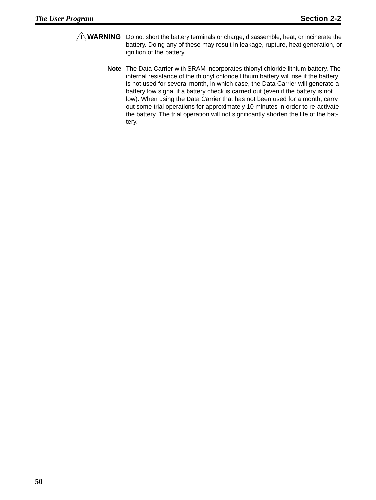- **! WARNING** Do not short the battery terminals or charge, disassemble, heat, or incinerate the battery. Doing any of these may result in leakage, rupture, heat generation, or ignition of the battery.
	- **Note** The Data Carrier with SRAM incorporates thionyl chloride lithium battery. The internal resistance of the thionyl chloride lithium battery will rise if the battery is not used for several month, in which case, the Data Carrier will generate a battery low signal if a battery check is carried out (even if the battery is not low). When using the Data Carrier that has not been used for a month, carry out some trial operations for approximately 10 minutes in order to re-activate the battery. The trial operation will not significantly shorten the life of the battery.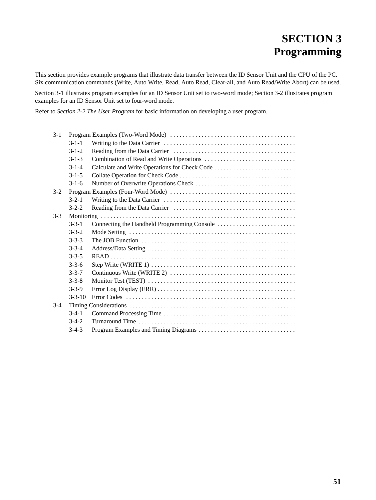# **SECTION 3 Programming**

This section provides example programs that illustrate data transfer between the ID Sensor Unit and the CPU of the PC. Six communication commands (Write, Auto Write, Read, Auto Read, Clear-all, and Auto Read/Write Abort) can be used.

Section 3-1 illustrates program examples for an ID Sensor Unit set to two-word mode; Section 3-2 illustrates program examples for an ID Sensor Unit set to four-word mode.

Refer to *Section 2-2 The User Program* for basic information on developing a user program.

| $3-1$ |              |                                               |  |  |  |  |  |
|-------|--------------|-----------------------------------------------|--|--|--|--|--|
|       | $3 - 1 - 1$  |                                               |  |  |  |  |  |
|       | $3 - 1 - 2$  |                                               |  |  |  |  |  |
|       | $3 - 1 - 3$  |                                               |  |  |  |  |  |
|       | $3 - 1 - 4$  | Calculate and Write Operations for Check Code |  |  |  |  |  |
|       | $3 - 1 - 5$  |                                               |  |  |  |  |  |
|       | $3-1-6$      |                                               |  |  |  |  |  |
| $3-2$ |              |                                               |  |  |  |  |  |
|       | $3 - 2 - 1$  |                                               |  |  |  |  |  |
|       | $3 - 2 - 2$  |                                               |  |  |  |  |  |
| $3-3$ |              |                                               |  |  |  |  |  |
|       | $3 - 3 - 1$  |                                               |  |  |  |  |  |
|       | $3 - 3 - 2$  |                                               |  |  |  |  |  |
|       | $3 - 3 - 3$  |                                               |  |  |  |  |  |
|       | $3 - 3 - 4$  |                                               |  |  |  |  |  |
|       | $3 - 3 - 5$  |                                               |  |  |  |  |  |
|       | $3 - 3 - 6$  |                                               |  |  |  |  |  |
|       | $3 - 3 - 7$  |                                               |  |  |  |  |  |
|       | $3 - 3 - 8$  |                                               |  |  |  |  |  |
|       | $3 - 3 - 9$  |                                               |  |  |  |  |  |
|       | $3 - 3 - 10$ |                                               |  |  |  |  |  |
| $3-4$ |              |                                               |  |  |  |  |  |
|       | $3-4-1$      |                                               |  |  |  |  |  |
|       | $3-4-2$      |                                               |  |  |  |  |  |
|       | $3-4-3$      |                                               |  |  |  |  |  |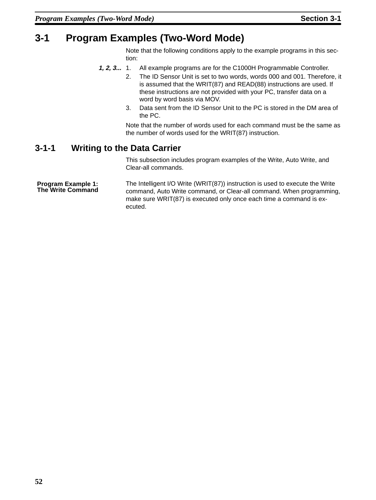# **3-1 Program Examples (Two-Word Mode)**

Note that the following conditions apply to the example programs in this section:

- **1, 2, 3...** 1. All example programs are for the C1000H Programmable Controller.
	- 2. The ID Sensor Unit is set to two words, words 000 and 001. Therefore, it is assumed that the WRIT(87) and READ(88) instructions are used. If these instructions are not provided with your PC, transfer data on a word by word basis via MOV.
	- 3. Data sent from the ID Sensor Unit to the PC is stored in the DM area of the PC.

Note that the number of words used for each command must be the same as the number of words used for the WRIT(87) instruction.

# **3-1-1 Writing to the Data Carrier**

This subsection includes program examples of the Write, Auto Write, and Clear-all commands.

The Intelligent I/O Write (WRIT(87)) instruction is used to execute the Write command, Auto Write command, or Clear-all command. When programming, make sure WRIT(87) is executed only once each time a command is executed. **Program Example 1: The Write Command**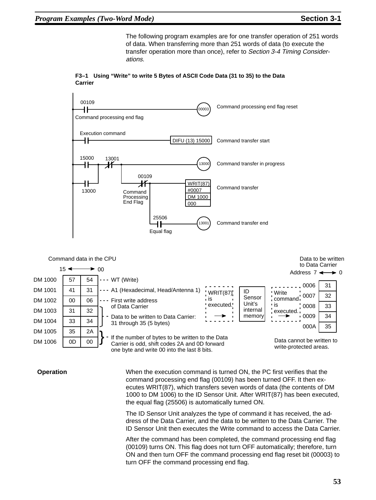The following program examples are for one transfer operation of 251 words of data. When transferring more than 251 words of data (to execute the transfer operation more than once), refer to Section 3-4 Timing Considerations.





If the number of bytes to be written to the Data Carrier is odd, shift codes 2A and 0D forward one byte and write 00 into the last 8 bits.

Data cannot be written to write-protected areas.

0D 00

DM 1006

**Operation** When the execution command is turned ON, the PC first verifies that the command processing end flag (00109) has been turned OFF. It then executes WRIT(87), which transfers seven words of data (the contents of DM 1000 to DM 1006) to the ID Sensor Unit. After WRIT(87) has been executed, the equal flag (25506) is automatically turned ON.

> The ID Sensor Unit analyzes the type of command it has received, the address of the Data Carrier, and the data to be written to the Data Carrier. The ID Sensor Unit then executes the Write command to access the Data Carrier.

> After the command has been completed, the command processing end flag (00109) turns ON. This flag does not turn OFF automatically; therefore, turn ON and then turn OFF the command processing end flag reset bit (00003) to turn OFF the command processing end flag.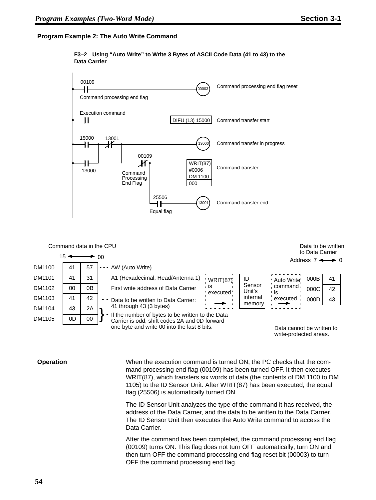### **Program Example 2: The Auto Write Command**







**Operation** When the execution command is turned ON, the PC checks that the command processing end flag (00109) has been turned OFF. It then executes WRIT(87), which transfers six words of data (the contents of DM 1100 to DM 1105) to the ID Sensor Unit. After WRIT(87) has been executed, the equal flag (25506) is automatically turned ON.

> The ID Sensor Unit analyzes the type of the command it has received, the address of the Data Carrier, and the data to be written to the Data Carrier. The ID Sensor Unit then executes the Auto Write command to access the Data Carrier.

After the command has been completed, the command processing end flag (00109) turns ON. This flag does not turn OFF automatically; turn ON and then turn OFF the command processing end flag reset bit (00003) to turn OFF the command processing end flag.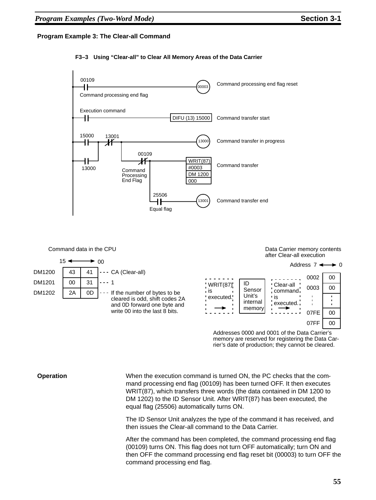### **Program Example 3: The Clear-all Command**

#### **F3–3 Using "Clear-all" to Clear All Memory Areas of the Data Carrier**





Addresses 0000 and 0001 of the Data Carrier's memory are reserved for registering the Data Carrier's date of production; they cannot be cleared.

**Operation** When the execution command is turned ON, the PC checks that the command processing end flag (00109) has been turned OFF. It then executes WRIT(87), which transfers three words (the data contained in DM 1200 to DM 1202) to the ID Sensor Unit. After WRIT(87) has been executed, the equal flag (25506) automatically turns ON.

> The ID Sensor Unit analyzes the type of the command it has received, and then issues the Clear-all command to the Data Carrier.

After the command has been completed, the command processing end flag (00109) turns ON. This flag does not turn OFF automatically; turn ON and then OFF the command processing end flag reset bit (00003) to turn OFF the command processing end flag.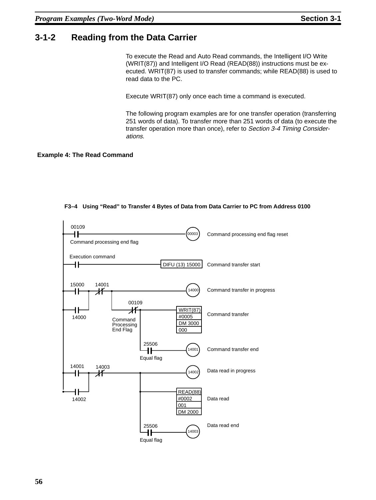# **3-1-2 Reading from the Data Carrier**

To execute the Read and Auto Read commands, the Intelligent I/O Write (WRIT(87)) and Intelligent I/O Read (READ(88)) instructions must be executed. WRIT(87) is used to transfer commands; while READ(88) is used to read data to the PC.

Execute WRIT(87) only once each time a command is executed.

The following program examples are for one transfer operation (transferring 251 words of data). To transfer more than 251 words of data (to execute the transfer operation more than once), refer to Section 3-4 Timing Considerations.

**Example 4: The Read Command**



**F3–4 Using "Read" to Transfer 4 Bytes of Data from Data Carrier to PC from Address 0100**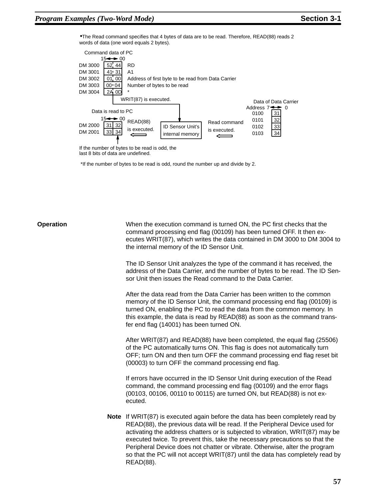•The Read command specifies that 4 bytes of data are to be read. Therefore, READ(88) reads 2 words of data (one word equals 2 bytes).



last 8 bits of data are undefined.

\*If the number of bytes to be read is odd, round the number up and divide by 2.

**Operation** When the execution command is turned ON, the PC first checks that the command processing end flag (00109) has been turned OFF. It then executes WRIT(87), which writes the data contained in DM 3000 to DM 3004 to the internal memory of the ID Sensor Unit.

> The ID Sensor Unit analyzes the type of the command it has received, the address of the Data Carrier, and the number of bytes to be read. The ID Sensor Unit then issues the Read command to the Data Carrier.

After the data read from the Data Carrier has been written to the common memory of the ID Sensor Unit, the command processing end flag (00109) is turned ON, enabling the PC to read the data from the common memory. In this example, the data is read by READ(88) as soon as the command transfer end flag (14001) has been turned ON.

After WRIT(87) and READ(88) have been completed, the equal flag (25506) of the PC automatically turns ON. This flag is does not automatically turn OFF; turn ON and then turn OFF the command processing end flag reset bit (00003) to turn OFF the command processing end flag.

If errors have occurred in the ID Sensor Unit during execution of the Read command, the command processing end flag (00109) and the error flags (00103, 00106, 00110 to 00115) are turned ON, but READ(88) is not executed.

**Note** If WRIT(87) is executed again before the data has been completely read by READ(88), the previous data will be read. If the Peripheral Device used for activating the address chatters or is subjected to vibration, WRIT(87) may be executed twice. To prevent this, take the necessary precautions so that the Peripheral Device does not chatter or vibrate. Otherwise, alter the program so that the PC will not accept WRIT(87) until the data has completely read by READ(88).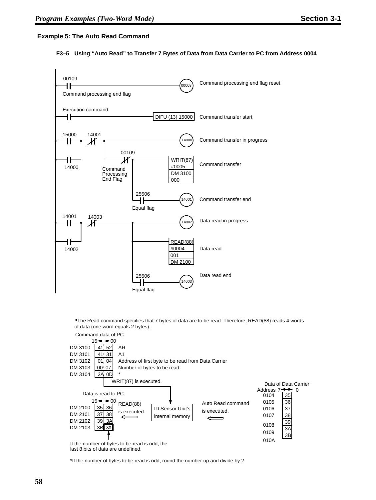### **Example 5: The Auto Read Command**

#### **F3–5 Using "Auto Read" to Transfer 7 Bytes of Data from Data Carrier to PC from Address 0004**



•The Read command specifies that 7 bytes of data are to be read. Therefore, READ(88) reads 4 words of data (one word equals 2 bytes).



\*If the number of bytes to be read is odd, round the number up and divide by 2.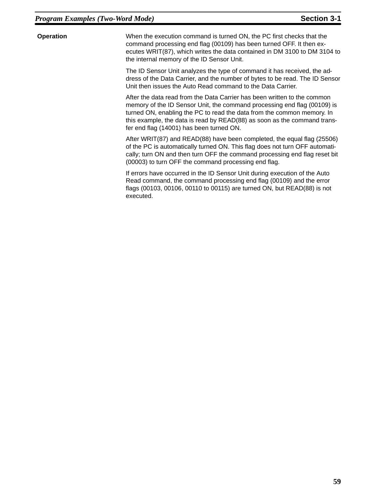**Operation** When the execution command is turned ON, the PC first checks that the command processing end flag (00109) has been turned OFF. It then executes WRIT(87), which writes the data contained in DM 3100 to DM 3104 to the internal memory of the ID Sensor Unit.

> The ID Sensor Unit analyzes the type of command it has received, the address of the Data Carrier, and the number of bytes to be read. The ID Sensor Unit then issues the Auto Read command to the Data Carrier.

After the data read from the Data Carrier has been written to the common memory of the ID Sensor Unit, the command processing end flag (00109) is turned ON, enabling the PC to read the data from the common memory. In this example, the data is read by READ(88) as soon as the command transfer end flag (14001) has been turned ON.

After WRIT(87) and READ(88) have been completed, the equal flag (25506) of the PC is automatically turned ON. This flag does not turn OFF automatically; turn ON and then turn OFF the command processing end flag reset bit (00003) to turn OFF the command processing end flag.

If errors have occurred in the ID Sensor Unit during execution of the Auto Read command, the command processing end flag (00109) and the error flags (00103, 00106, 00110 to 00115) are turned ON, but READ(88) is not executed.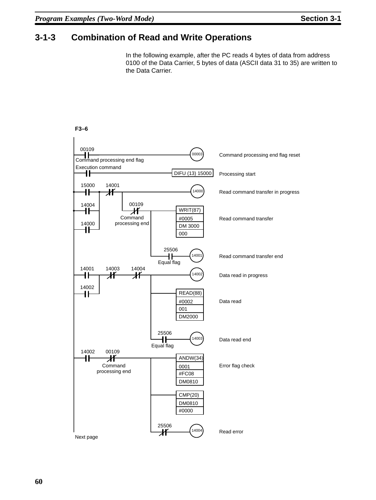# **3-1-3 Combination of Read and Write Operations**

In the following example, after the PC reads 4 bytes of data from address 0100 of the Data Carrier, 5 bytes of data (ASCII data 31 to 35) are written to the Data Carrier.

00109  $00003$ **Command processing end flag** Command processing end flag reset Execution command DIFU (13) 15000 Processing start 15000 14001 -<br>14000 ーート  $\boldsymbol{\mathcal{H}}$ Read command transfer in progress 00109<br><del>1</del> 14004 WRIT(87) ーート Command #0005 Read command transfer  $14000$ processing end DM 3000 000 25506 14001 Read command transfer end ed |<br>Equal flag 14001 14003 14004 14002 H۴  $\boldsymbol{\mathcal{H}}$ Data read in progress 北 14002 READ(88) ート Data read #0002 001 DM2000 25506 Equal flag 14003 Data read end 14002 00109 ANDW(34) ┨┠  $\boldsymbol{\mathcal{H}}$ Command Error flag check 0001 processing end #FC08 DM0810 CMP(20) DM0810 #0000 25506 14004  $\mathcal H$ Read error Next page

**F3–6**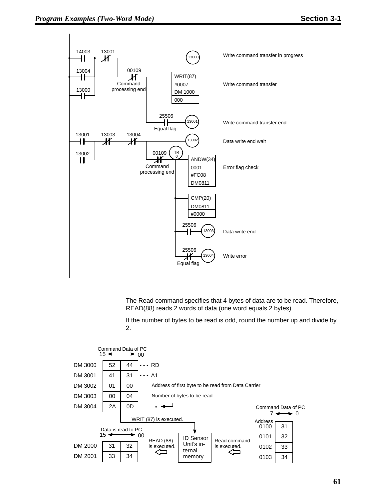

The Read command specifies that 4 bytes of data are to be read. Therefore, READ(88) reads 2 words of data (one word equals 2 bytes).

If the number of bytes to be read is odd, round the number up and divide by 2.

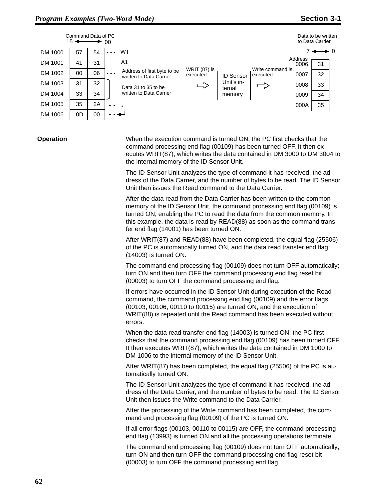### *Program Examples (Two-Word Mode)* **Section 3-1**



**Operation** When the execution command is turned ON, the PC first checks that the command processing end flag (00109) has been turned OFF. It then executes WRIT(87), which writes the data contained in DM 3000 to DM 3004 to the internal memory of the ID Sensor Unit.

> The ID Sensor Unit analyzes the type of command it has received, the address of the Data Carrier, and the number of bytes to be read. The ID Sensor Unit then issues the Read command to the Data Carrier.

After the data read from the Data Carrier has been written to the common memory of the ID Sensor Unit, the command processing end flag (00109) is turned ON, enabling the PC to read the data from the common memory. In this example, the data is read by READ(88) as soon as the command transfer end flag (14001) has been turned ON.

After WRIT(87) and READ(88) have been completed, the equal flag (25506) of the PC is automatically turned ON, and the data read transfer end flag (14003) is turned ON.

The command end processing flag (00109) does not turn OFF automatically; turn ON and then turn OFF the command processing end flag reset bit (00003) to turn OFF the command processing end flag.

If errors have occurred in the ID Sensor Unit during execution of the Read command, the command processing end flag (00109) and the error flags (00103, 00106, 00110 to 00115) are turned ON, and the execution of WRIT(88) is repeated until the Read command has been executed without errors.

When the data read transfer end flag (14003) is turned ON, the PC first checks that the command processing end flag (00109) has been turned OFF. It then executes WRIT(87), which writes the data contained in DM 1000 to DM 1006 to the internal memory of the ID Sensor Unit.

After WRIT(87) has been completed, the equal flag (25506) of the PC is automatically turned ON.

The ID Sensor Unit analyzes the type of command it has received, the address of the Data Carrier, and the number of bytes to be read. The ID Sensor Unit then issues the Write command to the Data Carrier.

After the processing of the Write command has been completed, the command end processing flag (00109) of the PC is turned ON.

If all error flags (00103, 00110 to 00115) are OFF, the command processing end flag (13993) is turned ON and all the processing operations terminate.

The command end processing flag (00109) does not turn OFF automatically; turn ON and then turn OFF the command processing end flag reset bit (00003) to turn OFF the command processing end flag.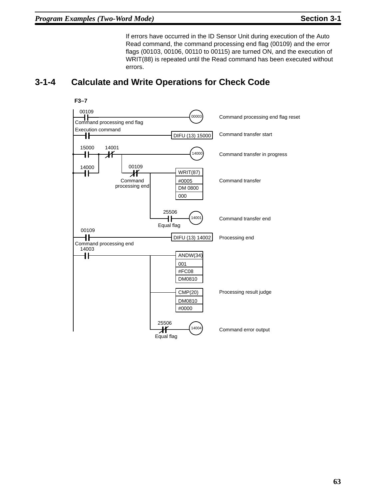If errors have occurred in the ID Sensor Unit during execution of the Auto Read command, the command processing end flag (00109) and the error flags (00103, 00106, 00110 to 00115) are turned ON, and the execution of WRIT(88) is repeated until the Read command has been executed without errors.

# **3-1-4 Calculate and Write Operations for Check Code**



**F3–7**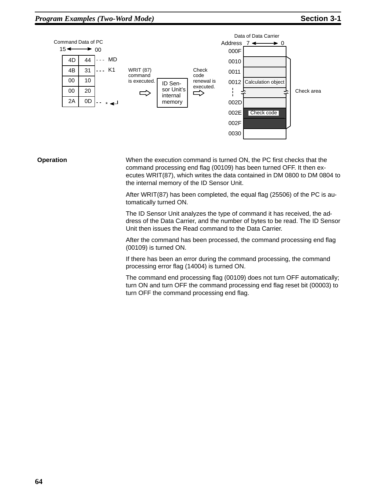### *Program Examples (Two-Word Mode)* **Section 3-1**



**Operation** When the execution command is turned ON, the PC first checks that the command processing end flag (00109) has been turned OFF. It then executes WRIT(87), which writes the data contained in DM 0800 to DM 0804 to the internal memory of the ID Sensor Unit.

> After WRIT(87) has been completed, the equal flag (25506) of the PC is automatically turned ON.

The ID Sensor Unit analyzes the type of command it has received, the address of the Data Carrier, and the number of bytes to be read. The ID Sensor Unit then issues the Read command to the Data Carrier.

After the command has been processed, the command processing end flag (00109) is turned ON.

If there has been an error during the command processing, the command processing error flag (14004) is turned ON.

The command end processing flag (00109) does not turn OFF automatically; turn ON and turn OFF the command processing end flag reset bit (00003) to turn OFF the command processing end flag.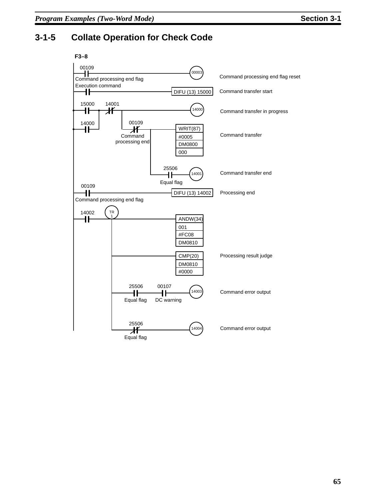# **3-1-5 Collate Operation for Check Code**



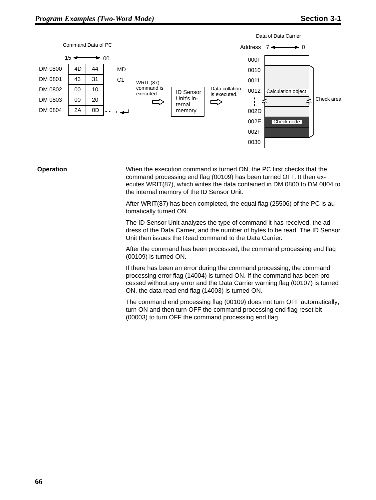# *Program Examples (Two-Word Mode)* **Section 3-1**



**Operation** When the execution command is turned ON, the PC first checks that the command processing end flag (00109) has been turned OFF. It then executes WRIT(87), which writes the data contained in DM 0800 to DM 0804 to the internal memory of the ID Sensor Unit.

> After WRIT(87) has been completed, the equal flag (25506) of the PC is automatically turned ON.

The ID Sensor Unit analyzes the type of command it has received, the address of the Data Carrier, and the number of bytes to be read. The ID Sensor Unit then issues the Read command to the Data Carrier.

After the command has been processed, the command processing end flag (00109) is turned ON.

If there has been an error during the command processing, the command processing error flag (14004) is turned ON. If the command has been processed without any error and the Data Carrier warning flag (00107) is turned ON, the data read end flag (14003) is turned ON.

The command end processing flag (00109) does not turn OFF automatically; turn ON and then turn OFF the command processing end flag reset bit (00003) to turn OFF the command processing end flag.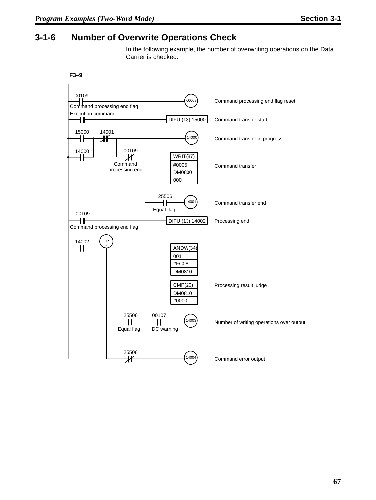# **3-1-6 Number of Overwrite Operations Check**

In the following example, the number of overwriting operations on the Data Carrier is checked.

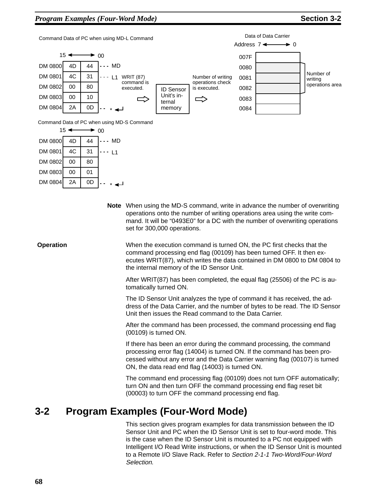

Command Data of PC when using MD-S Command

| 15<br>ററ |    |    |     |  |  |  |  |  |  |  |
|----------|----|----|-----|--|--|--|--|--|--|--|
| DM 0800  | 4D | 44 | MD  |  |  |  |  |  |  |  |
| DM 0801  | 4C | 31 | l 1 |  |  |  |  |  |  |  |
| DM 0802  | 00 | 80 |     |  |  |  |  |  |  |  |
| DM 0803  | 00 | 01 |     |  |  |  |  |  |  |  |
| DM 0804  | 2A | 0D |     |  |  |  |  |  |  |  |

**Note** When using the MD-S command, write in advance the number of overwriting operations onto the number of writing operations area using the write command. It will be "0493E0" for a DC with the number of overwriting operations set for 300,000 operations.

**Operation** When the execution command is turned ON, the PC first checks that the command processing end flag (00109) has been turned OFF. It then executes WRIT(87), which writes the data contained in DM 0800 to DM 0804 to the internal memory of the ID Sensor Unit.

> After WRIT(87) has been completed, the equal flag (25506) of the PC is automatically turned ON.

The ID Sensor Unit analyzes the type of command it has received, the address of the Data Carrier, and the number of bytes to be read. The ID Sensor Unit then issues the Read command to the Data Carrier.

After the command has been processed, the command processing end flag (00109) is turned ON.

If there has been an error during the command processing, the command processing error flag (14004) is turned ON. If the command has been processed without any error and the Data Carrier warning flag (00107) is turned ON, the data read end flag (14003) is turned ON.

The command end processing flag (00109) does not turn OFF automatically; turn ON and then turn OFF the command processing end flag reset bit (00003) to turn OFF the command processing end flag.

# **3-2 Program Examples (Four-Word Mode)**

This section gives program examples for data transmission between the ID Sensor Unit and PC when the ID Sensor Unit is set to four-word mode. This is the case when the ID Sensor Unit is mounted to a PC not equipped with Intelligent I/O Read Write instructions, or when the ID Sensor Unit is mounted to a Remote I/O Slave Rack. Refer to Section 2-1-1 Two-Word/Four-Word Selection.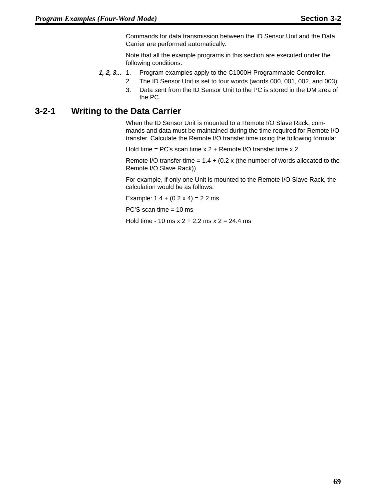Commands for data transmission between the ID Sensor Unit and the Data Carrier are performed automatically.

Note that all the example programs in this section are executed under the following conditions:

- **1, 2, 3...** 1. Program examples apply to the C1000H Programmable Controller.
	- 2. The ID Sensor Unit is set to four words (words 000, 001, 002, and 003).
		- 3. Data sent from the ID Sensor Unit to the PC is stored in the DM area of the PC.

# **3-2-1 Writing to the Data Carrier**

When the ID Sensor Unit is mounted to a Remote I/O Slave Rack, commands and data must be maintained during the time required for Remote I/O transfer. Calculate the Remote I/O transfer time using the following formula:

Hold time = PC's scan time x 2 + Remote I/O transfer time x 2

Remote I/O transfer time =  $1.4 + (0.2 \times \text{ (the number of words allocated to the)}$ Remote I/O Slave Rack))

For example, if only one Unit is mounted to the Remote I/O Slave Rack, the calculation would be as follows:

Example:  $1.4 + (0.2 \times 4) = 2.2 \text{ ms}$ 

PC'S scan time = 10 ms

Hold time - 10 ms  $x$  2 + 2.2 ms  $x$  2 = 24.4 ms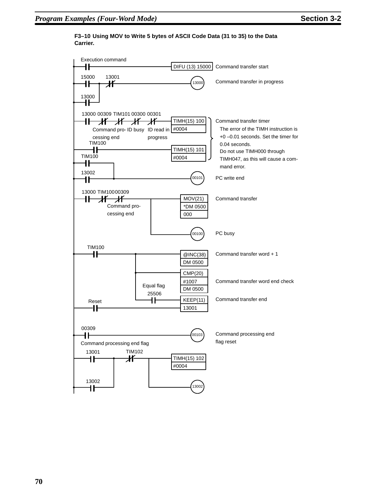## **F3–10 Using MOV to Write 5 bytes of ASCII Code Data (31 to 35) to the Data Carrier.**

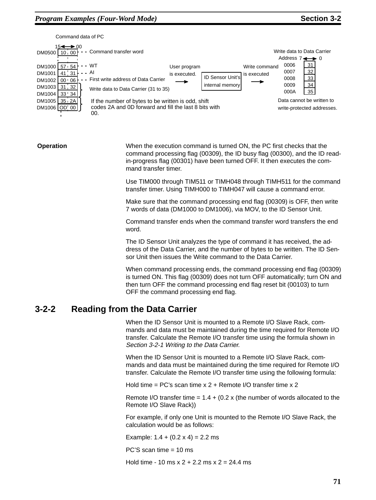# *Program Examples (Four-Word Mode)* **Section 3-2**



**Operation** When the execution command is turned ON, the PC first checks that the command processing flag (00309), the ID busy flag (00300), and the ID readin-progress flag (00301) have been turned OFF. It then executes the command transfer timer.

> Use TIM000 through TIM511 or TIMH048 through TIMH511 for the command transfer timer. Using TIMH000 to TIMH047 will cause a command error.

Make sure that the command processing end flag (00309) is OFF, then write 7 words of data (DM1000 to DM1006), via MOV, to the ID Sensor Unit.

Command transfer ends when the command transfer word transfers the end word.

The ID Sensor Unit analyzes the type of command it has received, the address of the Data Carrier, and the number of bytes to be written. The ID Sensor Unit then issues the Write command to the Data Carrier.

When command processing ends, the command processing end flag (00309) is turned ON. This flag (00309) does not turn OFF automatically; turn ON and then turn OFF the command processing end flag reset bit (00103) to turn OFF the command processing end flag.

# **3-2-2 Reading from the Data Carrier**

When the ID Sensor Unit is mounted to a Remote I/O Slave Rack, commands and data must be maintained during the time required for Remote I/O transfer. Calculate the Remote I/O transfer time using the formula shown in Section 3-2-1 Writing to the Data Carrier.

When the ID Sensor Unit is mounted to a Remote I/O Slave Rack, commands and data must be maintained during the time required for Remote I/O transfer. Calculate the Remote I/O transfer time using the following formula:

Hold time = PC's scan time x 2 + Remote I/O transfer time x 2

Remote I/O transfer time  $= 1.4 + (0.2 \times )$  (the number of words allocated to the Remote I/O Slave Rack))

For example, if only one Unit is mounted to the Remote I/O Slave Rack, the calculation would be as follows:

Example:  $1.4 + (0.2 \times 4) = 2.2 \text{ ms}$ 

PC'S scan time = 10 ms

Hold time - 10 ms  $x$  2 + 2.2 ms  $x$  2 = 24.4 ms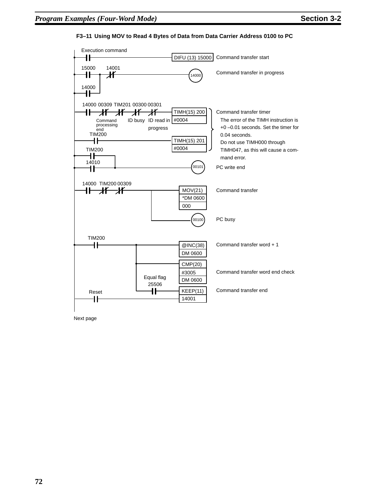

### **F3–11 Using MOV to Read 4 Bytes of Data from Data Carrier Address 0100 to PC**

Next page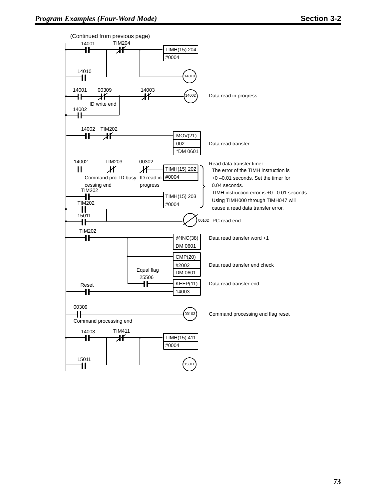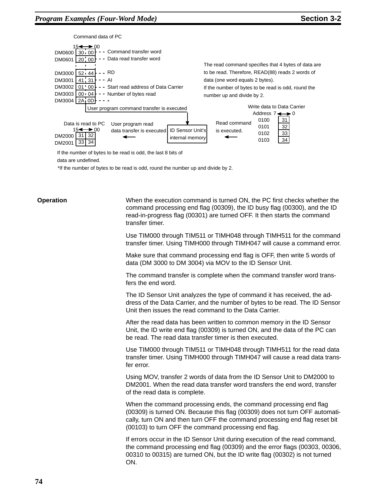

If the number of bytes to be read is odd, the last 8 bits of data are undefined.

\*If the number of bytes to be read is odd, round the number up and divide by 2.

**Operation** When the execution command is turned ON, the PC first checks whether the command processing end flag (00309), the ID busy flag (00300), and the ID read-in-progress flag (00301) are turned OFF. It then starts the command transfer timer.

> Use TIM000 through TIM511 or TIMH048 through TIMH511 for the command transfer timer. Using TIMH000 through TIMH047 will cause a command error.

Make sure that command processing end flag is OFF, then write 5 words of data (DM 3000 to DM 3004) via MOV to the ID Sensor Unit.

The command transfer is complete when the command transfer word transfers the end word.

The ID Sensor Unit analyzes the type of command it has received, the address of the Data Carrier, and the number of bytes to be read. The ID Sensor Unit then issues the read command to the Data Carrier.

After the read data has been written to common memory in the ID Sensor Unit, the ID write end flag (00309) is turned ON, and the data of the PC can be read. The read data transfer timer is then executed.

Use TIM000 through TIM511 or TIMH048 through TIMH511 for the read data transfer timer. Using TIMH000 through TIMH047 will cause a read data transfer error.

Using MOV, transfer 2 words of data from the ID Sensor Unit to DM2000 to DM2001. When the read data transfer word transfers the end word, transfer of the read data is complete.

When the command processing ends, the command processing end flag (00309) is turned ON. Because this flag (00309) does not turn OFF automatically, turn ON and then turn OFF the command processing end flag reset bit (00103) to turn OFF the command processing end flag.

If errors occur in the ID Sensor Unit during execution of the read command, the command processing end flag (00309) and the error flags (00303, 00306, 00310 to 00315) are turned ON, but the ID write flag (00302) is not turned ON.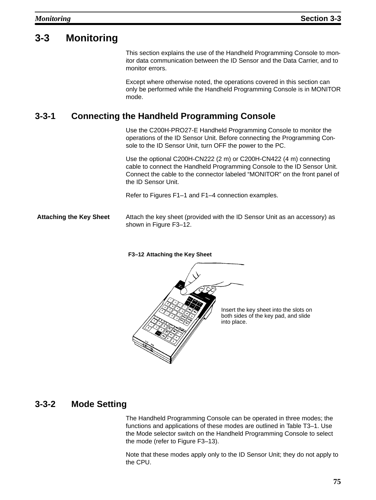# **3-3 Monitoring**

This section explains the use of the Handheld Programming Console to monitor data communication between the ID Sensor and the Data Carrier, and to monitor errors.

Except where otherwise noted, the operations covered in this section can only be performed while the Handheld Programming Console is in MONITOR mode.

# **3-3-1 Connecting the Handheld Programming Console**

Use the C200H-PRO27-E Handheld Programming Console to monitor the operations of the ID Sensor Unit. Before connecting the Programming Console to the ID Sensor Unit, turn OFF the power to the PC.

Use the optional C200H-CN222 (2 m) or C200H-CN422 (4 m) connecting cable to connect the Handheld Programming Console to the ID Sensor Unit. Connect the cable to the connector labeled "MONITOR" on the front panel of the ID Sensor Unit.

Refer to Figures F1–1 and F1–4 connection examples.

# **Attaching the Key Sheet**

Attach the key sheet (provided with the ID Sensor Unit as an accessory) as shown in Figure F3–12.

### **F3–12 Attaching the Key Sheet**



Insert the key sheet into the slots on both sides of the key pad, and slide

# **3-3-2 Mode Setting**

The Handheld Programming Console can be operated in three modes; the functions and applications of these modes are outlined in Table T3–1. Use the Mode selector switch on the Handheld Programming Console to select the mode (refer to Figure F3–13).

Note that these modes apply only to the ID Sensor Unit; they do not apply to the CPU.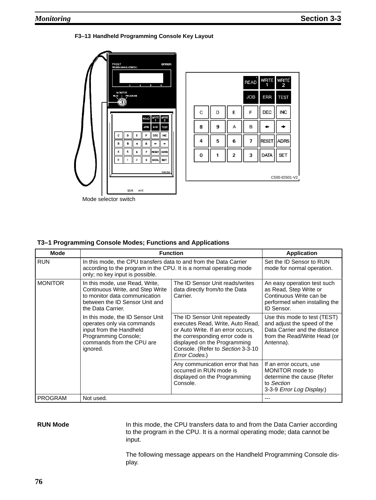### **F3–13 Handheld Programming Console Key Layout**



## **T3–1 Programming Console Modes; Functions and Applications**

| <b>Mode</b>                                                                                                                                                |                                                                                                                                                                            | <b>Function</b>                                                                                                                                                                                                                  | <b>Application</b>                                                                                                                        |
|------------------------------------------------------------------------------------------------------------------------------------------------------------|----------------------------------------------------------------------------------------------------------------------------------------------------------------------------|----------------------------------------------------------------------------------------------------------------------------------------------------------------------------------------------------------------------------------|-------------------------------------------------------------------------------------------------------------------------------------------|
| <b>RUN</b>                                                                                                                                                 | In this mode, the CPU transfers data to and from the Data Carrier<br>according to the program in the CPU. It is a normal operating mode<br>only; no key input is possible. |                                                                                                                                                                                                                                  | Set the ID Sensor to RUN<br>mode for normal operation.                                                                                    |
| <b>MONITOR</b>                                                                                                                                             | In this mode, use Read, Write,<br>Continuous Write, and Step Write<br>to monitor data communication<br>between the ID Sensor Unit and<br>the Data Carrier.                 | The ID Sensor Unit reads/writes<br>data directly from/to the Data<br>Carrier.                                                                                                                                                    | An easy operation test such<br>as Read, Step Write or<br>Continuous Write can be<br>performed when installing the<br>ID Sensor.           |
| In this mode, the ID Sensor Unit<br>operates only via commands<br>input from the Handheld<br>Programming Console;<br>commands from the CPU are<br>ignored. |                                                                                                                                                                            | The ID Sensor Unit repeatedly<br>executes Read, Write, Auto Read,<br>or Auto Write. If an error occurs,<br>the corresponding error code is<br>displayed on the Programming<br>Console. (Refer to Section 3-3-10<br>Error Codes.) | Use this mode to test (TEST)<br>and adjust the speed of the<br>Data Carrier and the distance<br>from the Read/Write Head (or<br>Antenna). |
|                                                                                                                                                            |                                                                                                                                                                            | Any communication error that has<br>occurred in RUN mode is<br>displayed on the Programming<br>Console.                                                                                                                          | If an error occurs, use<br>MONITOR mode to<br>determine the cause (Refer<br>to Section<br>3-3-9 Error Log Display.)                       |
| <b>PROGRAM</b>                                                                                                                                             | Not used.                                                                                                                                                                  |                                                                                                                                                                                                                                  |                                                                                                                                           |

**RUN Mode** In this mode, the CPU transfers data to and from the Data Carrier according to the program in the CPU. It is a normal operating mode; data cannot be input.

> The following message appears on the Handheld Programming Console display.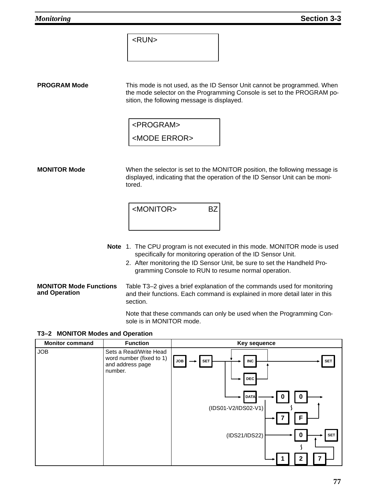<RUN>

**PROGRAM Mode** This mode is not used, as the ID Sensor Unit cannot be programmed. When the mode selector on the Programming Console is set to the PROGRAM position, the following message is displayed.

<PROGRAM>

# <MODE ERROR>

## **MONITOR Mode** When the selector is set to the MONITOR position, the following message is displayed, indicating that the operation of the ID Sensor Unit can be monitored.

| <monitor></monitor> | BZ |
|---------------------|----|
|                     |    |
|                     |    |

- **Note** 1. The CPU program is not executed in this mode. MONITOR mode is used specifically for monitoring operation of the ID Sensor Unit.
	- 2. After monitoring the ID Sensor Unit, be sure to set the Handheld Programming Console to RUN to resume normal operation.

Table T3–2 gives a brief explanation of the commands used for monitoring and their functions. Each command is explained in more detail later in this section. **MONITOR Mode Functions and Operation**

> Note that these commands can only be used when the Programming Console is in MONITOR mode.

## **T3–2 MONITOR Modes and Operation**

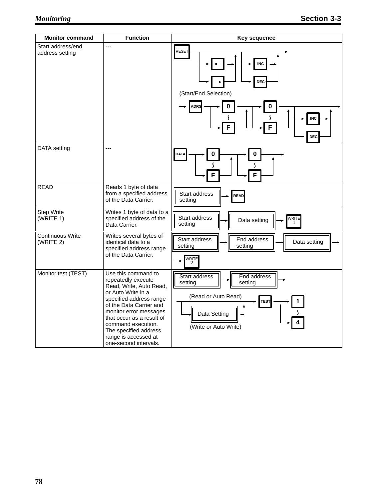| <b>Monitor command</b>               | <b>Function</b>                                                                                                                                                                                                                                                                                         | Key sequence                                                                                                                      |  |  |  |  |  |
|--------------------------------------|---------------------------------------------------------------------------------------------------------------------------------------------------------------------------------------------------------------------------------------------------------------------------------------------------------|-----------------------------------------------------------------------------------------------------------------------------------|--|--|--|--|--|
| Start address/end<br>address setting | $---$                                                                                                                                                                                                                                                                                                   | <b>RESET</b><br><b>INC</b><br>DEC<br>(Start/End Selection)<br><b>ADRS</b><br><b>INC</b><br><b>DEC</b>                             |  |  |  |  |  |
| <b>DATA</b> setting                  | $---$                                                                                                                                                                                                                                                                                                   | <b>DATA</b><br>0<br>F<br>F                                                                                                        |  |  |  |  |  |
| <b>READ</b>                          | Reads 1 byte of data<br>from a specified address<br>of the Data Carrier.                                                                                                                                                                                                                                | Start address<br><b>READ</b><br>setting                                                                                           |  |  |  |  |  |
| Step Write<br>(WRITE 1)              | Writes 1 byte of data to a<br>specified address of the<br>Data Carrier.                                                                                                                                                                                                                                 | Start address<br><b>WRITE</b><br>Data setting<br>setting                                                                          |  |  |  |  |  |
| <b>Continuous Write</b><br>(WRITE 2) | Writes several bytes of<br>identical data to a<br>specified address range<br>of the Data Carrier.                                                                                                                                                                                                       | Start address<br>End address<br>Data setting<br>setting<br>setting<br>WRITE<br>$\overline{2}$                                     |  |  |  |  |  |
| Monitor test (TEST)                  | Use this command to<br>repeatedly execute<br>Read, Write, Auto Read,<br>or Auto Write in a<br>specified address range<br>of the Data Carrier and<br>monitor error messages<br>that occur as a result of<br>command execution.<br>The specified address<br>range is accessed at<br>one-second intervals. | Start address<br>End address<br>setting<br>setting<br>(Read or Auto Read)<br><b>TEST</b><br>Data Setting<br>(Write or Auto Write) |  |  |  |  |  |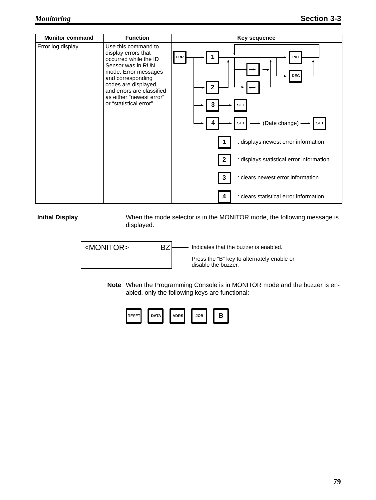| <b>Monitor command</b> | <b>Function</b>                                                                                                                                                                                                                                   | Key sequence                                                                                                                                                                                                                                               |
|------------------------|---------------------------------------------------------------------------------------------------------------------------------------------------------------------------------------------------------------------------------------------------|------------------------------------------------------------------------------------------------------------------------------------------------------------------------------------------------------------------------------------------------------------|
| Error log display      | Use this command to<br>display errors that<br>occurred while the ID<br>Sensor was in RUN<br>mode. Error messages<br>and corresponding<br>codes are displayed,<br>and errors are classified<br>as either "newest error"<br>or "statistical error". | ERR<br><b>INC</b><br>DEC<br><b>SET</b><br>(Date change) -<br>SET<br><b>SET</b><br>: displays newest error information<br>: displays statistical error information<br>: clears newest error information<br>З<br>: clears statistical error information<br>4 |

**Initial Display** When the mode selector is in the MONITOR mode, the following message is displayed:



**Note** When the Programming Console is in MONITOR mode and the buzzer is enabled, only the following keys are functional:

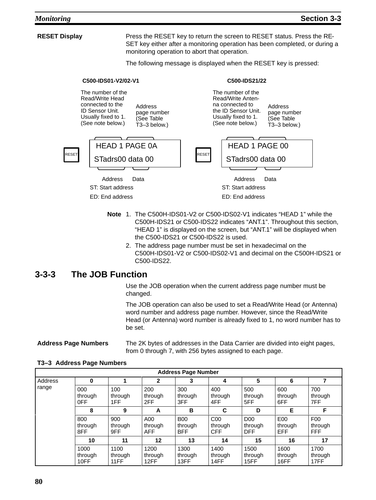**RESET Display Press the RESET key to return the screen to RESET status. Press the RE-**SET key either after a monitoring operation has been completed, or during a monitoring operation to abort that operation.

The following message is displayed when the RESET key is pressed:



- **Note** 1. The C500H-IDS01-V2 or C500-IDS02-V1 indicates "HEAD 1" while the C500H-IDS21 or C500-IDS22 indicates "ANT.1". Throughout this section, "HEAD 1" is displayed on the screen, but "ANT.1" will be displayed when the C500-IDS21 or C500-IDS22 is used.
	- 2. The address page number must be set in hexadecimal on the C500H-IDS01-V2 or C500-IDS02-V1 and decimal on the C500H-IDS21 or C500-IDS22.

# **3-3-3 The JOB Function**

Use the JOB operation when the current address page number must be changed.

The JOB operation can also be used to set a Read/Write Head (or Antenna) word number and address page number. However, since the Read/Write Head (or Antenna) word number is already fixed to 1, no word number has to be set.

**Address Page Numbers** The 2K bytes of addresses in the Data Carrier are divided into eight pages, from 0 through 7, with 256 bytes assigned to each page.

|         | <b>Address Page Number</b> |                         |                              |                                     |                                          |                                          |                                   |                                          |  |  |
|---------|----------------------------|-------------------------|------------------------------|-------------------------------------|------------------------------------------|------------------------------------------|-----------------------------------|------------------------------------------|--|--|
| Address | 0                          |                         | 2                            | 3                                   | 4                                        | 5                                        | 6                                 |                                          |  |  |
| range   | 000<br>through<br>0FF      | 100<br>through<br>1FF   | 200<br>through<br>2FF        | 300<br>through<br>3FF               | 400<br>through<br>4FF                    | 500<br>through<br>5FF                    | 600<br>through<br>6FF             | 700<br>through<br>7FF                    |  |  |
|         | 8                          | 9                       | A                            | в                                   | C                                        | D                                        | Е                                 | F                                        |  |  |
|         | 800<br>through<br>8FF      | 900<br>through<br>9FF   | A00<br>through<br><b>AFF</b> | <b>B00</b><br>through<br><b>BFF</b> | C <sub>00</sub><br>through<br><b>CFF</b> | D <sub>00</sub><br>through<br><b>DFF</b> | E <sub>00</sub><br>through<br>EFF | F <sub>00</sub><br>through<br><b>FFF</b> |  |  |
|         | 10                         | 11                      | 12                           | 13                                  | 14                                       | 15                                       | 16                                | 17                                       |  |  |
|         | 1000<br>through<br>10FF    | 1100<br>through<br>11FF | 1200<br>through<br>12FF      | 1300<br>through<br>13FF             | 1400<br>through<br>14FF                  | 1500<br>through<br>15FF                  | 1600<br>through<br>16FF           | 1700<br>through<br>17FF                  |  |  |

## **T3–3 Address Page Numbers**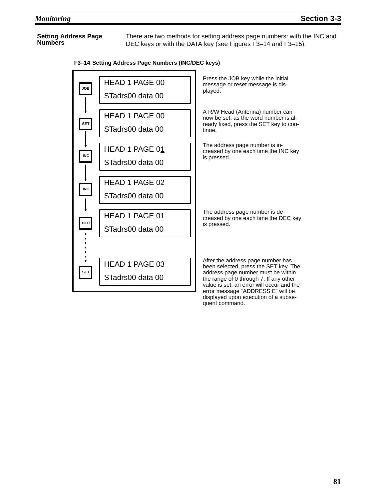### **Setting Address Page Numbers**

There are two methods for setting address page numbers: with the INC and DEC keys or with the DATA key (see Figures F3–14 and F3–15).

## **F3–14 Setting Address Page Numbers (INC/DEC keys)**

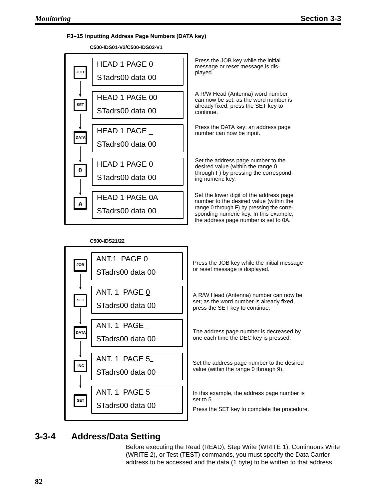## **F3–15 Inputting Address Page Numbers (DATA key)**

**C500-IDS01-V2/C500-IDS02-V1**



# **3-3-4 Address/Data Setting**

Before executing the Read (READ), Step Write (WRITE 1), Continuous Write (WRITE 2), or Test (TEST) commands, you must specify the Data Carrier address to be accessed and the data (1 byte) to be written to that address.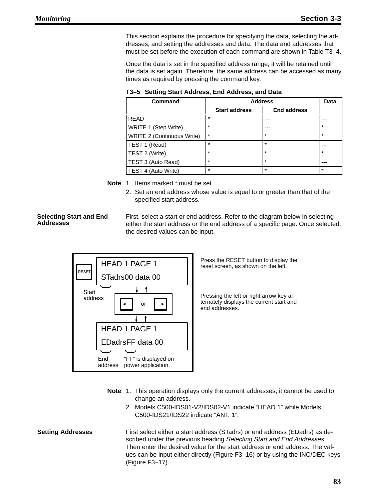This section explains the procedure for specifying the data, selecting the addresses, and setting the addresses and data. The data and addresses that must be set before the execution of each command are shown in Table T3–4.

Once the data is set in the specified address range, it will be retained until the data is set again. Therefore, the same address can be accessed as many times as required by pressing the command key.

|  | T3-5 Setting Start Address, End Address, and Data |
|--|---------------------------------------------------|
|  | .                                                 |

| <b>Command</b>                    | <b>Address</b>                                                                                                                                                                                          | Data    |         |
|-----------------------------------|---------------------------------------------------------------------------------------------------------------------------------------------------------------------------------------------------------|---------|---------|
|                                   | <b>Start address</b><br><b>End address</b><br>$\star$<br>---<br>$\star$<br>$\star$<br>$\star$<br>$\star$<br>$\star$<br>$\star$<br>$\star$<br>$\star$<br>$\star$<br>$\star$<br>$\star$<br>$\star$<br>--- |         |         |
| <b>READ</b>                       |                                                                                                                                                                                                         |         |         |
| WRITE 1 (Step Write)              |                                                                                                                                                                                                         |         |         |
| <b>WRITE 2 (Continuous Write)</b> |                                                                                                                                                                                                         |         |         |
| TEST 1 (Read)                     |                                                                                                                                                                                                         |         |         |
| TEST 2 (Write)                    |                                                                                                                                                                                                         |         |         |
| TEST 3 (Auto Read)                |                                                                                                                                                                                                         |         |         |
| TEST 4 (Auto Write)               | $\star$                                                                                                                                                                                                 | $\star$ | $\star$ |

**Note** 1. Items marked \* must be set.

2. Set an end address whose value is equal to or greater than that of the specified start address.

## **Selecting Start and End Addresses**

First, select a start or end address. Refer to the diagram below in selecting either the start address or the end address of a specific page. Once selected, the desired values can be input.



Press the RESET button to display the reset screen, as shown on the left.

Pressing the left or right arrow key alternately displays the current start and end addresses.

- **Note** 1. This operation displays only the current addresses; it cannot be used to change an address.
	- 2. Models C500-IDS01-V2/IDS02-V1 indicate "HEAD 1" while Models C500-IDS21/IDS22 indicate "ANT. 1".

## **Setting Addresses** First select either a start address (STadrs) or end address (EDadrs) as described under the previous heading Selecting Start and End Addresses. Then enter the desired value for the start address or end address. The values can be input either directly (Figure F3–16) or by using the INC/DEC keys (Figure F3–17).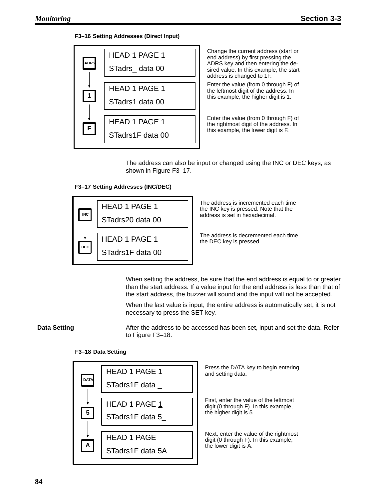**F3–16 Setting Addresses (Direct Input)**



The address can also be input or changed using the INC or DEC keys, as shown in Figure F3–17.

### **F3–17 Setting Addresses (INC/DEC)**



The address is incremented each time the INC key is pressed. Note that the address is set in hexadecimal.

The address is decremented each time the DEC key is pressed.

When setting the address, be sure that the end address is equal to or greater than the start address. If a value input for the end address is less than that of the start address, the buzzer will sound and the input will not be accepted.

When the last value is input, the entire address is automatically set; it is not necessary to press the SET key.

**Data Setting** After the address to be accessed has been set, input and set the data. Refer to Figure F3–18.

### HEAD 1 PAGE 1 STadrs1F data \_ HEAD 1 PAGE 1 STadrs1F data 5\_ HEAD 1 PAGE STadrs1F data 5A Press the DATA key to begin entering and setting data. First, enter the value of the leftmost digit (0 through F). In this example, the higher digit is 5. Next, enter the value of the rightmost **digit (0 through F). In this example,**<br>**A**  $\begin{bmatrix} 1 & 1 \\ 2 & -1 \end{bmatrix}$  **Contract in the lower digit is A. 5 DATA**

### **F3–18 Data Setting**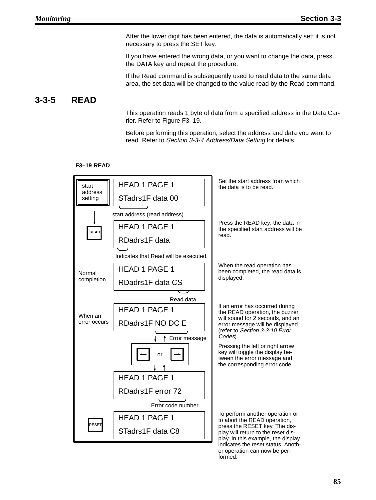After the lower digit has been entered, the data is automatically set; it is not necessary to press the SET key.

If you have entered the wrong data, or you want to change the data, press the DATA key and repeat the procedure.

If the Read command is subsequently used to read data to the same data area, the set data will be changed to the value read by the Read command.

# **3-3-5 READ**

This operation reads 1 byte of data from a specified address in the Data Carrier. Refer to Figure F3–19.

Before performing this operation, select the address and data you want to read. Refer to Section 3-3-4 Address/Data Setting for details.

## **F3–19 READ**

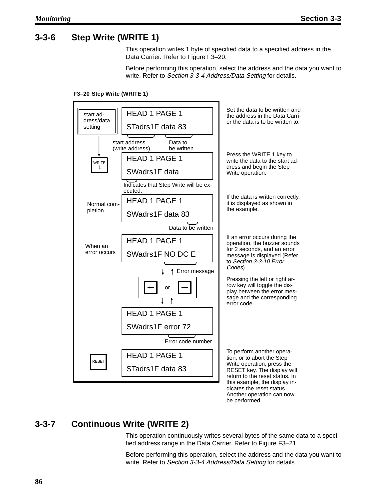# **3-3-6 Step Write (WRITE 1)**

This operation writes 1 byte of specified data to a specified address in the Data Carrier. Refer to Figure F3–20.

Before performing this operation, select the address and the data you want to write. Refer to Section 3-3-4 Address/Data Setting for details.

## **F3–20 Step Write (WRITE 1)**



# **3-3-7 Continuous Write (WRITE 2)**

This operation continuously writes several bytes of the same data to a specified address range in the Data Carrier. Refer to Figure F3–21.

Before performing this operation, select the address and the data you want to write. Refer to Section 3-3-4 Address/Data Setting for details.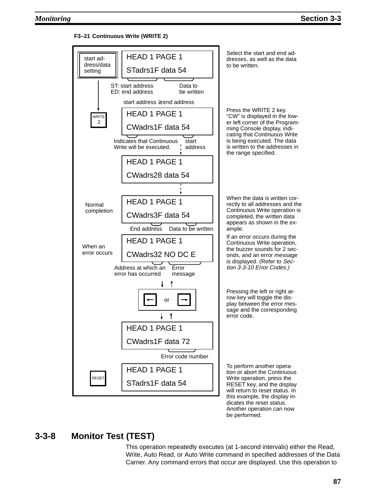**F3–21 Continuous Write (WRITE 2)**



be performed.

# **3-3-8 Monitor Test (TEST)**

This operation repeatedly executes (at 1-second intervals) either the Read, Write, Auto Read, or Auto Write command in specified addresses of the Data Carrier. Any command errors that occur are displayed. Use this operation to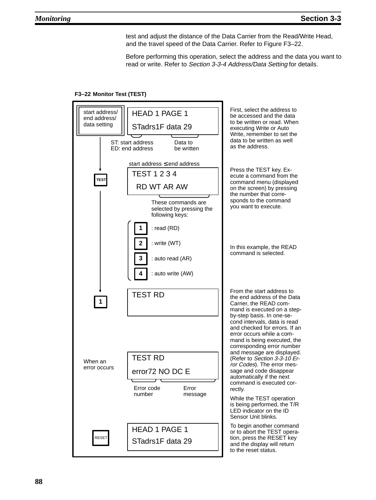test and adjust the distance of the Data Carrier from the Read/Write Head, and the travel speed of the Data Carrier. Refer to Figure F3–22.

Before performing this operation, select the address and the data you want to read or write. Refer to Section 3-3-4 Address/Data Setting for details.

### **F3–22 Monitor Test (TEST)**

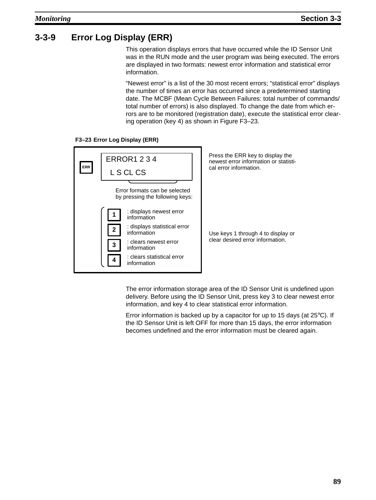# **3-3-9 Error Log Display (ERR)**

This operation displays errors that have occurred while the ID Sensor Unit was in the RUN mode and the user program was being executed. The errors are displayed in two formats: newest error information and statistical error information.

"Newest error" is a list of the 30 most recent errors; "statistical error" displays the number of times an error has occurred since a predetermined starting date. The MCBF (Mean Cycle Between Failures: total number of commands/ total number of errors) is also displayed. To change the date from which errors are to be monitored (registration date), execute the statistical error clearing operation (key 4) as shown in Figure F3–23.

## **F3–23 Error Log Display (ERR)**

| <b>ERR</b> | <b>ERROR1234</b><br>L S CL CS                                    | Press the ERR key to display the<br>newest error information or statisti-<br>cal error information. |
|------------|------------------------------------------------------------------|-----------------------------------------------------------------------------------------------------|
|            | Error formats can be selected<br>by pressing the following keys: |                                                                                                     |
|            | : displays newest error<br>information                           |                                                                                                     |
|            | : displays statistical error<br>$\mathbf{2}$<br>information      | Use keys 1 through 4 to display or                                                                  |
|            | : clears newest error<br>3<br>information                        | clear desired error information.                                                                    |
|            | : clears statistical error<br>information                        |                                                                                                     |

The error information storage area of the ID Sensor Unit is undefined upon delivery. Before using the ID Sensor Unit, press key 3 to clear newest error information, and key 4 to clear statistical error information.

Error information is backed up by a capacitor for up to 15 days (at 25°C). If the ID Sensor Unit is left OFF for more than 15 days, the error information becomes undefined and the error information must be cleared again.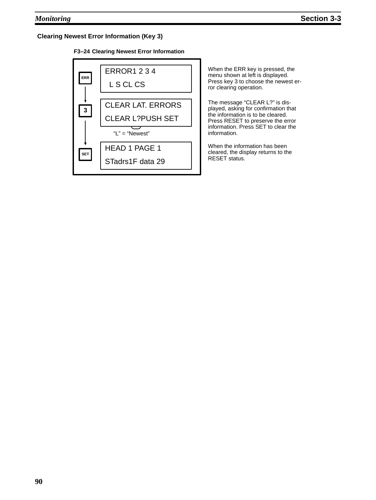## **Clearing Newest Error Information (Key 3)**





When the ERR key is pressed, the menu shown at left is displayed. Press key 3 to choose the newest error clearing operation.

The message "CLEAR L?" is displayed, asking for confirmation that the information is to be cleared. Press RESET to preserve the error information. Press SET to clear the information.

When the information has been cleared, the display returns to the RESET status.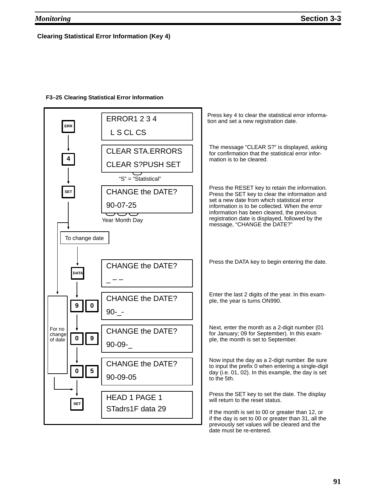# **Clearing Statistical Error Information (Key 4)**

## **F3–25 Clearing Statistical Error Information**

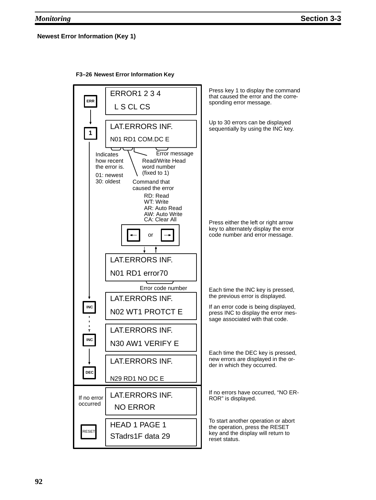**Newest Error Information (Key 1)**

**F3–26 Newest Error Information Key**

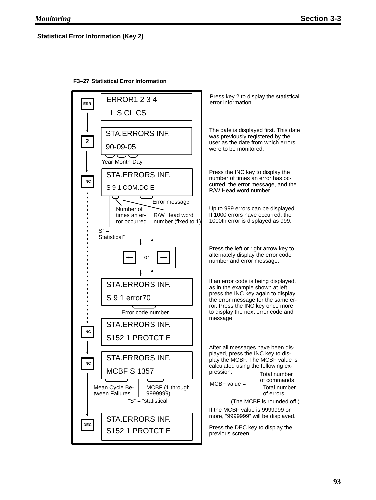**F3–27 Statistical Error Information**

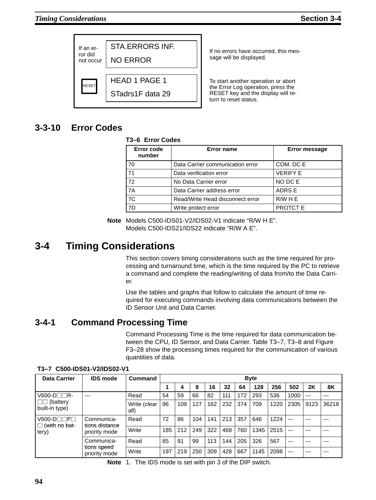

If no errors have occurred, this message will be displayed.

To start another operation or abort the Error Log operation, press the RESET key and the display will return to reset status.

# **3-3-10 Error Codes**

## **T3–6 Error Codes**

| <b>Error code</b><br>number | <b>Error name</b>                | <b>Error message</b> |
|-----------------------------|----------------------------------|----------------------|
| 70                          | Data Carrier communication error | COM. DC E            |
| 71                          | Data verification error          | <b>VERIFY E</b>      |
| 72                          | No Data Carrier error            | NO DC E              |
| 7A                          | Data Carrier address error       | <b>ADRSE</b>         |
| 7C                          | Read/Write Head disconnect error | $R/W$ H E            |
| 7D                          | Write protect error              | PROTCT E             |

**Note** Models C500-IDS01-V2/IDS02-V1 indicate "R/W H E". Models C500-IDS21/IDS22 indicate "R/W A E".

# **3-4 Timing Considerations**

This section covers timing considerations such as the time required for processing and turnaround time, which is the time required by the PC to retrieve a command and complete the reading/writing of data from/to the Data Carrier.

Use the tables and graphs that follow to calculate the amount of time required for executing commands involving data communications between the ID Sensor Unit and Data Carrier.

# **3-4-1 Command Processing Time**

Command Processing Time is the time required for data communication between the CPU, ID Sensor, and Data Carrier. Table T3–7, T3–8 and Figure F3–28 show the processing times required for the communication of various quantities of data.

| <b>Data Carrier</b>                                           | <b>IDS mode</b>                               | Command              |     | <b>Byte</b> |     |     |     |     |      |      |       |       |       |
|---------------------------------------------------------------|-----------------------------------------------|----------------------|-----|-------------|-----|-----|-----|-----|------|------|-------|-------|-------|
|                                                               |                                               |                      |     | 4           | 8   | 16  | 32  | 64  | 128  | 256  | 502   | 2K    | 8Κ    |
| $V600 - D \Box \Box R$                                        | $--$                                          | Read                 | 54  | 59          | 66  | 82  | 111 | 172 | 293  | 536  | 1000  | $---$ |       |
| $\Box\Box$ (battery<br>built-in type)                         |                                               | Write (clear<br>all) | 96  | 109         | 127 | 162 | 232 | 374 | 709  | 1220 | 2305  | 9123  | 36218 |
| $V600 - D \square P \square$<br>$\Box$ (with no bat-<br>tery) | Communica-<br>tions distance<br>priority mode | Read                 | 72  | 86          | 104 | 141 | 213 | 357 | 646  | 1224 | $---$ | ---   |       |
|                                                               |                                               | Write                | 185 | 212         | 249 | 322 | 468 | 760 | 1345 | 2515 | $---$ | ---   |       |
|                                                               | Communica-                                    | Read                 | 85  | 91          | 99  | 113 | 144 | 205 | 326  | 567  | $---$ |       |       |
|                                                               | tions speed<br>priority mode                  | Write                | 197 | 219         | 250 | 309 | 428 | 667 | 1145 | 2098 | $---$ |       |       |

## **T3–7 C500-IDS01-V2/IDS02-V1**

**Note** 1. The IDS mode is set with pin 3 of the DIP switch.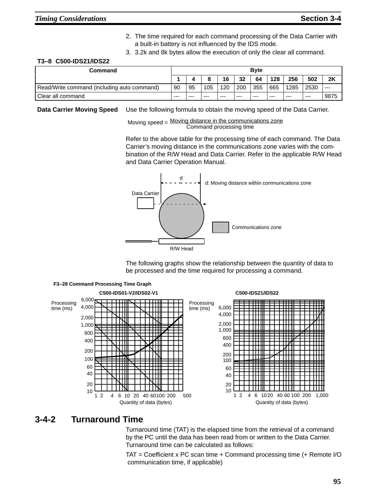- 2. The time required for each command processing of the Data Carrier with a built-in battery is not influenced by the IDS mode.
- 3. 3.2k and 8k bytes allow the execution of only the clear all command.

## **T3–8 C500-IDS21/IDS22**

| Command                                     | <b>B</b> vte |      |         |      |         |         |         |       |      |         |
|---------------------------------------------|--------------|------|---------|------|---------|---------|---------|-------|------|---------|
|                                             |              |      |         | 16   | 32      | 64      | 128     | 256   | 502  | 2K      |
| Read/Write command (including auto command) | 90           | 95   | 105     | 120  | 200     | 355     | 665     | 1285  | 2530 | $- - -$ |
| Clear all command                           | $--$         | $--$ | $- - -$ | $--$ | $- - -$ | $- - -$ | $- - -$ | $---$ | $--$ | 9875    |

**Data Carrier Moving Speed** Use the following formula to obtain the moving speed of the Data Carrier.

Moving speed = Moving distance in the communications zone Command processing time

Refer to the above table for the processing time of each command. The Data Carrier's moving distance in the communications zone varies with the combination of the R/W Head and Data Carrier. Refer to the applicable R/W Head and Data Carrier Operation Manual.



The following graphs show the relationship between the quantity of data to be processed and the time required for processing a command.



# **3-4-2 Turnaround Time**

Turnaround time (TAT) is the elapsed time from the retrieval of a command by the PC until the data has been read from or written to the Data Carrier. Turnaround time can be calculated as follows:

TAT = Coefficient x PC scan time + Command processing time (+ Remote I/O communication time, if applicable)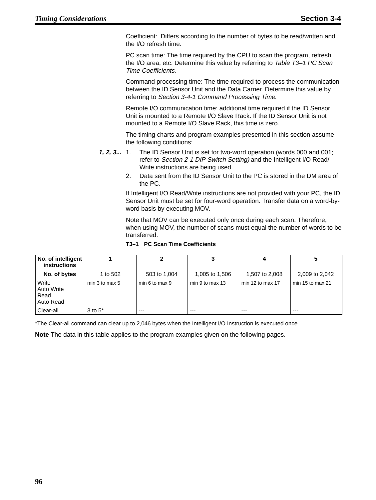Coefficient: Differs according to the number of bytes to be read/written and the I/O refresh time.

PC scan time: The time required by the CPU to scan the program, refresh the I/O area, etc. Determine this value by referring to Table T3-1 PC Scan Time Coefficients.

Command processing time: The time required to process the communication between the ID Sensor Unit and the Data Carrier. Determine this value by referring to Section 3-4-1 Command Processing Time.

Remote I/O communication time: additional time required if the ID Sensor Unit is mounted to a Remote I/O Slave Rack. If the ID Sensor Unit is not mounted to a Remote I/O Slave Rack, this time is zero.

The timing charts and program examples presented in this section assume the following conditions:

- **1, 2, 3...** 1. The ID Sensor Unit is set for two-word operation (words 000 and 001; refer to Section 2-1 DIP Switch Setting) and the Intelligent I/O Read/ Write instructions are being used.
	- 2. Data sent from the ID Sensor Unit to the PC is stored in the DM area of the PC.

If Intelligent I/O Read/Write instructions are not provided with your PC, the ID Sensor Unit must be set for four-word operation. Transfer data on a word-byword basis by executing MOV.

Note that MOV can be executed only once during each scan. Therefore, when using MOV, the number of scans must equal the number of words to be transferred.

| No. of intelligent<br>instructions              |                  |                |                 |                  |                  |
|-------------------------------------------------|------------------|----------------|-----------------|------------------|------------------|
| No. of bytes                                    | 1 to 502         | 503 to 1,004   | 1,005 to 1,506  | 1,507 to 2,008   | 2,009 to 2,042   |
| Write<br><b>Auto Write</b><br>Read<br>Auto Read | min 3 to max $5$ | min 6 to max 9 | min 9 to max 13 | min 12 to max 17 | min 15 to max 21 |
| Clear-all                                       | $3$ to $5^*$     | $--$           | $--$            | $---$            | $---$            |

## **T3–1 PC Scan Time Coefficients**

\*The Clear-all command can clear up to 2,046 bytes when the Intelligent I/O Instruction is executed once.

**Note** The data in this table applies to the program examples given on the following pages.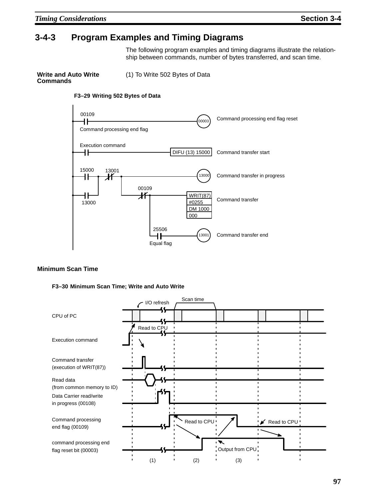# **3-4-3 Program Examples and Timing Diagrams**

The following program examples and timing diagrams illustrate the relationship between commands, number of bytes transferred, and scan time.

# **Write and Auto Write**

(1) To Write 502 Bytes of Data

### **Commands**

**F3–29 Writing 502 Bytes of Data**



# **Minimum Scan Time**

### **F3–30 Minimum Scan Time; Write and Auto Write**

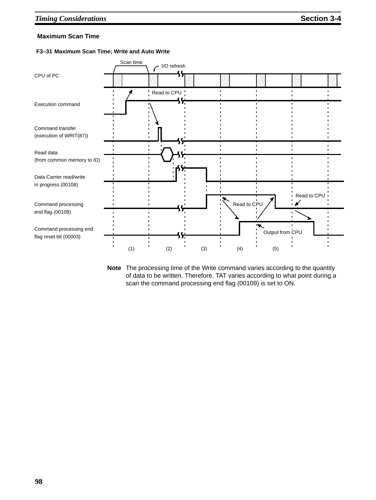## **Maximum Scan Time**

### **F3–31 Maximum Scan Time; Write and Auto Write**



**Note** The processing time of the Write command varies according to the quantity of data to be written. Therefore, TAT varies according to what point during a scan the command processing end flag (00109) is set to ON.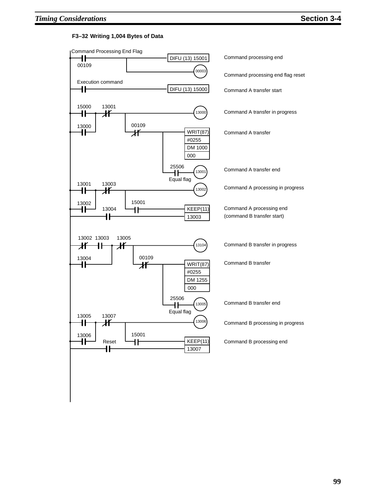### **F3–32 Writing 1,004 Bytes of Data**

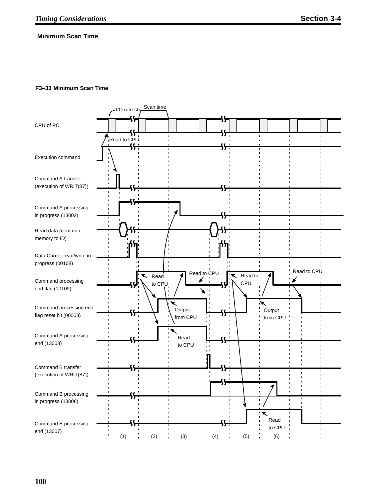# **Minimum Scan Time**

## **F3–33 Minimum Scan Time**

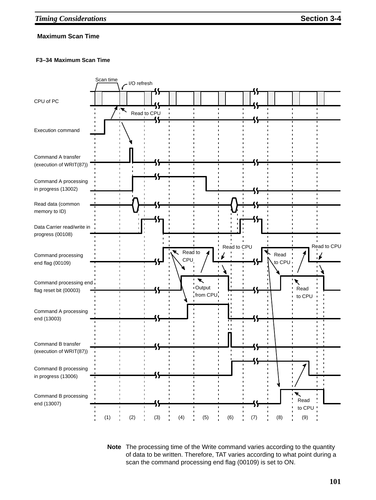#### **Maximum Scan Time**

#### **F3–34 Maximum Scan Time**



**Note** The processing time of the Write command varies according to the quantity of data to be written. Therefore, TAT varies according to what point during a scan the command processing end flag (00109) is set to ON.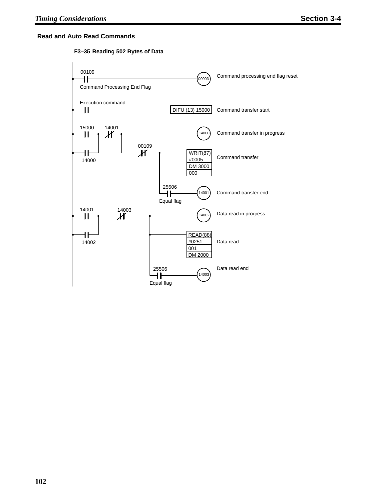#### **Read and Auto Read Commands**

#### **F3–35 Reading 502 Bytes of Data**

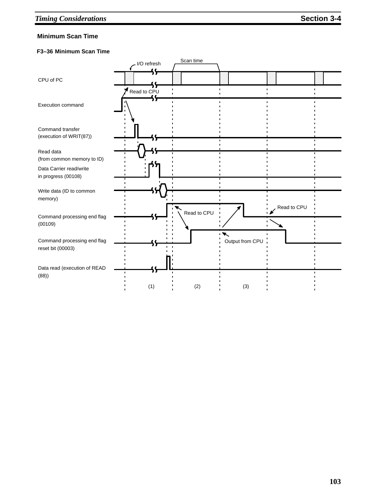#### **Minimum Scan Time**

#### **F3–36 Minimum Scan Time**

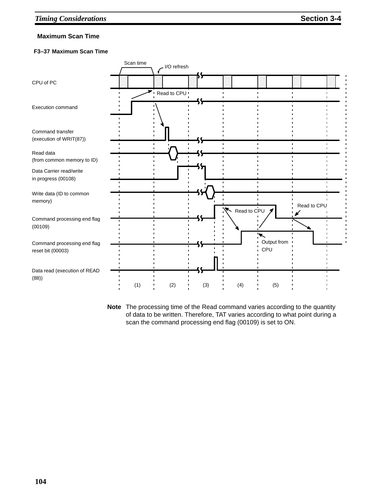#### **Maximum Scan Time**

#### **F3–37 Maximum Scan Time**



**Note** The processing time of the Read command varies according to the quantity of data to be written. Therefore, TAT varies according to what point during a scan the command processing end flag (00109) is set to ON.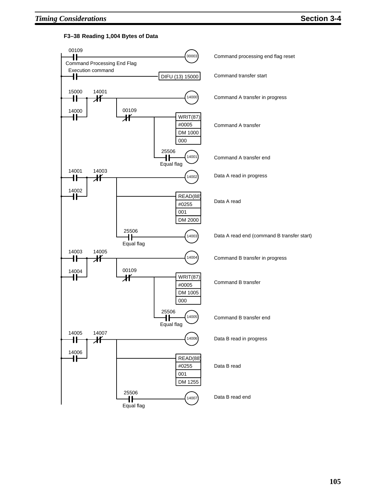#### **F3–38 Reading 1,004 Bytes of Data**

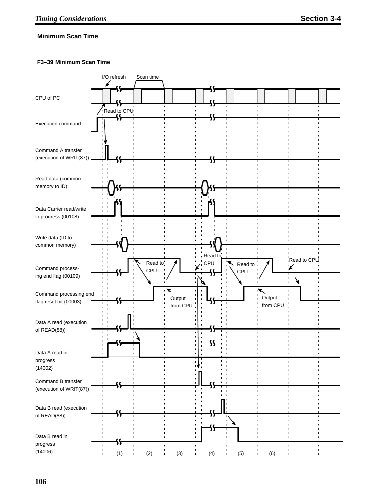### **Minimum Scan Time**

#### **F3–39 Minimum Scan Time**

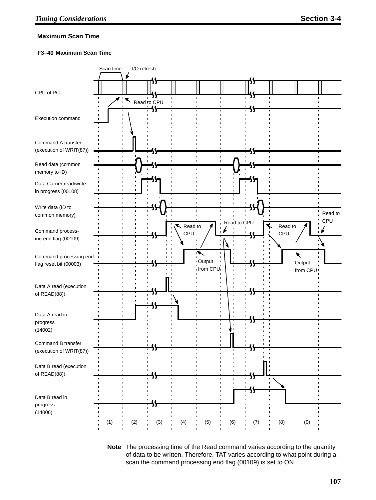#### **Maximum Scan Time**

#### **F3–40 Maximum Scan Time**



**Note** The processing time of the Read command varies according to the quantity of data to be written. Therefore, TAT varies according to what point during a scan the command processing end flag (00109) is set to ON.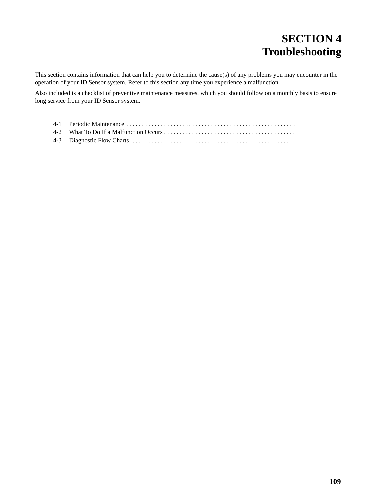# **SECTION 4 Troubleshooting**

This section contains information that can help you to determine the cause(s) of any problems you may encounter in the operation of your ID Sensor system. Refer to this section any time you experience a malfunction.

Also included is a checklist of preventive maintenance measures, which you should follow on a monthly basis to ensure long service from your ID Sensor system.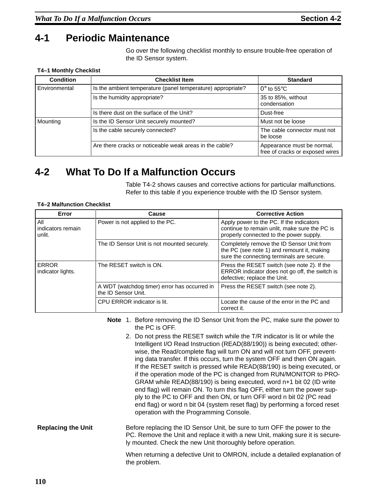### **4-1 Periodic Maintenance**

Go over the following checklist monthly to ensure trouble-free operation of the ID Sensor system.

#### **T4–1 Monthly Checklist**

| <b>Condition</b> | <b>Checklist Item</b>                                       | <b>Standard</b>                                               |  |  |
|------------------|-------------------------------------------------------------|---------------------------------------------------------------|--|--|
| Environmental    | Is the ambient temperature (panel temperature) appropriate? | $0^{\circ}$ to 55 $^{\circ}$ C                                |  |  |
|                  | Is the humidity appropriate?                                | 35 to 85%, without<br>condensation                            |  |  |
|                  | Is there dust on the surface of the Unit?                   | Dust-free                                                     |  |  |
| Mounting         | Is the ID Sensor Unit securely mounted?                     | Must not be loose                                             |  |  |
|                  | Is the cable securely connected?                            | The cable connector must not<br>be loose                      |  |  |
|                  | Are there cracks or noticeable weak areas in the cable?     | Appearance must be normal,<br>free of cracks or exposed wires |  |  |

### **4-2 What To Do If a Malfunction Occurs**

Table T4-2 shows causes and corrective actions for particular malfunctions. Refer to this table if you experience trouble with the ID Sensor system.

| Error                              | Cause                                                               | <b>Corrective Action</b>                                                                                                             |
|------------------------------------|---------------------------------------------------------------------|--------------------------------------------------------------------------------------------------------------------------------------|
| All<br>indicators remain<br>unlit. | Power is not applied to the PC.                                     | Apply power to the PC. If the indicators<br>continue to remain unlit, make sure the PC is<br>properly connected to the power supply. |
|                                    | The ID Sensor Unit is not mounted securely.                         | Completely remove the ID Sensor Unit from<br>the PC (see note 1) and remount it, making<br>sure the connecting terminals are secure. |
| ERROR<br>indicator lights.         | The RESET switch is ON.                                             | Press the RESET switch (see note 2). If the<br>ERROR indicator does not go off, the switch is<br>defective; replace the Unit.        |
|                                    | A WDT (watchdog timer) error has occurred in<br>the ID Sensor Unit. | Press the RESET switch (see note 2).                                                                                                 |
|                                    | CPU ERROR indicator is lit.                                         | Locate the cause of the error in the PC and<br>correct it.                                                                           |

#### **T4–2 Malfunction Checklist**

- **Note** 1. Before removing the ID Sensor Unit from the PC, make sure the power to the PC is OFF.
	- 2. Do not press the RESET switch while the T/R indicator is lit or while the Intelligent I/O Read Instruction (READ(88/190)) is being executed; otherwise, the Read/complete flag will turn ON and will not turn OFF, preventing data transfer. If this occurs, turn the system OFF and then ON again. If the RESET switch is pressed while READ(88/190) is being executed, or if the operation mode of the PC is changed from RUN/MONITOR to PRO-GRAM while READ(88/190) is being executed, word n+1 bit 02 (ID write end flag) will remain ON. To turn this flag OFF, either turn the power supply to the PC to OFF and then ON, or turn OFF word n bit 02 (PC read end flag) or word n bit 04 (system reset flag) by performing a forced reset operation with the Programming Console.
- **Replacing the Unit** Before replacing the ID Sensor Unit, be sure to turn OFF the power to the PC. Remove the Unit and replace it with a new Unit, making sure it is securely mounted. Check the new Unit thoroughly before operation.

When returning a defective Unit to OMRON, include a detailed explanation of the problem.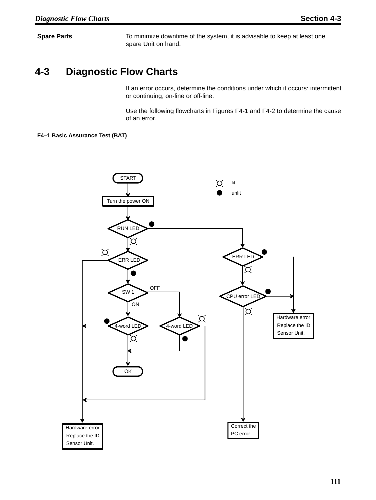**Spare Parts** To minimize downtime of the system, it is advisable to keep at least one spare Unit on hand.

### **4-3 Diagnostic Flow Charts**

If an error occurs, determine the conditions under which it occurs: intermittent or continuing; on-line or off-line.

Use the following flowcharts in Figures F4-1 and F4-2 to determine the cause of an error.

#### **F4–1 Basic Assurance Test (BAT)**

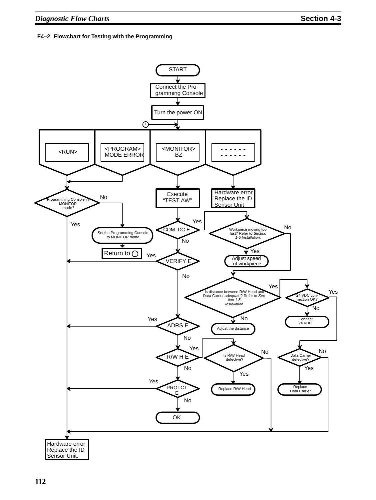**F4–2 Flowchart for Testing with the Programming**

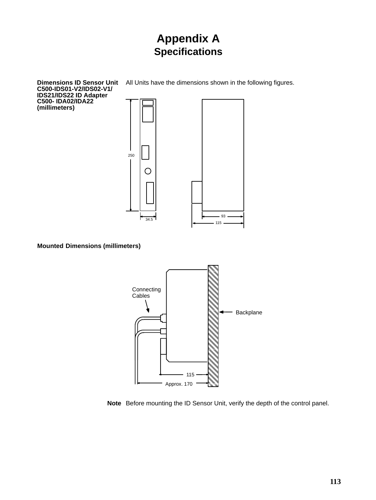## **Appendix A Specifications**



**Mounted Dimensions (millimeters)**



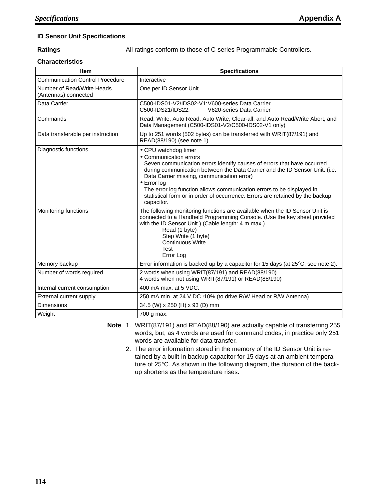#### **ID Sensor Unit Specifications**

**Ratings All ratings conform to those of C-series Programmable Controllers.** 

#### **Characteristics**

| <b>Item</b>                                        | <b>Specifications</b>                                                                                                                                                                                                                                                                                                                                                                                                                                 |
|----------------------------------------------------|-------------------------------------------------------------------------------------------------------------------------------------------------------------------------------------------------------------------------------------------------------------------------------------------------------------------------------------------------------------------------------------------------------------------------------------------------------|
| <b>Communication Control Procedure</b>             | Interactive                                                                                                                                                                                                                                                                                                                                                                                                                                           |
| Number of Read/Write Heads<br>(Antennas) connected | One per ID Sensor Unit                                                                                                                                                                                                                                                                                                                                                                                                                                |
| Data Carrier                                       | C500-IDS01-V2/IDS02-V1:V600-series Data Carrier<br>C500-IDS21/IDS22:<br>V620-series Data Carrier                                                                                                                                                                                                                                                                                                                                                      |
| Commands                                           | Read, Write, Auto Read, Auto Write, Clear-all, and Auto Read/Write Abort, and<br>Data Management (C500-IDS01-V2/C500-IDS02-V1 only)                                                                                                                                                                                                                                                                                                                   |
| Data transferable per instruction                  | Up to 251 words (502 bytes) can be transferred with WRIT(87/191) and<br>READ(88/190) (see note 1).                                                                                                                                                                                                                                                                                                                                                    |
| Diagnostic functions                               | • CPU watchdog timer<br>• Communication errors<br>Seven communication errors identify causes of errors that have occurred<br>during communication between the Data Carrier and the ID Sensor Unit. (i.e.<br>Data Carrier missing, communication error)<br>$\bullet$ Error log<br>The error log function allows communication errors to be displayed in<br>statistical form or in order of occurrence. Errors are retained by the backup<br>capacitor. |
| Monitoring functions                               | The following monitoring functions are available when the ID Sensor Unit is<br>connected to a Handheld Programming Console. (Use the key sheet provided<br>with the ID Sensor Unit.) (Cable length: 4 m max.)<br>Read (1 byte)<br>Step Write (1 byte)<br><b>Continuous Write</b><br>Test<br>Error Log                                                                                                                                                 |
| Memory backup                                      | Error information is backed up by a capacitor for 15 days (at $25^{\circ}$ C; see note 2).                                                                                                                                                                                                                                                                                                                                                            |
| Number of words required                           | 2 words when using WRIT(87/191) and READ(88/190)<br>4 words when not using WRIT(87/191) or READ(88/190)                                                                                                                                                                                                                                                                                                                                               |
| Internal current consumption                       | 400 mA max, at 5 VDC.                                                                                                                                                                                                                                                                                                                                                                                                                                 |
| External current supply                            | 250 mA min. at 24 V DC±10% (to drive R/W Head or R/W Antenna)                                                                                                                                                                                                                                                                                                                                                                                         |
| <b>Dimensions</b>                                  | 34.5 (W) x 250 (H) x 93 (D) mm                                                                                                                                                                                                                                                                                                                                                                                                                        |
| Weight                                             | 700 g max.                                                                                                                                                                                                                                                                                                                                                                                                                                            |

**Note** 1. WRIT(87/191) and READ(88/190) are actually capable of transferring 255 words, but, as 4 words are used for command codes, in practice only 251 words are available for data transfer.

2. The error information stored in the memory of the ID Sensor Unit is retained by a built-in backup capacitor for 15 days at an ambient temperature of 25°C. As shown in the following diagram, the duration of the backup shortens as the temperature rises.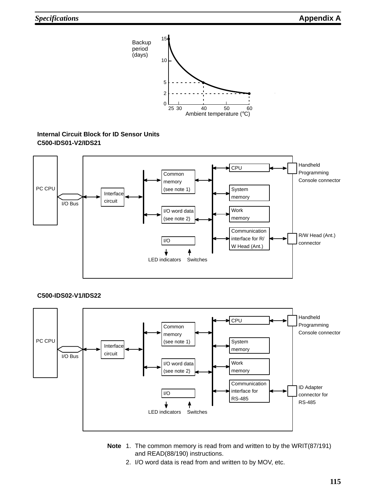

### **Internal Circuit Block for ID Sensor Units C500-IDS01-V2/IDS21**



#### **C500-IDS02-V1/IDS22**



- **Note** 1. The common memory is read from and written to by the WRIT(87/191) and READ(88/190) instructions.
	- 2. I/O word data is read from and written to by MOV, etc.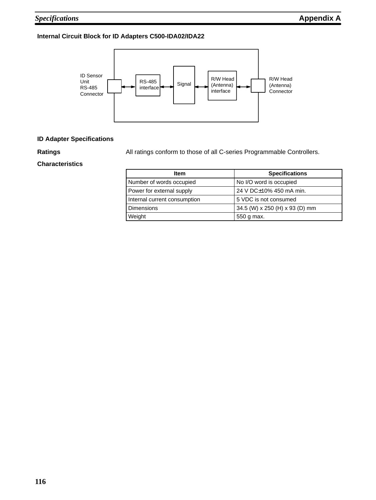#### **Internal Circuit Block for ID Adapters C500-IDA02/IDA22**



#### **ID Adapter Specifications**

Ratings **Ratings All ratings conform to those of all C-series Programmable Controllers.** 

#### **Characteristics**

| Item                         | <b>Specifications</b>          |
|------------------------------|--------------------------------|
| Number of words occupied     | No I/O word is occupied        |
| Power for external supply    | 24 V DC±10% 450 mA min.        |
| Internal current consumption | 5 VDC is not consumed          |
| <b>Dimensions</b>            | 34.5 (W) x 250 (H) x 93 (D) mm |
| Weight                       | 550 g max.                     |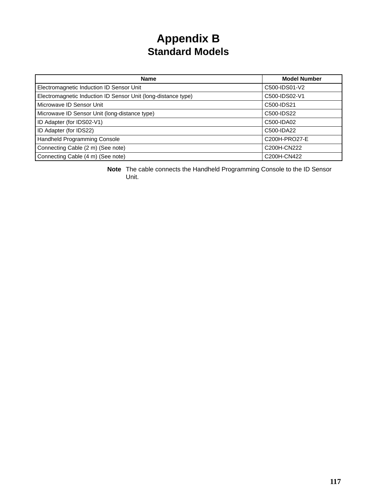# **Appendix B Standard Models**

| <b>Name</b>                                                   | <b>Model Number</b>                  |
|---------------------------------------------------------------|--------------------------------------|
| Electromagnetic Induction ID Sensor Unit                      | C500-IDS01-V2                        |
| Electromagnetic Induction ID Sensor Unit (long-distance type) | C500-IDS02-V1                        |
| Microwave ID Sensor Unit                                      | C500-IDS21                           |
| Microwave ID Sensor Unit (long-distance type)                 | C500-IDS22                           |
| ID Adapter (for IDS02-V1)                                     | C500-IDA02                           |
| ID Adapter (for IDS22)                                        | C500-IDA22                           |
| Handheld Programming Console                                  | C200H-PRO27-E                        |
| Connecting Cable (2 m) (See note)                             | C <sub>200</sub> H-C <sub>N222</sub> |
| Connecting Cable (4 m) (See note)                             | C200H-CN422                          |

**Note** The cable connects the Handheld Programming Console to the ID Sensor Unit.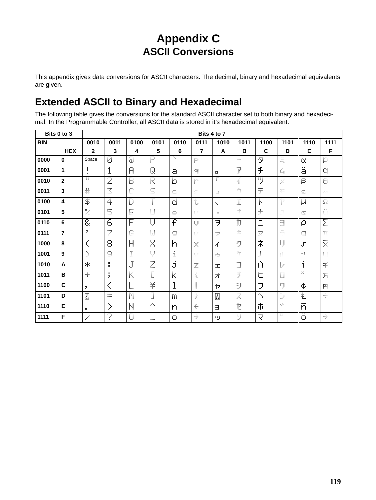# **Appendix C ASCII Conversions**

This appendix gives data conversions for ASCII characters. The decimal, binary and hexadecimal equivalents are given.

## **Extended ASCII to Binary and Hexadecimal**

The following table gives the conversions for the standard ASCII character set to both binary and hexadecimal. In the Programmable Controller, all ASCII data is stored in it's hexadecimal equivalent.

|            | Bits 0 to 3    | Bits 4 to 7                 |                                    |              |                             |                        |                |                     |               |                   |                                         |               |                    |
|------------|----------------|-----------------------------|------------------------------------|--------------|-----------------------------|------------------------|----------------|---------------------|---------------|-------------------|-----------------------------------------|---------------|--------------------|
| <b>BIN</b> |                | 0010                        | 0011                               | 0100         | 0101                        | 0110                   | 0111           | 1010                | 1011          | 1100              | 1101                                    | 1110          | 1111               |
|            | <b>HEX</b>     | $\mathbf{2}$                | 3                                  | 4            | 5                           | 6                      | $\overline{7}$ | A                   | B             | C                 | D                                       | E             | F                  |
| 0000       | $\bf{0}$       | Space                       | Ø                                  | ê)           | P                           | $\ddot{\phantom{a}}$ . | p              |                     |               | ୍ର                | $\bullet\bullet\bullet$<br>$\cdots$<br> | Ċ.            | Ð                  |
| 0001       | 1              | $\vdots$                    | 1                                  | Ĥ            | Q                           | a                      | q              | m                   | Ŧ             | ÷                 | £,                                      | ā             | Ċ,                 |
| 0010       | $\overline{2}$ | $\ddot{\mathbf{u}}$         | $\overline{2}$                     | E            | R                           | Ь                      | ۲              | r                   | $\mathcal{A}$ | ्                 | $\mathcal{P}$                           | ß             | 0                  |
| 0011       | 3              | ŧ                           | 3                                  | C            | S                           | Ċ,                     | S.             |                     | Ŷ,            | *****<br>Ŧ        | E                                       | Ś.            | <b>SALE</b>        |
| 0100       | 4              | \$                          | 4                                  | D            | $\equiv$                    | d                      | ŧ.             | ٠.                  | I             | ļ.                | Þ                                       | Ħ             | $\Omega$           |
| 0101       | 5              | X                           | ្ម                                 | :…<br>Ŀ.     | U                           | e                      | u              | $\ddot{\mathbf{u}}$ | 才             | ÷                 | $\Box$                                  | S             | $\cdot$ .<br>u     |
| 0110       | 6              | g,                          | 6                                  | F            | Ų                           | Ŧ                      | Ų              | Ŗ                   | j)            | $\cdots$<br>      | E                                       | Ø             | E                  |
| 0111       | $\overline{7}$ | $\ddot{ }$                  | 7                                  | G            | W                           | 9                      | ارا            | Ŧ                   | ŧ             | F                 | <br>ņ                                   | q             | $\overline{\rm H}$ |
| 1000       | 8              | $\zeta$                     | ្ម                                 | H            | Χ                           | h                      | $\mathcal{A}$  | Â                   | Ð             | Ż                 | IJ                                      | $\mathcal{F}$ | <br>$\mathcal{A}$  |
| 1001       | 9              | Ĵ.                          | ្មា                                | I            | 부                           | $\dot{1}$              | ¥              | ÷                   | ं!            | Ĵ                 | jb.                                     | $\cdot$ :     | 耳                  |
| 1010       | A              | $\mathcal{A}$               | $\ddot{\phantom{a}}$<br>$\ddot{a}$ | J            | 2                           | đ                      | z              | $\mathbb{I}$        | $\Box$        | Ĥ                 | Þ                                       | i             | Ŧ                  |
| 1011       | B              | ÷                           | $\ddot{\phantom{a}}$<br>Þ.         | K            | $\overline{L}$              | k                      | $\epsilon$     | Å                   | ÿ             | t                 | $\Box$                                  | $\ddot{\chi}$ | F                  |
| 1100       | C              | ÷                           | $\zeta$                            | $\mathbf{L}$ | ¥                           | l                      | $\vdots$       | Þ                   | E)            | ņ                 | ņ                                       | ¢             | P                  |
| 1101       | D              | Ü                           | <br>                               | M            | J                           | m                      | $\frac{1}{2}$  | Ü                   | R             | $\gamma_{\rm{r}}$ | $\bullet\bullet$<br>$\mathcal{L}$       | $\frac{1}{2}$ | $\cdot$<br>        |
| 1110       | Е              | $\mathbf{H}$                | $\mathcal{L}$                      | N            | $\mathcal{L}_{\mathcal{M}}$ | n                      | ÷              | m                   | t             | 市                 | $\cdot$                                 | <br>ñ         |                    |
| 1111       | F              | $\mathcal{L}^{\mathcal{L}}$ | ्र                                 | Ū            |                             | Ō                      | ÷              | ₩                   | V             | Ę                 | $\mathbf{H}$                            | Ö             | ÷                  |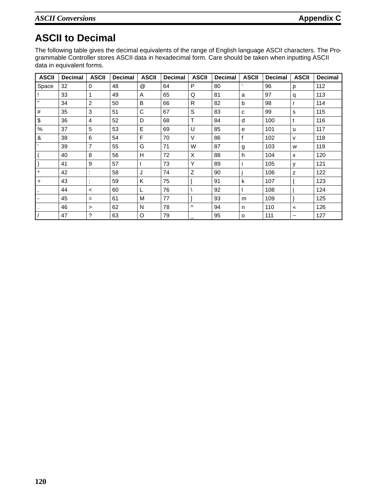## **ASCII to Decimal**

The following table gives the decimal equivalents of the range of English language ASCII characters. The Programmable Controller stores ASCII data in hexadecimal form. Care should be taken when inputting ASCII data in equivalent forms.

| <b>ASCII</b>                              | <b>Decimal</b> | <b>ASCII</b>   | <b>Decimal</b> | <b>ASCII</b> | <b>Decimal</b> | <b>ASCII</b>          | <b>Decimal</b> | <b>ASCII</b> | <b>Decimal</b> | <b>ASCII</b> | <b>Decimal</b> |
|-------------------------------------------|----------------|----------------|----------------|--------------|----------------|-----------------------|----------------|--------------|----------------|--------------|----------------|
| Space                                     | 32             | $\Omega$       | 48             | @            | 64             | P                     | 80             | $\epsilon$   | 96             | p            | 112            |
|                                           | 33             |                | 49             | A            | 65             | Q                     | 81             | a            | 97             | q            | 113            |
| ,,                                        | 34             | $\overline{2}$ | 50             | B            | 66             | R.                    | 82             | b            | 98             | r            | 114            |
| $\#$                                      | 35             | 3              | 51             | C            | 67             | S                     | 83             | C            | 99             | s            | 115            |
| $\, \, \raisebox{12pt}{$\scriptstyle \$}$ | 36             | $\overline{4}$ | 52             | D            | 68             | $\overline{1}$        | 84             | d            | 100            | $\mathbf{t}$ | 116            |
| $\%$                                      | 37             | 5              | 53             | E            | 69             | U                     | 85             | e            | 101            | u            | 117            |
| $\&$                                      | 38             | 6              | 54             | F            | 70             | $\vee$                | 86             | $\mathbf f$  | 102            | $\mathsf{v}$ | 118            |
| $\overline{\phantom{a}}$                  | 39             | $\overline{7}$ | 55             | G            | 71             | W                     | 87             | g            | 103            | W            | 119            |
|                                           | 40             | 8              | 56             | H.           | 72             | X                     | 88             | h.           | 104            | X            | 120            |
|                                           | 41             | 9              | 57             |              | 73             | Y                     | 89             |              | 105            | y            | 121            |
| $\star$                                   | 42             |                | 58             | J            | 74             | Z                     | 90             |              | 106            | Z            | 122            |
| $\ddot{}$                                 | 43             | $\cdot$        | 59             | Κ            | 75             |                       | 91             | k            | 107            |              | 123            |
|                                           | 44             | $\prec$        | 60             |              | 76             |                       | 92             |              | 108            |              | 124            |
|                                           | 45             | $=$            | 61             | M            | 77             |                       | 93             | m            | 109            |              | 125            |
|                                           | 46             | >              | 62             | N            | 78             | $\boldsymbol{\wedge}$ | 94             | n            | 110            | «            | 126            |
| $\prime$                                  | 47             | ?              | 63             | O            | 79             |                       | 95             | $\circ$      | 111            | $\tilde{}$   | 127            |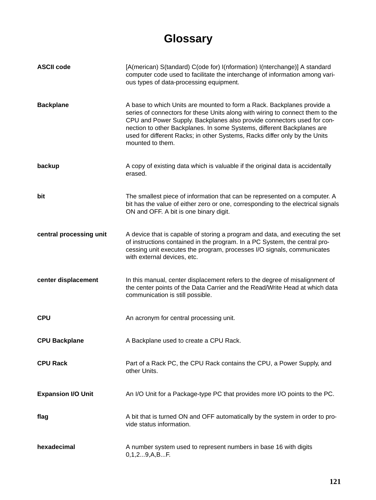# **Glossary**

| <b>ASCII code</b>         | [A(merican) S(tandard) C(ode for) I(nformation) I(nterchange)] A standard<br>computer code used to facilitate the interchange of information among vari-<br>ous types of data-processing equipment.                                                                                                                                                                                                           |
|---------------------------|---------------------------------------------------------------------------------------------------------------------------------------------------------------------------------------------------------------------------------------------------------------------------------------------------------------------------------------------------------------------------------------------------------------|
| <b>Backplane</b>          | A base to which Units are mounted to form a Rack. Backplanes provide a<br>series of connectors for these Units along with wiring to connect them to the<br>CPU and Power Supply. Backplanes also provide connectors used for con-<br>nection to other Backplanes. In some Systems, different Backplanes are<br>used for different Racks; in other Systems, Racks differ only by the Units<br>mounted to them. |
| backup                    | A copy of existing data which is valuable if the original data is accidentally<br>erased.                                                                                                                                                                                                                                                                                                                     |
| bit                       | The smallest piece of information that can be represented on a computer. A<br>bit has the value of either zero or one, corresponding to the electrical signals<br>ON and OFF. A bit is one binary digit.                                                                                                                                                                                                      |
| central processing unit   | A device that is capable of storing a program and data, and executing the set<br>of instructions contained in the program. In a PC System, the central pro-<br>cessing unit executes the program, processes I/O signals, communicates<br>with external devices, etc.                                                                                                                                          |
| center displacement       | In this manual, center displacement refers to the degree of misalignment of<br>the center points of the Data Carrier and the Read/Write Head at which data<br>communication is still possible.                                                                                                                                                                                                                |
| <b>CPU</b>                | An acronym for central processing unit.                                                                                                                                                                                                                                                                                                                                                                       |
| <b>CPU Backplane</b>      | A Backplane used to create a CPU Rack.                                                                                                                                                                                                                                                                                                                                                                        |
| <b>CPU Rack</b>           | Part of a Rack PC, the CPU Rack contains the CPU, a Power Supply, and<br>other Units.                                                                                                                                                                                                                                                                                                                         |
| <b>Expansion I/O Unit</b> | An I/O Unit for a Package-type PC that provides more I/O points to the PC.                                                                                                                                                                                                                                                                                                                                    |
| flag                      | A bit that is turned ON and OFF automatically by the system in order to pro-<br>vide status information.                                                                                                                                                                                                                                                                                                      |
| hexadecimal               | A number system used to represent numbers in base 16 with digits<br>0,1,29, A,BF.                                                                                                                                                                                                                                                                                                                             |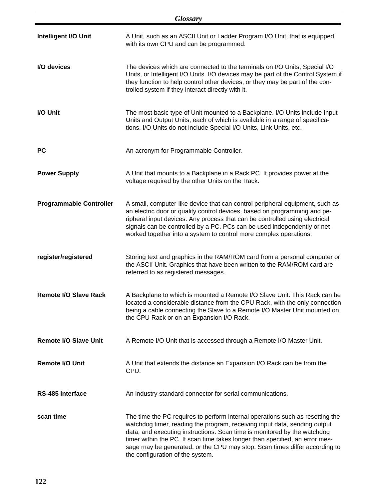| <b>Glossary</b>                |                                                                                                                                                                                                                                                                                                                                                                                                                                          |  |  |  |  |
|--------------------------------|------------------------------------------------------------------------------------------------------------------------------------------------------------------------------------------------------------------------------------------------------------------------------------------------------------------------------------------------------------------------------------------------------------------------------------------|--|--|--|--|
| Intelligent I/O Unit           | A Unit, such as an ASCII Unit or Ladder Program I/O Unit, that is equipped<br>with its own CPU and can be programmed.                                                                                                                                                                                                                                                                                                                    |  |  |  |  |
| I/O devices                    | The devices which are connected to the terminals on I/O Units, Special I/O<br>Units, or Intelligent I/O Units. I/O devices may be part of the Control System if<br>they function to help control other devices, or they may be part of the con-<br>trolled system if they interact directly with it.                                                                                                                                     |  |  |  |  |
| I/O Unit                       | The most basic type of Unit mounted to a Backplane. I/O Units include Input<br>Units and Output Units, each of which is available in a range of specifica-<br>tions. I/O Units do not include Special I/O Units, Link Units, etc.                                                                                                                                                                                                        |  |  |  |  |
| <b>PC</b>                      | An acronym for Programmable Controller.                                                                                                                                                                                                                                                                                                                                                                                                  |  |  |  |  |
| <b>Power Supply</b>            | A Unit that mounts to a Backplane in a Rack PC. It provides power at the<br>voltage required by the other Units on the Rack.                                                                                                                                                                                                                                                                                                             |  |  |  |  |
| <b>Programmable Controller</b> | A small, computer-like device that can control peripheral equipment, such as<br>an electric door or quality control devices, based on programming and pe-<br>ripheral input devices. Any process that can be controlled using electrical<br>signals can be controlled by a PC. PCs can be used independently or net-<br>worked together into a system to control more complex operations.                                                |  |  |  |  |
| register/registered            | Storing text and graphics in the RAM/ROM card from a personal computer or<br>the ASCII Unit. Graphics that have been written to the RAM/ROM card are<br>referred to as registered messages.                                                                                                                                                                                                                                              |  |  |  |  |
| <b>Remote I/O Slave Rack</b>   | A Backplane to which is mounted a Remote I/O Slave Unit. This Rack can be<br>located a considerable distance from the CPU Rack, with the only connection<br>being a cable connecting the Slave to a Remote I/O Master Unit mounted on<br>the CPU Rack or on an Expansion I/O Rack.                                                                                                                                                       |  |  |  |  |
| <b>Remote I/O Slave Unit</b>   | A Remote I/O Unit that is accessed through a Remote I/O Master Unit.                                                                                                                                                                                                                                                                                                                                                                     |  |  |  |  |
| Remote I/O Unit                | A Unit that extends the distance an Expansion I/O Rack can be from the<br>CPU.                                                                                                                                                                                                                                                                                                                                                           |  |  |  |  |
| RS-485 interface               | An industry standard connector for serial communications.                                                                                                                                                                                                                                                                                                                                                                                |  |  |  |  |
| scan time                      | The time the PC requires to perform internal operations such as resetting the<br>watchdog timer, reading the program, receiving input data, sending output<br>data, and executing instructions. Scan time is monitored by the watchdog<br>timer within the PC. If scan time takes longer than specified, an error mes-<br>sage may be generated, or the CPU may stop. Scan times differ according to<br>the configuration of the system. |  |  |  |  |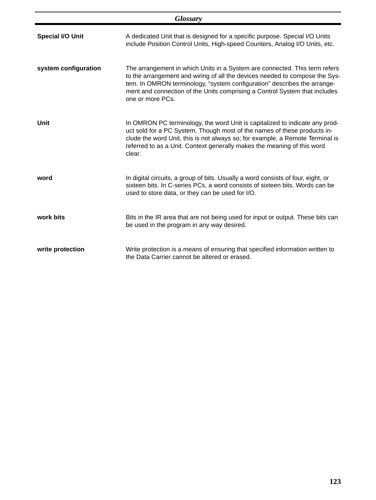| <b>Glossary</b>         |                                                                                                                                                                                                                                                                                                                                         |  |  |  |
|-------------------------|-----------------------------------------------------------------------------------------------------------------------------------------------------------------------------------------------------------------------------------------------------------------------------------------------------------------------------------------|--|--|--|
| <b>Special I/O Unit</b> | A dedicated Unit that is designed for a specific purpose. Special I/O Units<br>include Position Control Units, High-speed Counters, Analog I/O Units, etc.                                                                                                                                                                              |  |  |  |
| system configuration    | The arrangement in which Units in a System are connected. This term refers<br>to the arrangement and wiring of all the devices needed to compose the Sys-<br>tem. In OMRON terminology, "system configuration" describes the arrange-<br>ment and connection of the Units comprising a Control System that includes<br>one or more PCs. |  |  |  |
| Unit                    | In OMRON PC terminology, the word Unit is capitalized to indicate any prod-<br>uct sold for a PC System. Though most of the names of these products in-<br>clude the word Unit, this is not always so; for example, a Remote Terminal is<br>referred to as a Unit. Context generally makes the meaning of this word<br>clear.           |  |  |  |
| word                    | In digital circuits, a group of bits. Usually a word consists of four, eight, or<br>sixteen bits. In C-series PCs, a word consists of sixteen bits. Words can be<br>used to store data, or they can be used for I/O.                                                                                                                    |  |  |  |
| work bits               | Bits in the IR area that are not being used for input or output. These bits can<br>be used in the program in any way desired.                                                                                                                                                                                                           |  |  |  |
| write protection        | Write protection is a means of ensuring that specified information written to<br>the Data Carrier cannot be altered or erased.                                                                                                                                                                                                          |  |  |  |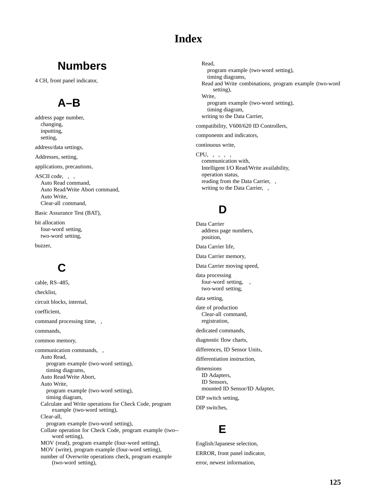### **Index**

# **Numbers**

4 CH, front panel indicator,

# **A–B**

address page number, changing, inputting, setting,

address/data settings,

Addresses, setting,

applications, precautions,

ASCII code, , , Auto Read command, Auto Read/Write Abort command, Auto Write, Clear-all command,

Basic Assurance Test (BAT),

bit allocation four-word setting, two-word setting,

buzzer,

# **C**

cable, RS–485, checklist, circuit blocks, internal, coefficient, command processing time, , commands, common memory, communication commands, , Auto Read, program example (two-word setting), timing diagrams, Auto Read/Write Abort, Auto Write, program example (two-word setting), timing diagram, Calculate and Write operations for Check Code, program example (two-word setting), Clear-all, program example (two-word setting), Collate operation for Check Code, program example (two- word setting), MOV (read), program example (four-word setting), MOV (write), program example (four-word setting), number of Overwrite operations check, program example (two-word setting),

Read, program example (two-word setting), timing diagrams, Read and Write combinations, program example (two-word setting), Write, program example (two-word setting), timing diagram, writing to the Data Carrier, compatibility, V600/620 ID Controllers,

components and indicators,

continuous write,

CPU, , , , , communication with, Intelligent I/O Read/Write availability, operation status, reading from the Data Carrier, , writing to the Data Carrier, ,

### **D**

Data Carrier address page numbers, position,

Data Carrier life,

Data Carrier memory,

Data Carrier moving speed,

data processing four-word setting, , two-word setting,

data setting,

date of production Clear-all command, registration,

dedicated commands,

diagnostic flow charts,

differences, ID Sensor Units,

differentiation instruction,

dimensions ID Adapters, ID Sensors, mounted ID Sensor/ID Adapter,

DIP switch setting,

DIP switches,

### **E**

English/Japanese selection, ERROR, front panel indicator, error, newest information,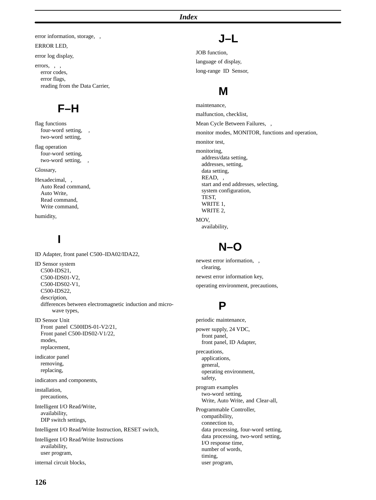#### *Index*

error information, storage, ,

#### ERROR LED,

error log display,

errors, , , error codes, error flags, reading from the Data Carrier,

### **F–H**

flag functions four-word setting, , two-word setting,

flag operation four-word setting, two-word setting,

Glossary,

Hexadecimal, Auto Read command, Auto Write, Read command, Write command,

humidity,

# **I**

ID Adapter, front panel C500–IDA02/IDA22, ID Sensor system C500-IDS21, C500-IDS01-V2, C500-IDS02-V1, C500-IDS22, description, differences between electromagnetic induction and microwave types, ID Sensor Unit Front panel C500IDS-01-V2/21, Front panel C500-IDS02-V1/22, modes, replacement, indicator panel removing, replacing, indicators and components, installation, precautions, Intelligent I/O Read/Write, availability, DIP switch settings, Intelligent I/O Read/Write Instruction, RESET switch, Intelligent I/O Read/Write Instructions availability, user program, internal circuit blocks,

### **J–L**

JOB function, language of display, long-range ID Sensor,

### **M**

maintenance, malfunction, checklist, Mean Cycle Between Failures, , monitor modes, MONITOR, functions and operation, monitor test, monitoring, address/data setting, addresses, setting, data setting, READ, , start and end addresses, selecting, system configuration, TEST, WRITE 1, WRITE 2, MOV, availability,

### **N–O**

newest error information, , clearing, newest error information key, operating environment, precautions,

### **P**

periodic maintenance, power supply, 24 VDC, front panel, front panel, ID Adapter, precautions, applications, general, operating environment, safety, program examples two-word setting, Write, Auto Write, and Clear-all, Programmable Controller, compatibility, connection to, data processing, four-word setting, data processing, two-word setting, I/O response time, number of words, timing, user program,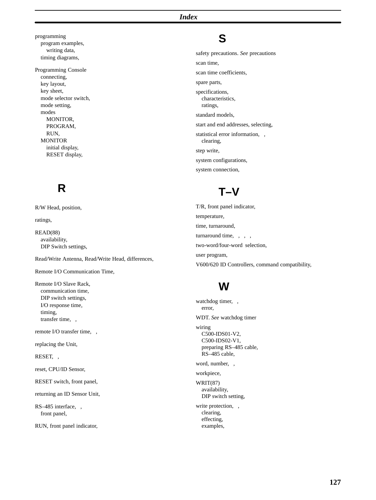programming program examples, writing data, timing diagrams,

Programming Console connecting, key layout, key sheet, mode selector switch, mode setting, modes MONITOR, PROGRAM, RUN, **MONITOR** initial display, RESET display,

# **R**

R/W Head, position,

ratings,

READ(88) availability, DIP Switch settings,

Read/Write Antenna, Read/Write Head, differences,

Remote I/O Communication Time,

Remote I/O Slave Rack, communication time, DIP switch settings, I/O response time, timing, transfer time, ,

remote I/O transfer time, ,

replacing the Unit,

RESET, ,

reset, CPU/ID Sensor,

RESET switch, front panel,

returning an ID Sensor Unit,

RS–485 interface, , front panel,

RUN, front panel indicator,

### **S**

safety precautions. *See* precautions scan time, scan time coefficients, spare parts, specifications, characteristics, ratings, standard models, start and end addresses, selecting, statistical error information, , clearing, step write, system configurations, system connection,

### **T–V**

T/R, front panel indicator, temperature, time, turnaround, turnaround time, , , , two-word/four-word selection, user program, V600/620 ID Controllers, command compatibility,

### **W**

watchdog timer, , error, WDT. *See* watchdog timer wiring C500-IDS01-V2, C500-IDS02-V1, preparing RS–485 cable, RS–485 cable, word, number, ,

workpiece,

WRIT(87) availability, DIP switch setting,

write protection, , clearing, effecting, examples,